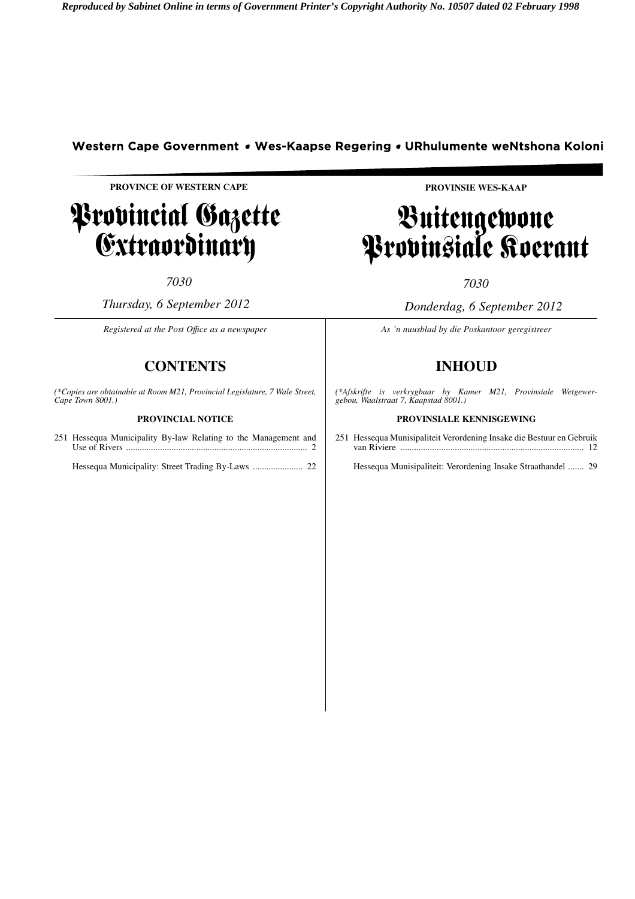# Western Cape Government • Wes-Kaapse Regering • URhulumente weNtshona Koloni

**PROVINCE OF WESTERN CAPE**

# Provincial Gazette Extraordinary

*7030*

*Thursday, 6 September 2012*

*Registered at the Post Offıce as a newspaper*

# **CONTENTS**

*(\*Copies are obtainable at Room M21, Provincial Legislature, 7 Wale Street, Cape Town 8001.)*

# **PROVINCIAL NOTICE**

251 Hessequa Municipality By-law Relating to the Management and Use of Rivers ................................................................................ 2

Hessequa Municipality: Street Trading By-Laws ...................... 22

**PROVINSIE WES-KAAP**

# Buitengewone Provinsiale Koerant

*7030*

*Donderdag, 6 September 2012*

*As 'n nuusblad by die Poskantoor geregistreer*

# **INHOUD**

*(\*Afskrifte is verkrygbaar by Kamer M21, Provinsiale Wetgewergebou, Waalstraat 7, Kaapstad 8001.)*

# **PROVINSIALE KENNISGEWING**

251 Hessequa Munisipaliteit Verordening Insake die Bestuur en Gebruik van Riviere ................................................................................. 12

Hessequa Munisipaliteit: Verordening Insake Straathandel ....... 29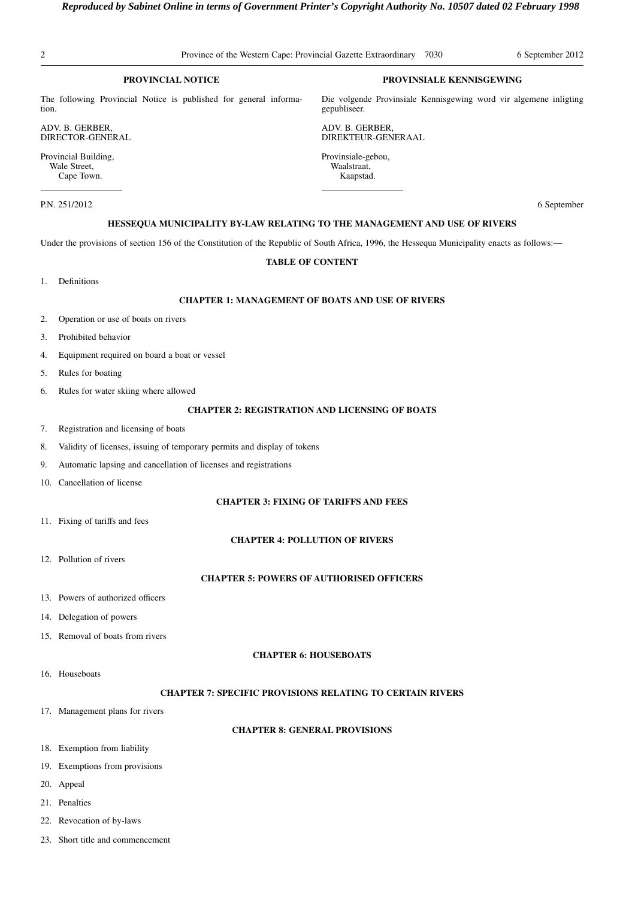# **PROVINCIAL NOTICE**

The following Provincial Notice is published for general information.

ADV. B. GERBER, DIRECTOR-GENERAL

Provincial Building, Wale Street, Cape Town.

P.N. 251/2012 6 September

# **HESSEQUA MUNICIPALITY BY-LAW RELATING TO THE MANAGEMENT AND USE OF RIVERS**

Under the provisions of section 156 of the Constitution of the Republic of South Africa, 1996, the Hessequa Municipality enacts as follows:—

# **TABLE OF CONTENT**

1. Definitions

# **CHAPTER 1: MANAGEMENT OF BOATS AND USE OF RIVERS**

- 2. Operation or use of boats on rivers
- 3. Prohibited behavior
- 4. Equipment required on board a boat or vessel
- 5. Rules for boating
- 6. Rules for water skiing where allowed

# **CHAPTER 2: REGISTRATION AND LICENSING OF BOATS**

- 7. Registration and licensing of boats
- 8. Validity of licenses, issuing of temporary permits and display of tokens
- 9. Automatic lapsing and cancellation of licenses and registrations
- 10. Cancellation of license

# **CHAPTER 3: FIXING OF TARIFFS AND FEES**

11. Fixing of tariffs and fees

# **CHAPTER 4: POLLUTION OF RIVERS**

12. Pollution of rivers

# **CHAPTER 5: POWERS OF AUTHORISED OFFICERS**

- 13. Powers of authorized officers
- 14. Delegation of powers
- 15. Removal of boats from rivers

# **CHAPTER 6: HOUSEBOATS**

16. Houseboats

# **CHAPTER 7: SPECIFIC PROVISIONS RELATING TO CERTAIN RIVERS**

17. Management plans for rivers

# **CHAPTER 8: GENERAL PROVISIONS**

- 18. Exemption from liability
- 19. Exemptions from provisions
- 20. Appeal
- 21. Penalties
- 22. Revocation of by-laws
- 23. Short title and commencement

# **PROVINSIALE KENNISGEWING**

Die volgende Provinsiale Kennisgewing word vir algemene inligting gepubliseer.

ADV. B. GERBER, DIREKTEUR-GENERAAL

Provinsiale-gebou, Waalstraat, Kaapstad.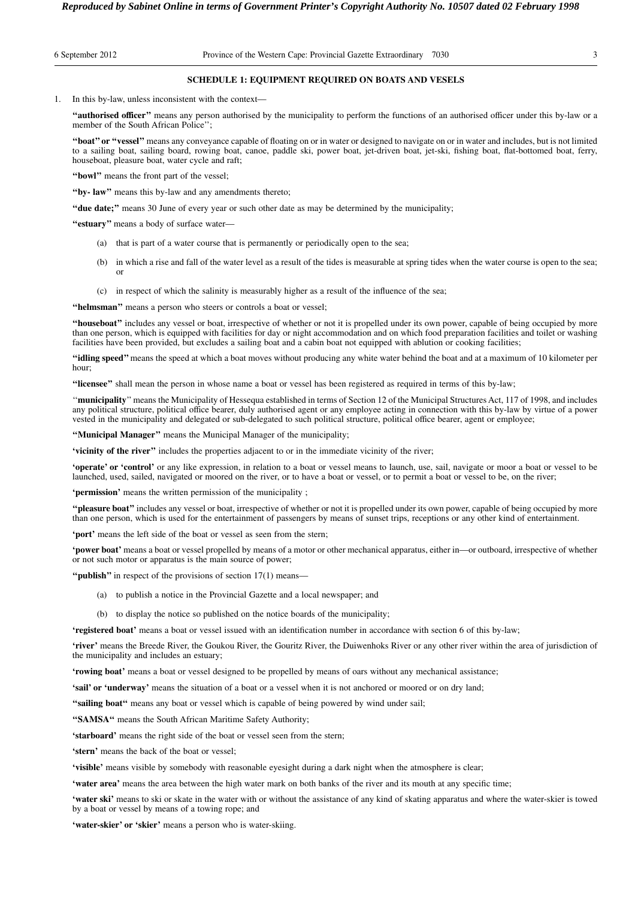## 6 September 2012 Province of the Western Cape: Provincial Gazette Extraordinary 7030 3

## **SCHEDULE 1: EQUIPMENT REQUIRED ON BOATS AND VESELS**

1. In this by-law, unless inconsistent with the context—

**''authorised officer''** means any person authorised by the municipality to perform the functions of an authorised officer under this by-law or a member of the South African Police'';

**''boat'' or ''vessel''** means any conveyance capable of floating on or in water or designed to navigate on or in water and includes, but is not limited to a sailing boat, sailing board, rowing boat, canoe, paddle ski, power boat, jet-driven boat, jet-ski, fishing boat, flat-bottomed boat, ferry, houseboat, pleasure boat, water cycle and raft;

**''bowl''** means the front part of the vessel;

**''by- law''** means this by-law and any amendments thereto;

**''due date;''** means 30 June of every year or such other date as may be determined by the municipality;

**''estuary''** means a body of surface water—

- (a) that is part of a water course that is permanently or periodically open to the sea;
- (b) in which a rise and fall of the water level as a result of the tides is measurable at spring tides when the water course is open to the sea; or
- (c) in respect of which the salinity is measurably higher as a result of the influence of the sea;

"helmsman" means a person who steers or controls a boat or vessel;

**''houseboat''** includes any vessel or boat, irrespective of whether or not it is propelled under its own power, capable of being occupied by more than one person, which is equipped with facilities for day or night accommodation and on which food preparation facilities and toilet or washing facilities have been provided, but excludes a sailing boat and a cabin boat not equipped with ablution or cooking facilities;

**''idling speed''** means the speed at which a boat moves without producing any white water behind the boat and at a maximum of 10 kilometer per hour;

**''licensee''** shall mean the person in whose name a boat or vessel has been registered as required in terms of this by-law;

''**municipality**'' means the Municipality of Hessequa established in terms of Section 12 of the Municipal Structures Act, 117 of 1998, and includes any political structure, political office bearer, duly authorised agent or any employee acting in connection with this by-law by virtue of a power vested in the municipality and delegated or sub-delegated to such political structure, political office bearer, agent or employee;

**''Municipal Manager''** means the Municipal Manager of the municipality;

**'vicinity of the river''** includes the properties adjacent to or in the immediate vicinity of the river;

**'operate' or 'control'** or any like expression, in relation to a boat or vessel means to launch, use, sail, navigate or moor a boat or vessel to be launched, used, sailed, navigated or moored on the river, or to have a boat or vessel, or to permit a boat or vessel to be, on the river;

**'permission'** means the written permission of the municipality ;

**''pleasure boat''** includes any vessel or boat, irrespective of whether or not it is propelled under its own power, capable of being occupied by more than one person, which is used for the entertainment of passengers by means of sunset trips, receptions or any other kind of entertainment.

**'port'** means the left side of the boat or vessel as seen from the stern;

**'power boat'** means a boat or vessel propelled by means of a motor or other mechanical apparatus, either in—or outboard, irrespective of whether or not such motor or apparatus is the main source of power;

**''publish''** in respect of the provisions of section 17(1) means—

- (a) to publish a notice in the Provincial Gazette and a local newspaper; and
- (b) to display the notice so published on the notice boards of the municipality;

**'registered boat'** means a boat or vessel issued with an identification number in accordance with section 6 of this by-law;

**'river'** means the Breede River, the Goukou River, the Gouritz River, the Duiwenhoks River or any other river within the area of jurisdiction of the municipality and includes an estuary;

**'rowing boat'** means a boat or vessel designed to be propelled by means of oars without any mechanical assistance;

**'sail' or 'underway'** means the situation of a boat or a vessel when it is not anchored or moored or on dry land;

**''sailing boat''** means any boat or vessel which is capable of being powered by wind under sail;

**''SAMSA''** means the South African Maritime Safety Authority;

**'starboard'** means the right side of the boat or vessel seen from the stern;

**'stern'** means the back of the boat or vessel;

**'visible'** means visible by somebody with reasonable eyesight during a dark night when the atmosphere is clear;

**'water area'** means the area between the high water mark on both banks of the river and its mouth at any specific time;

'water ski' means to ski or skate in the water with or without the assistance of any kind of skating apparatus and where the water-skier is towed by a boat or vessel by means of a towing rope; and

**'water-skier' or 'skier'** means a person who is water-skiing.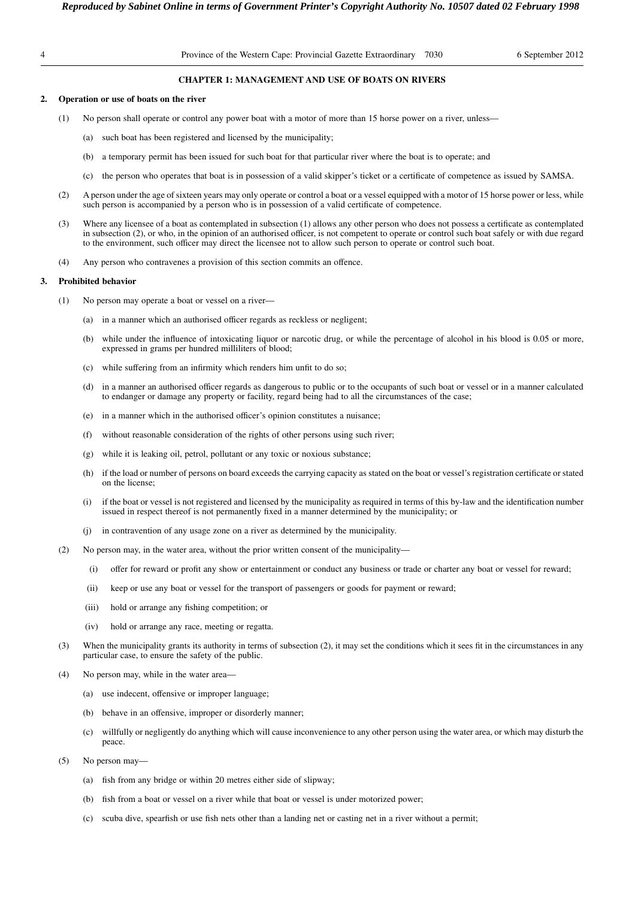# **CHAPTER 1: MANAGEMENT AND USE OF BOATS ON RIVERS**

# **2. Operation or use of boats on the river**

- (1) No person shall operate or control any power boat with a motor of more than 15 horse power on a river, unless—
	- (a) such boat has been registered and licensed by the municipality;
	- (b) a temporary permit has been issued for such boat for that particular river where the boat is to operate; and
	- (c) the person who operates that boat is in possession of a valid skipper's ticket or a certificate of competence as issued by SAMSA.
- (2) A person under the age of sixteen years may only operate or control a boat or a vessel equipped with a motor of 15 horse power or less, while such person is accompanied by a person who is in possession of a valid certificate of competence.
- (3) Where any licensee of a boat as contemplated in subsection (1) allows any other person who does not possess a certificate as contemplated in subsection (2), or who, in the opinion of an authorised officer, is not competent to operate or control such boat safely or with due regard to the environment, such officer may direct the licensee not to allow such person to operate or control such boat.
- (4) Any person who contravenes a provision of this section commits an offence.

## **3. Prohibited behavior**

- (1) No person may operate a boat or vessel on a river—
	- (a) in a manner which an authorised officer regards as reckless or negligent;
	- (b) while under the influence of intoxicating liquor or narcotic drug, or while the percentage of alcohol in his blood is 0.05 or more, expressed in grams per hundred milliliters of blood;
	- (c) while suffering from an infirmity which renders him unfit to do so;
	- (d) in a manner an authorised officer regards as dangerous to public or to the occupants of such boat or vessel or in a manner calculated to endanger or damage any property or facility, regard being had to all the circumstances of the case;
	- (e) in a manner which in the authorised officer's opinion constitutes a nuisance;
	- (f) without reasonable consideration of the rights of other persons using such river;
	- (g) while it is leaking oil, petrol, pollutant or any toxic or noxious substance;
	- (h) if the load or number of persons on board exceeds the carrying capacity as stated on the boat or vessel's registration certificate or stated on the license;
	- (i) if the boat or vessel is not registered and licensed by the municipality as required in terms of this by-law and the identification number issued in respect thereof is not permanently fixed in a manner determined by the municipality; or
	- (j) in contravention of any usage zone on a river as determined by the municipality.
- (2) No person may, in the water area, without the prior written consent of the municipality—
	- (i) offer for reward or profit any show or entertainment or conduct any business or trade or charter any boat or vessel for reward;
	- (ii) keep or use any boat or vessel for the transport of passengers or goods for payment or reward;
	- (iii) hold or arrange any fishing competition; or
	- (iv) hold or arrange any race, meeting or regatta.
- (3) When the municipality grants its authority in terms of subsection (2), it may set the conditions which it sees fit in the circumstances in any particular case, to ensure the safety of the public.
- (4) No person may, while in the water area—
	- (a) use indecent, offensive or improper language;
	- (b) behave in an offensive, improper or disorderly manner;
	- (c) willfully or negligently do anything which will cause inconvenience to any other person using the water area, or which may disturb the peace.
- (5) No person may—
	- (a) fish from any bridge or within 20 metres either side of slipway;
	- (b) fish from a boat or vessel on a river while that boat or vessel is under motorized power;
	- (c) scuba dive, spearfish or use fish nets other than a landing net or casting net in a river without a permit;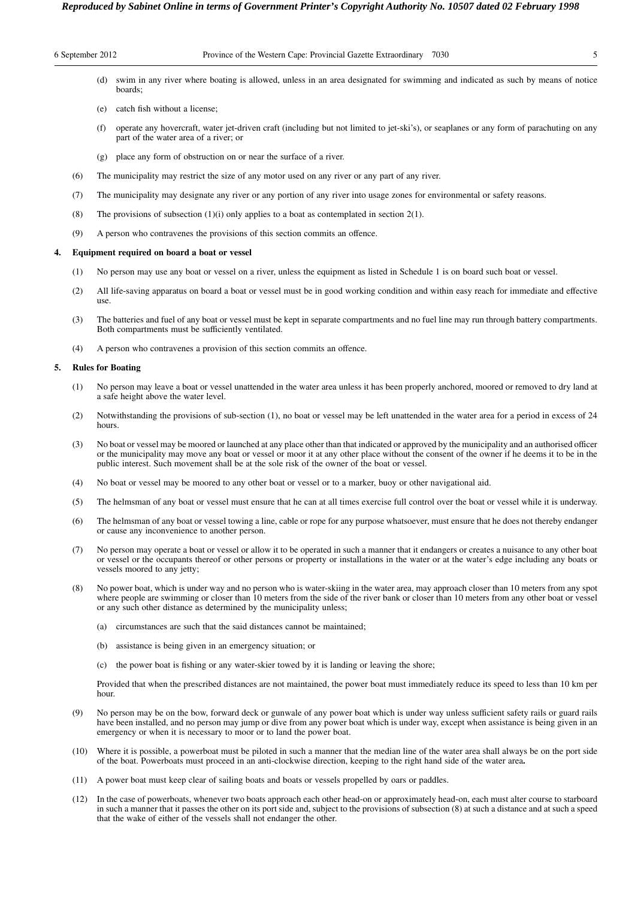# 6 September 2012 Province of the Western Cape: Provincial Gazette Extraordinary 7030 5

(d) swim in any river where boating is allowed, unless in an area designated for swimming and indicated as such by means of notice boards;

- (e) catch fish without a license;
- (f) operate any hovercraft, water jet-driven craft (including but not limited to jet-ski's), or seaplanes or any form of parachuting on any part of the water area of a river; or
- (g) place any form of obstruction on or near the surface of a river.
- (6) The municipality may restrict the size of any motor used on any river or any part of any river.
- (7) The municipality may designate any river or any portion of any river into usage zones for environmental or safety reasons.
- (8) The provisions of subsection  $(1)(i)$  only applies to a boat as contemplated in section  $2(1)$ .
- (9) A person who contravenes the provisions of this section commits an offence.

#### **4. Equipment required on board a boat or vessel**

- (1) No person may use any boat or vessel on a river, unless the equipment as listed in Schedule 1 is on board such boat or vessel.
- (2) All life-saving apparatus on board a boat or vessel must be in good working condition and within easy reach for immediate and effective use.
- (3) The batteries and fuel of any boat or vessel must be kept in separate compartments and no fuel line may run through battery compartments. Both compartments must be sufficiently ventilated.
- (4) A person who contravenes a provision of this section commits an offence.

#### **5. Rules for Boating**

- (1) No person may leave a boat or vessel unattended in the water area unless it has been properly anchored, moored or removed to dry land at a safe height above the water level.
- (2) Notwithstanding the provisions of sub-section (1), no boat or vessel may be left unattended in the water area for a period in excess of 24 hours.
- (3) No boat or vessel may be moored or launched at any place other than that indicated or approved by the municipality and an authorised officer or the municipality may move any boat or vessel or moor it at any other place without the consent of the owner if he deems it to be in the public interest. Such movement shall be at the sole risk of the owner of the boat or vessel.
- (4) No boat or vessel may be moored to any other boat or vessel or to a marker, buoy or other navigational aid.
- (5) The helmsman of any boat or vessel must ensure that he can at all times exercise full control over the boat or vessel while it is underway.
- (6) The helmsman of any boat or vessel towing a line, cable or rope for any purpose whatsoever, must ensure that he does not thereby endanger or cause any inconvenience to another person.
- (7) No person may operate a boat or vessel or allow it to be operated in such a manner that it endangers or creates a nuisance to any other boat or vessel or the occupants thereof or other persons or property or installations in the water or at the water's edge including any boats or vessels moored to any jetty;
- (8) No power boat, which is under way and no person who is water-skiing in the water area, may approach closer than 10 meters from any spot where people are swimming or closer than 10 meters from the side of the river bank or closer than 10 meters from any other boat or vessel or any such other distance as determined by the municipality unless;
	- (a) circumstances are such that the said distances cannot be maintained;
	- (b) assistance is being given in an emergency situation; or
	- (c) the power boat is fishing or any water-skier towed by it is landing or leaving the shore;

Provided that when the prescribed distances are not maintained, the power boat must immediately reduce its speed to less than 10 km per hour.

- (9) No person may be on the bow, forward deck or gunwale of any power boat which is under way unless sufficient safety rails or guard rails have been installed, and no person may jump or dive from any power boat which is under way, except when assistance is being given in an emergency or when it is necessary to moor or to land the power boat.
- (10) Where it is possible, a powerboat must be piloted in such a manner that the median line of the water area shall always be on the port side of the boat. Powerboats must proceed in an anti-clockwise direction, keeping to the right hand side of the water area**.**
- (11) A power boat must keep clear of sailing boats and boats or vessels propelled by oars or paddles.
- (12) In the case of powerboats, whenever two boats approach each other head-on or approximately head-on, each must alter course to starboard in such a manner that it passes the other on its port side and, subject to the provisions of subsection (8) at such a distance and at such a speed that the wake of either of the vessels shall not endanger the other.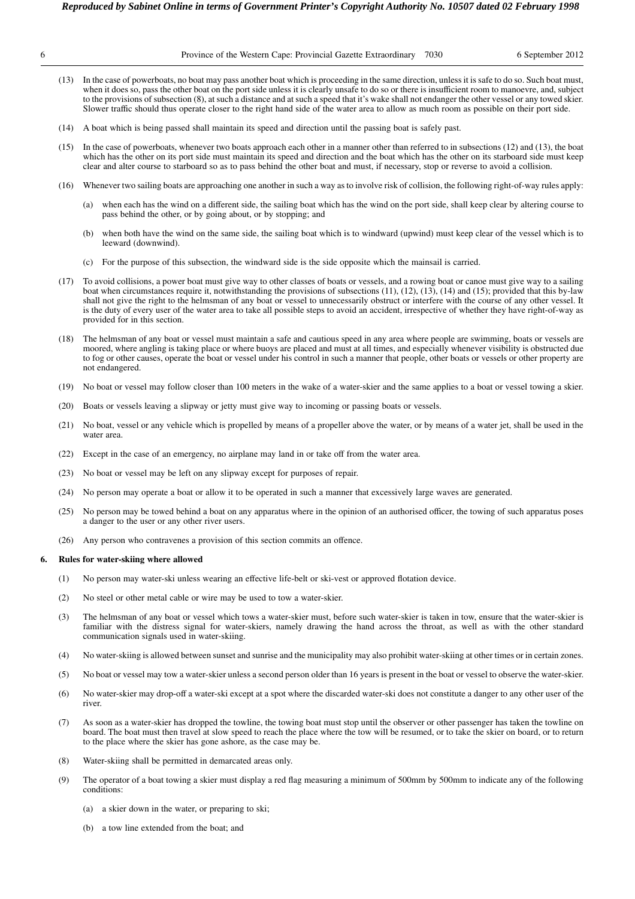| Province of the Western Cape: Provincial Gazette Extraordinary |  |  |  | 703 |  |
|----------------------------------------------------------------|--|--|--|-----|--|
|                                                                |  |  |  |     |  |

- (13) In the case of powerboats, no boat may pass another boat which is proceeding in the same direction, unless it is safe to do so. Such boat must, when it does so, pass the other boat on the port side unless it is clearly unsafe to do so or there is insufficient room to manoevre, and, subject to the provisions of subsection (8), at such a distance and at such a speed that it's wake shall not endanger the other vessel or any towed skier. Slower traffic should thus operate closer to the right hand side of the water area to allow as much room as possible on their port side.
- (14) A boat which is being passed shall maintain its speed and direction until the passing boat is safely past.
- (15) In the case of powerboats, whenever two boats approach each other in a manner other than referred to in subsections (12) and (13), the boat which has the other on its port side must maintain its speed and direction and the boat which has the other on its starboard side must keep clear and alter course to starboard so as to pass behind the other boat and must, if necessary, stop or reverse to avoid a collision.
- (16) Whenever two sailing boats are approaching one another in such a way as to involve risk of collision, the following right-of-way rules apply:
	- (a) when each has the wind on a different side, the sailing boat which has the wind on the port side, shall keep clear by altering course to pass behind the other, or by going about, or by stopping; and
	- (b) when both have the wind on the same side, the sailing boat which is to windward (upwind) must keep clear of the vessel which is to leeward (downwind).
	- (c) For the purpose of this subsection, the windward side is the side opposite which the mainsail is carried.
- (17) To avoid collisions, a power boat must give way to other classes of boats or vessels, and a rowing boat or canoe must give way to a sailing boat when circumstances require it, notwithstanding the provisions of subsections  $(11)$ ,  $(12)$ ,  $(13)$ ,  $(14)$  and  $(15)$ ; provided that this by-law shall not give the right to the helmsman of any boat or vessel to unnecessarily obstruct or interfere with the course of any other vessel. It is the duty of every user of the water area to take all possible steps to avoid an accident, irrespective of whether they have right-of-way as provided for in this section.
- (18) The helmsman of any boat or vessel must maintain a safe and cautious speed in any area where people are swimming, boats or vessels are moored, where angling is taking place or where buoys are placed and must at all times, and especially whenever visibility is obstructed due to fog or other causes, operate the boat or vessel under his control in such a manner that people, other boats or vessels or other property are not endangered.
- (19) No boat or vessel may follow closer than 100 meters in the wake of a water-skier and the same applies to a boat or vessel towing a skier.
- (20) Boats or vessels leaving a slipway or jetty must give way to incoming or passing boats or vessels.
- (21) No boat, vessel or any vehicle which is propelled by means of a propeller above the water, or by means of a water jet, shall be used in the water area.
- (22) Except in the case of an emergency, no airplane may land in or take off from the water area.
- (23) No boat or vessel may be left on any slipway except for purposes of repair.
- (24) No person may operate a boat or allow it to be operated in such a manner that excessively large waves are generated.
- (25) No person may be towed behind a boat on any apparatus where in the opinion of an authorised officer, the towing of such apparatus poses a danger to the user or any other river users.
- (26) Any person who contravenes a provision of this section commits an offence.

# **6. Rules for water-skiing where allowed**

- (1) No person may water-ski unless wearing an effective life-belt or ski-vest or approved flotation device.
- (2) No steel or other metal cable or wire may be used to tow a water-skier.
- (3) The helmsman of any boat or vessel which tows a water-skier must, before such water-skier is taken in tow, ensure that the water-skier is familiar with the distress signal for water-skiers, namely drawing the hand across the throat, as well as with the other standard communication signals used in water-skiing.
- (4) No water-skiing is allowed between sunset and sunrise and the municipality may also prohibit water-skiing at other times or in certain zones.
- (5) No boat or vessel may tow a water-skier unless a second person older than 16 years is present in the boat or vessel to observe the water-skier.
- (6) No water-skier may drop-off a water-ski except at a spot where the discarded water-ski does not constitute a danger to any other user of the river.
- (7) As soon as a water-skier has dropped the towline, the towing boat must stop until the observer or other passenger has taken the towline on board. The boat must then travel at slow speed to reach the place where the tow will be resumed, or to take the skier on board, or to return to the place where the skier has gone ashore, as the case may be.
- (8) Water-skiing shall be permitted in demarcated areas only.
- (9) The operator of a boat towing a skier must display a red flag measuring a minimum of 500mm by 500mm to indicate any of the following conditions:
	- (a) a skier down in the water, or preparing to ski;
	- (b) a tow line extended from the boat; and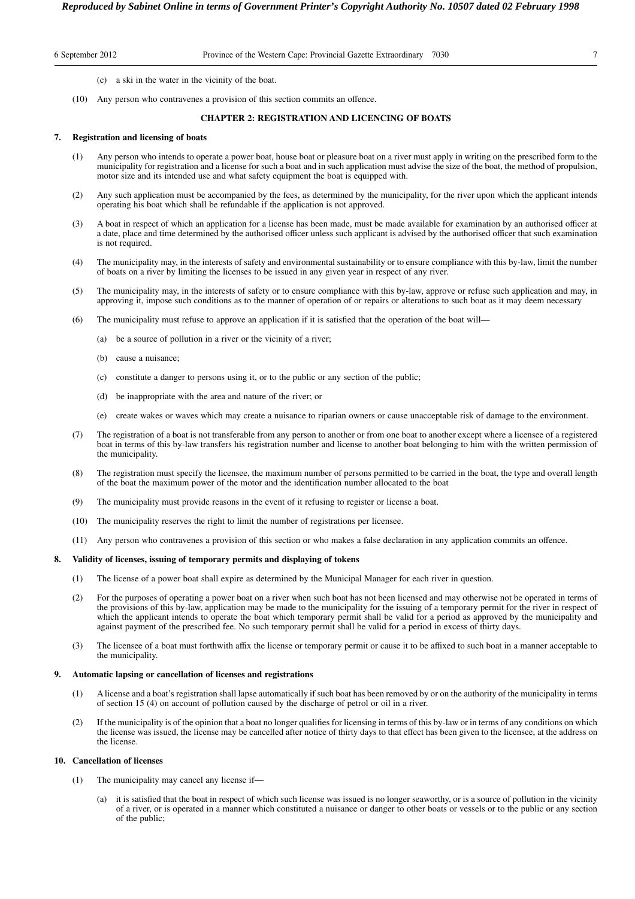6 September 2012 Province of the Western Cape: Provincial Gazette Extraordinary 7030 7

- (c) a ski in the water in the vicinity of the boat.
- (10) Any person who contravenes a provision of this section commits an offence.

# **CHAPTER 2: REGISTRATION AND LICENCING OF BOATS**

# **7. Registration and licensing of boats**

- (1) Any person who intends to operate a power boat, house boat or pleasure boat on a river must apply in writing on the prescribed form to the municipality for registration and a license for such a boat and in such application must advise the size of the boat, the method of propulsion, motor size and its intended use and what safety equipment the boat is equipped with.
- (2) Any such application must be accompanied by the fees, as determined by the municipality, for the river upon which the applicant intends operating his boat which shall be refundable if the application is not approved.
- (3) A boat in respect of which an application for a license has been made, must be made available for examination by an authorised officer at a date, place and time determined by the authorised officer unless such applicant is advised by the authorised officer that such examination is not required.
- (4) The municipality may, in the interests of safety and environmental sustainability or to ensure compliance with this by-law, limit the number of boats on a river by limiting the licenses to be issued in any given year in respect of any river.
- (5) The municipality may, in the interests of safety or to ensure compliance with this by-law, approve or refuse such application and may, in approving it, impose such conditions as to the manner of operation of or repairs or alterations to such boat as it may deem necessary
- (6) The municipality must refuse to approve an application if it is satisfied that the operation of the boat will—
	- (a) be a source of pollution in a river or the vicinity of a river;
	- (b) cause a nuisance;
	- (c) constitute a danger to persons using it, or to the public or any section of the public;
	- (d) be inappropriate with the area and nature of the river; or
	- (e) create wakes or waves which may create a nuisance to riparian owners or cause unacceptable risk of damage to the environment.
- (7) The registration of a boat is not transferable from any person to another or from one boat to another except where a licensee of a registered boat in terms of this by-law transfers his registration number and license to another boat belonging to him with the written permission of the municipality.
- (8) The registration must specify the licensee, the maximum number of persons permitted to be carried in the boat, the type and overall length of the boat the maximum power of the motor and the identification number allocated to the boat
- (9) The municipality must provide reasons in the event of it refusing to register or license a boat.
- (10) The municipality reserves the right to limit the number of registrations per licensee.
- (11) Any person who contravenes a provision of this section or who makes a false declaration in any application commits an offence.

# **8. Validity of licenses, issuing of temporary permits and displaying of tokens**

- (1) The license of a power boat shall expire as determined by the Municipal Manager for each river in question.
- (2) For the purposes of operating a power boat on a river when such boat has not been licensed and may otherwise not be operated in terms of the provisions of this by-law, application may be made to the municipality for the issuing of a temporary permit for the river in respect of which the applicant intends to operate the boat which temporary permit shall be valid for a period as approved by the municipality and against payment of the prescribed fee. No such temporary permit shall be valid for a period in excess of thirty days.
- (3) The licensee of a boat must forthwith affix the license or temporary permit or cause it to be affixed to such boat in a manner acceptable to the municipality.

#### **9. Automatic lapsing or cancellation of licenses and registrations**

- (1) A license and a boat's registration shall lapse automatically if such boat has been removed by or on the authority of the municipality in terms of section 15 (4) on account of pollution caused by the discharge of petrol or oil in a river.
- (2) If the municipality is of the opinion that a boat no longer qualifies for licensing in terms of this by-law or in terms of any conditions on which the license was issued, the license may be cancelled after notice of thirty days to that effect has been given to the licensee, at the address on the license.

#### **10. Cancellation of licenses**

- (1) The municipality may cancel any license if
	- it is satisfied that the boat in respect of which such license was issued is no longer seaworthy, or is a source of pollution in the vicinity of a river, or is operated in a manner which constituted a nuisance or danger to other boats or vessels or to the public or any section of the public;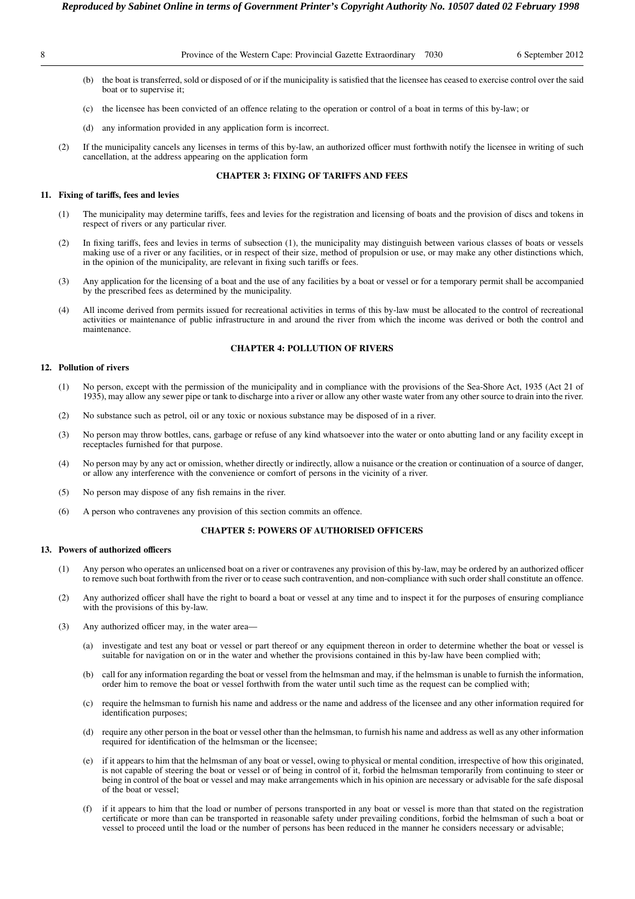- (b) the boat is transferred, sold or disposed of or if the municipality is satisfied that the licensee has ceased to exercise control over the said boat or to supervise it;
- (c) the licensee has been convicted of an offence relating to the operation or control of a boat in terms of this by-law; or
- (d) any information provided in any application form is incorrect.
- (2) If the municipality cancels any licenses in terms of this by-law, an authorized officer must forthwith notify the licensee in writing of such cancellation, at the address appearing on the application form

# **CHAPTER 3: FIXING OF TARIFFS AND FEES**

# **11. Fixing of tariffs, fees and levies**

- (1) The municipality may determine tariffs, fees and levies for the registration and licensing of boats and the provision of discs and tokens in respect of rivers or any particular river.
- (2) In fixing tariffs, fees and levies in terms of subsection (1), the municipality may distinguish between various classes of boats or vessels making use of a river or any facilities, or in respect of their size, method of propulsion or use, or may make any other distinctions which, in the opinion of the municipality, are relevant in fixing such tariffs or fees.
- (3) Any application for the licensing of a boat and the use of any facilities by a boat or vessel or for a temporary permit shall be accompanied by the prescribed fees as determined by the municipality.
- (4) All income derived from permits issued for recreational activities in terms of this by-law must be allocated to the control of recreational activities or maintenance of public infrastructure in and around the river from which the income was derived or both the control and maintenance.

# **CHAPTER 4: POLLUTION OF RIVERS**

# **12. Pollution of rivers**

- (1) No person, except with the permission of the municipality and in compliance with the provisions of the Sea-Shore Act, 1935 (Act 21 of 1935), may allow any sewer pipe or tank to discharge into a river or allow any other waste water from any other source to drain into the river.
- (2) No substance such as petrol, oil or any toxic or noxious substance may be disposed of in a river.
- (3) No person may throw bottles, cans, garbage or refuse of any kind whatsoever into the water or onto abutting land or any facility except in receptacles furnished for that purpose.
- (4) No person may by any act or omission, whether directly or indirectly, allow a nuisance or the creation or continuation of a source of danger, or allow any interference with the convenience or comfort of persons in the vicinity of a river.
- (5) No person may dispose of any fish remains in the river.
- (6) A person who contravenes any provision of this section commits an offence.

# **CHAPTER 5: POWERS OF AUTHORISED OFFICERS**

#### **13. Powers of authorized officers**

- (1) Any person who operates an unlicensed boat on a river or contravenes any provision of this by-law, may be ordered by an authorized officer to remove such boat forthwith from the river or to cease such contravention, and non-compliance with such order shall constitute an offence.
- (2) Any authorized officer shall have the right to board a boat or vessel at any time and to inspect it for the purposes of ensuring compliance with the provisions of this by-law.
- (3) Any authorized officer may, in the water area—
	- (a) investigate and test any boat or vessel or part thereof or any equipment thereon in order to determine whether the boat or vessel is suitable for navigation on or in the water and whether the provisions contained in this by-law have been complied with;
	- (b) call for any information regarding the boat or vessel from the helmsman and may, if the helmsman is unable to furnish the information, order him to remove the boat or vessel forthwith from the water until such time as the request can be complied with;
	- require the helmsman to furnish his name and address or the name and address of the licensee and any other information required for identification purposes;
	- (d) require any other person in the boat or vessel other than the helmsman, to furnish his name and address as well as any other information required for identification of the helmsman or the licensee;
	- if it appears to him that the helmsman of any boat or vessel, owing to physical or mental condition, irrespective of how this originated, is not capable of steering the boat or vessel or of being in control of it, forbid the helmsman temporarily from continuing to steer or being in control of the boat or vessel and may make arrangements which in his opinion are necessary or advisable for the safe disposal of the boat or vessel;
	- (f) if it appears to him that the load or number of persons transported in any boat or vessel is more than that stated on the registration certificate or more than can be transported in reasonable safety under prevailing conditions, forbid the helmsman of such a boat or vessel to proceed until the load or the number of persons has been reduced in the manner he considers necessary or advisable;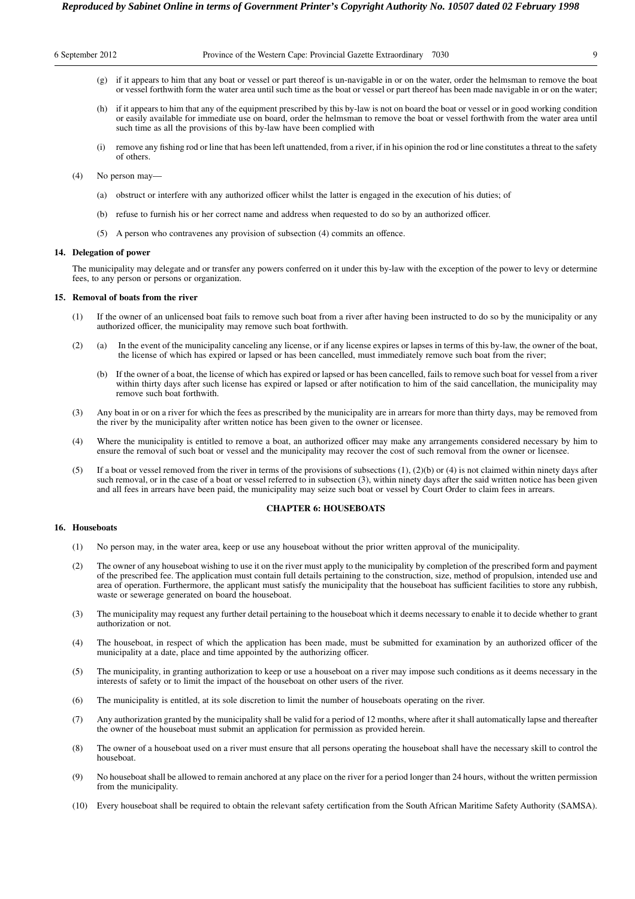| 6 September 2012 |  |  |  |  |  |  |
|------------------|--|--|--|--|--|--|
|------------------|--|--|--|--|--|--|

- (g) if it appears to him that any boat or vessel or part thereof is un-navigable in or on the water, order the helmsman to remove the boat or vessel forthwith form the water area until such time as the boat or vessel or part thereof has been made navigable in or on the water;
- (h) if it appears to him that any of the equipment prescribed by this by-law is not on board the boat or vessel or in good working condition or easily available for immediate use on board, order the helmsman to remove the boat or vessel forthwith from the water area until such time as all the provisions of this by-law have been complied with
- (i) remove any fishing rod or line that has been left unattended, from a river, if in his opinion the rod or line constitutes a threat to the safety of others.
- (4) No person may—
	- (a) obstruct or interfere with any authorized officer whilst the latter is engaged in the execution of his duties; of
	- (b) refuse to furnish his or her correct name and address when requested to do so by an authorized officer.
	- (5) A person who contravenes any provision of subsection (4) commits an offence.

# **14. Delegation of power**

The municipality may delegate and or transfer any powers conferred on it under this by-law with the exception of the power to levy or determine fees, to any person or persons or organization.

# **15. Removal of boats from the river**

- (1) If the owner of an unlicensed boat fails to remove such boat from a river after having been instructed to do so by the municipality or any authorized officer, the municipality may remove such boat forthwith.
- (2) (a) In the event of the municipality canceling any license, or if any license expires or lapses in terms of this by-law, the owner of the boat, the license of which has expired or lapsed or has been cancelled, must immediately remove such boat from the river;
	- (b) If the owner of a boat, the license of which has expired or lapsed or has been cancelled, fails to remove such boat for vessel from a river within thirty days after such license has expired or lapsed or after notification to him of the said cancellation, the municipality may remove such boat forthwith.
- (3) Any boat in or on a river for which the fees as prescribed by the municipality are in arrears for more than thirty days, may be removed from the river by the municipality after written notice has been given to the owner or licensee.
- (4) Where the municipality is entitled to remove a boat, an authorized officer may make any arrangements considered necessary by him to ensure the removal of such boat or vessel and the municipality may recover the cost of such removal from the owner or licensee.
- (5) If a boat or vessel removed from the river in terms of the provisions of subsections (1), (2)(b) or (4) is not claimed within ninety days after such removal, or in the case of a boat or vessel referred to in subsection (3), within ninety days after the said written notice has been given and all fees in arrears have been paid, the municipality may seize such boat or vessel by Court Order to claim fees in arrears.

# **CHAPTER 6: HOUSEBOATS**

# **16. Houseboats**

- (1) No person may, in the water area, keep or use any houseboat without the prior written approval of the municipality.
- (2) The owner of any houseboat wishing to use it on the river must apply to the municipality by completion of the prescribed form and payment of the prescribed fee. The application must contain full details pertaining to the construction, size, method of propulsion, intended use and area of operation. Furthermore, the applicant must satisfy the municipality that the houseboat has sufficient facilities to store any rubbish, waste or sewerage generated on board the houseboat.
- (3) The municipality may request any further detail pertaining to the houseboat which it deems necessary to enable it to decide whether to grant authorization or not.
- (4) The houseboat, in respect of which the application has been made, must be submitted for examination by an authorized officer of the municipality at a date, place and time appointed by the authorizing officer.
- (5) The municipality, in granting authorization to keep or use a houseboat on a river may impose such conditions as it deems necessary in the interests of safety or to limit the impact of the houseboat on other users of the river.
- (6) The municipality is entitled, at its sole discretion to limit the number of houseboats operating on the river.
- (7) Any authorization granted by the municipality shall be valid for a period of 12 months, where after it shall automatically lapse and thereafter the owner of the houseboat must submit an application for permission as provided herein.
- (8) The owner of a houseboat used on a river must ensure that all persons operating the houseboat shall have the necessary skill to control the houseboat.
- (9) No houseboat shall be allowed to remain anchored at any place on the river for a period longer than 24 hours, without the written permission from the municipality.
- (10) Every houseboat shall be required to obtain the relevant safety certification from the South African Maritime Safety Authority (SAMSA).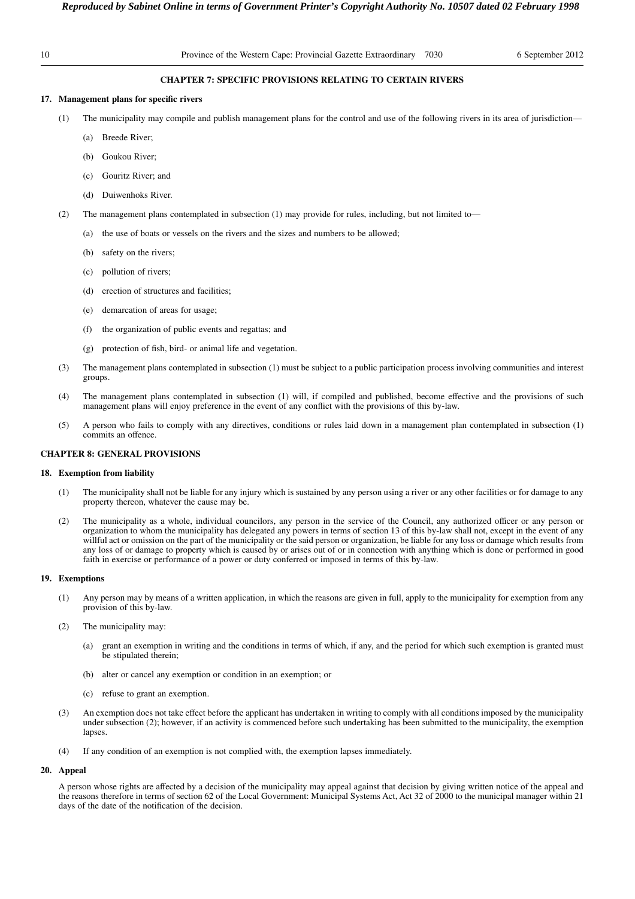# **CHAPTER 7: SPECIFIC PROVISIONS RELATING TO CERTAIN RIVERS**

# **17. Management plans for specific rivers**

- (1) The municipality may compile and publish management plans for the control and use of the following rivers in its area of jurisdiction—
	- (a) Breede River;
	- (b) Goukou River;
	- (c) Gouritz River; and
	- (d) Duiwenhoks River.
- (2) The management plans contemplated in subsection (1) may provide for rules, including, but not limited to—
	- (a) the use of boats or vessels on the rivers and the sizes and numbers to be allowed;
	- (b) safety on the rivers;
	- (c) pollution of rivers;
	- (d) erection of structures and facilities;
	- (e) demarcation of areas for usage;
	- (f) the organization of public events and regattas; and
	- (g) protection of fish, bird- or animal life and vegetation.
- (3) The management plans contemplated in subsection (1) must be subject to a public participation process involving communities and interest groups.
- (4) The management plans contemplated in subsection (1) will, if compiled and published, become effective and the provisions of such management plans will enjoy preference in the event of any conflict with the provisions of this by-law.
- (5) A person who fails to comply with any directives, conditions or rules laid down in a management plan contemplated in subsection (1) commits an offence.

# **CHAPTER 8: GENERAL PROVISIONS**

#### **18. Exemption from liability**

- (1) The municipality shall not be liable for any injury which is sustained by any person using a river or any other facilities or for damage to any property thereon, whatever the cause may be.
- (2) The municipality as a whole, individual councilors, any person in the service of the Council, any authorized officer or any person or organization to whom the municipality has delegated any powers in terms of section 13 of this by-law shall not, except in the event of any willful act or omission on the part of the municipality or the said person or organization, be liable for any loss or damage which results from any loss of or damage to property which is caused by or arises out of or in connection with anything which is done or performed in good faith in exercise or performance of a power or duty conferred or imposed in terms of this by-law.

# **19. Exemptions**

- (1) Any person may by means of a written application, in which the reasons are given in full, apply to the municipality for exemption from any provision of this by-law.
- (2) The municipality may:
	- (a) grant an exemption in writing and the conditions in terms of which, if any, and the period for which such exemption is granted must be stipulated therein;
	- (b) alter or cancel any exemption or condition in an exemption; or
	- (c) refuse to grant an exemption.
- (3) An exemption does not take effect before the applicant has undertaken in writing to comply with all conditions imposed by the municipality under subsection (2); however, if an activity is commenced before such undertaking has been submitted to the municipality, the exemption lapses.
- (4) If any condition of an exemption is not complied with, the exemption lapses immediately.

# **20. Appeal**

A person whose rights are affected by a decision of the municipality may appeal against that decision by giving written notice of the appeal and the reasons therefore in terms of section 62 of the Local Government: Municipal Systems Act, Act 32 of 2000 to the municipal manager within 21 days of the date of the notification of the decision.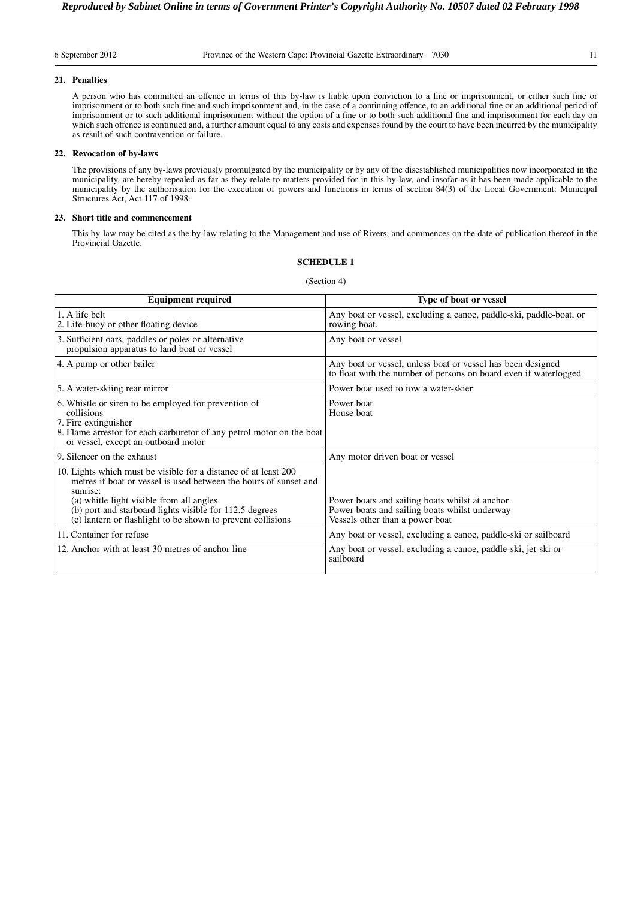### **21. Penalties**

A person who has committed an offence in terms of this by-law is liable upon conviction to a fine or imprisonment, or either such fine or imprisonment or to both such fine and such imprisonment and, in the case of a continuing offence, to an additional fine or an additional period of imprisonment or to such additional imprisonment without the option of a fine or to both such additional fine and imprisonment for each day on which such offence is continued and, a further amount equal to any costs and expenses found by the court to have been incurred by the municipality as result of such contravention or failure.

# **22. Revocation of by-laws**

The provisions of any by-laws previously promulgated by the municipality or by any of the disestablished municipalities now incorporated in the municipality, are hereby repealed as far as they relate to matters provided for in this by-law, and insofar as it has been made applicable to the municipality by the authorisation for the execution of powers and functions in terms of section 84(3) of the Local Government: Municipal Structures Act, Act 117 of 1998.

# **23. Short title and commencement**

This by-law may be cited as the by-law relating to the Management and use of Rivers, and commences on the date of publication thereof in the Provincial Gazette.

|                                                                                                                                                                                                                                                                                                                       | (Section 4)                                                                                                                        |
|-----------------------------------------------------------------------------------------------------------------------------------------------------------------------------------------------------------------------------------------------------------------------------------------------------------------------|------------------------------------------------------------------------------------------------------------------------------------|
| <b>Equipment required</b>                                                                                                                                                                                                                                                                                             | Type of boat or vessel                                                                                                             |
| 1. A life belt<br>2. Life-buoy or other floating device                                                                                                                                                                                                                                                               | Any boat or vessel, excluding a canoe, paddle-ski, paddle-boat, or<br>rowing boat.                                                 |
| 3. Sufficient oars, paddles or poles or alternative<br>propulsion apparatus to land boat or vessel                                                                                                                                                                                                                    | Any boat or vessel                                                                                                                 |
| 4. A pump or other bailer                                                                                                                                                                                                                                                                                             | Any boat or vessel, unless boat or vessel has been designed<br>to float with the number of persons on board even if waterlogged    |
| 5. A water-skiing rear mirror                                                                                                                                                                                                                                                                                         | Power boat used to tow a water-skier                                                                                               |
| 6. Whistle or siren to be employed for prevention of<br>collisions<br>7. Fire extinguisher<br>8. Flame arrestor for each carburetor of any petrol motor on the boat<br>or vessel, except an outboard motor                                                                                                            | Power boat<br>House boat                                                                                                           |
| 9. Silencer on the exhaust                                                                                                                                                                                                                                                                                            | Any motor driven boat or vessel                                                                                                    |
| 10. Lights which must be visible for a distance of at least 200<br>metres if boat or vessel is used between the hours of sunset and<br>sunrise:<br>(a) whitle light visible from all angles<br>(b) port and starboard lights visible for 112.5 degrees<br>(c) lantern or flashlight to be shown to prevent collisions | Power boats and sailing boats whilst at anchor<br>Power boats and sailing boats whilst underway<br>Vessels other than a power boat |
| 11. Container for refuse                                                                                                                                                                                                                                                                                              | Any boat or vessel, excluding a canoe, paddle-ski or sailboard                                                                     |
| 12. Anchor with at least 30 metres of anchor line                                                                                                                                                                                                                                                                     | Any boat or vessel, excluding a canoe, paddle-ski, jet-ski or<br>sailboard                                                         |

# **SCHEDULE 1**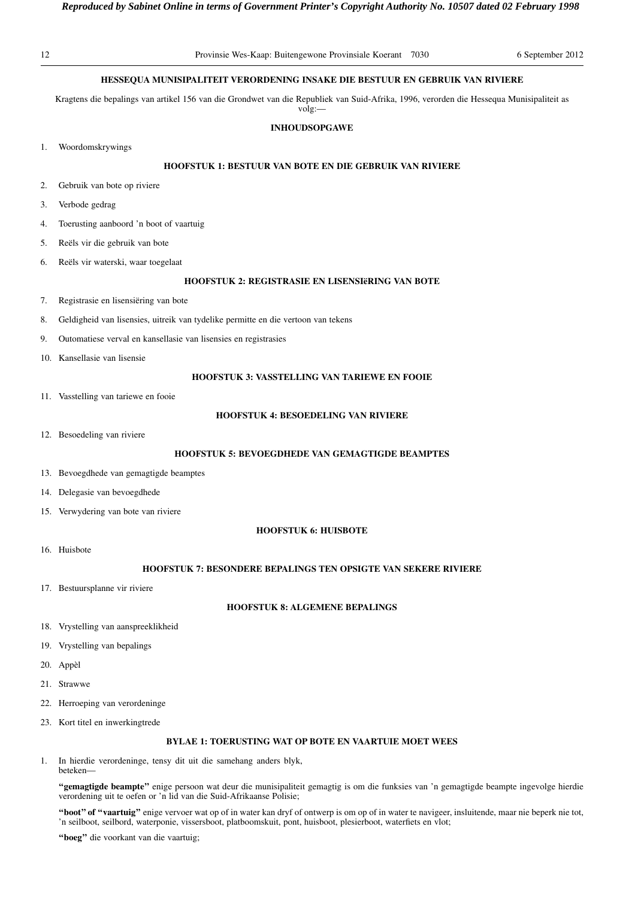| 12 | Provinsie Wes-Kaap: Buitengewone Provinsiale Koerant 7030<br>6 September 2012                                                                     |
|----|---------------------------------------------------------------------------------------------------------------------------------------------------|
|    | HESSEQUA MUNISIPALITEIT VERORDENING INSAKE DIE BESTUUR EN GEBRUIK VAN RIVIERE                                                                     |
|    | Kragtens die bepalings van artikel 156 van die Grondwet van die Republiek van Suid-Afrika, 1996, verorden die Hessequa Munisipaliteit as<br>volg: |
|    | <b>INHOUDSOPGAWE</b>                                                                                                                              |
| 1. | Woordomskrywings                                                                                                                                  |
|    | <b>HOOFSTUK 1: BESTUUR VAN BOTE EN DIE GEBRUIK VAN RIVIERE</b>                                                                                    |
| 2. | Gebruik van bote op riviere                                                                                                                       |
| 3. | Verbode gedrag                                                                                                                                    |
| 4. | Toerusting aanboord 'n boot of vaartuig                                                                                                           |
| 5. | Reëls vir die gebruik van bote                                                                                                                    |
| 6. | Reëls vir waterski, waar toegelaat                                                                                                                |
|    | <b>HOOFSTUK 2: REGISTRASIE EN LISENSIËRING VAN BOTE</b>                                                                                           |
| 7. | Registrasie en lisensiëring van bote                                                                                                              |
| 8. | Geldigheid van lisensies, uitreik van tydelike permitte en die vertoon van tekens                                                                 |
| 9. | Outomatiese verval en kansellasie van lisensies en registrasies                                                                                   |
|    | 10. Kansellasie van lisensie                                                                                                                      |
|    | <b>HOOFSTUK 3: VASSTELLING VAN TARIEWE EN FOOIE</b>                                                                                               |
|    | 11. Vasstelling van tariewe en fooie                                                                                                              |
|    | <b>HOOFSTUK 4: BESOEDELING VAN RIVIERE</b>                                                                                                        |
|    | 12. Besoedeling van riviere                                                                                                                       |
|    | HOOFSTUK 5: BEVOEGDHEDE VAN GEMAGTIGDE BEAMPTES                                                                                                   |
|    | 13. Bevoegdhede van gemagtigde beamptes                                                                                                           |
|    | 14. Delegasie van bevoegdhede                                                                                                                     |
|    | 15. Verwydering van bote van riviere                                                                                                              |
|    | <b>HOOFSTUK 6: HUISBOTE</b>                                                                                                                       |
|    | 16. Huisbote                                                                                                                                      |
|    | <b>HOOFSTUK 7: BESONDERE BEPALINGS TEN OPSIGTE VAN SEKERE RIVIERE</b>                                                                             |
|    | 17. Bestuursplanne vir riviere                                                                                                                    |
|    | <b>HOOFSTUK 8: ALGEMENE BEPALINGS</b>                                                                                                             |
|    | 18. Vrystelling van aanspreeklikheid                                                                                                              |
|    | 19. Vrystelling van bepalings                                                                                                                     |
|    | 20. Appèl                                                                                                                                         |
|    | 21. Strawwe                                                                                                                                       |
|    | 22. Herroeping van verordeninge                                                                                                                   |
|    | 23. Kort titel en inwerkingtrede                                                                                                                  |

1. In hierdie verordeninge, tensy dit uit die samehang anders blyk, beteken—

**''gemagtigde beampte''** enige persoon wat deur die munisipaliteit gemagtig is om die funksies van 'n gemagtigde beampte ingevolge hierdie verordening uit te oefen or 'n lid van die Suid-Afrikaanse Polisie;

**''boot'' of ''vaartuig''** enige vervoer wat op of in water kan dryf of ontwerp is om op of in water te navigeer, insluitende, maar nie beperk nie tot, 'n seilboot, seilbord, waterponie, vissersboot, platboomskuit, pont, huisboot, plesierboot, waterfiets en vlot;

**''boeg''** die voorkant van die vaartuig;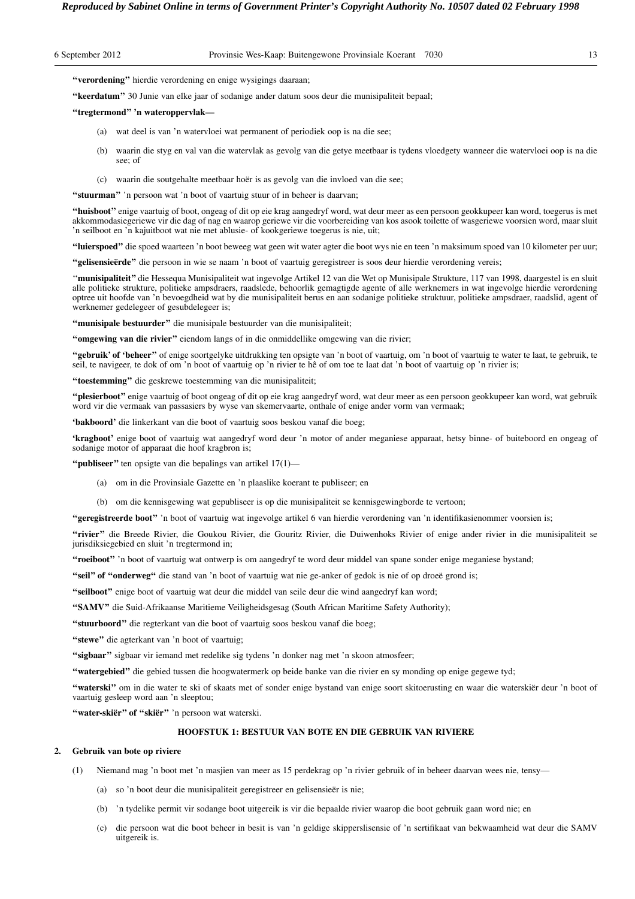|  | 6 September 2012 |  |  |  |
|--|------------------|--|--|--|
|--|------------------|--|--|--|

**''verordening''** hierdie verordening en enige wysigings daaraan;

**''keerdatum''** 30 Junie van elke jaar of sodanige ander datum soos deur die munisipaliteit bepaal;

#### **''tregtermond'' 'n wateroppervlak—**

- (a) wat deel is van 'n watervloei wat permanent of periodiek oop is na die see;
- (b) waarin die styg en val van die watervlak as gevolg van die getye meetbaar is tydens vloedgety wanneer die watervloei oop is na die see; of
- (c) waarin die soutgehalte meetbaar hoër is as gevolg van die invloed van die see;

**''stuurman''** 'n persoon wat 'n boot of vaartuig stuur of in beheer is daarvan;

**''huisboot''** enige vaartuig of boot, ongeag of dit op eie krag aangedryf word, wat deur meer as een persoon geokkupeer kan word, toegerus is met akkommodasiegeriewe vir die dag of nag en waarop geriewe vir die voorbereiding van kos asook toilette of wasgeriewe voorsien word, maar sluit 'n seilboot en 'n kajuitboot wat nie met ablusie- of kookgeriewe toegerus is nie, uit;

**''luierspoed''** die spoed waarteen 'n boot beweeg wat geen wit water agter die boot wys nie en teen 'n maksimum spoed van 10 kilometer per uur;

**''gelisensieërde''** die persoon in wie se naam 'n boot of vaartuig geregistreer is soos deur hierdie verordening vereis;

''**munisipaliteit''** die Hessequa Munisipaliteit wat ingevolge Artikel 12 van die Wet op Munisipale Strukture, 117 van 1998, daargestel is en sluit alle politieke strukture, politieke ampsdraers, raadslede, behoorlik gemagtigde agente of alle werknemers in wat ingevolge hierdie verordening optree uit hoofde van 'n bevoegdheid wat by die munisipaliteit berus en aan sodanige politieke struktuur, politieke ampsdraer, raadslid, agent of werknemer gedelegeer of gesubdelegeer is;

**''munisipale bestuurder''** die munisipale bestuurder van die munisipaliteit;

**''omgewing van die rivier''** eiendom langs of in die onmiddellike omgewing van die rivier;

**''gebruik' of 'beheer''** of enige soortgelyke uitdrukking ten opsigte van 'n boot of vaartuig, om 'n boot of vaartuig te water te laat, te gebruik, te seil, te navigeer, te dok of om 'n boot of vaartuig op 'n rivier te hê of om toe te laat dat 'n boot of vaartuig op 'n rivier is;

**''toestemming''** die geskrewe toestemming van die munisipaliteit;

**''plesierboot''** enige vaartuig of boot ongeag of dit op eie krag aangedryf word, wat deur meer as een persoon geokkupeer kan word, wat gebruik word vir die vermaak van passasiers by wyse van skemervaarte, onthale of enige ander vorm van vermaak;

**'bakboord'** die linkerkant van die boot of vaartuig soos beskou vanaf die boeg;

**'kragboot'** enige boot of vaartuig wat aangedryf word deur 'n motor of ander meganiese apparaat, hetsy binne- of buiteboord en ongeag of sodanige motor of apparaat die hoof kragbron is;

**''publiseer''** ten opsigte van die bepalings van artikel 17(1)—

- (a) om in die Provinsiale Gazette en 'n plaaslike koerant te publiseer; en
- (b) om die kennisgewing wat gepubliseer is op die munisipaliteit se kennisgewingborde te vertoon;

**''geregistreerde boot''** 'n boot of vaartuig wat ingevolge artikel 6 van hierdie verordening van 'n identifikasienommer voorsien is;

**''rivier''** die Breede Rivier, die Goukou Rivier, die Gouritz Rivier, die Duiwenhoks Rivier of enige ander rivier in die munisipaliteit se jurisdiksiegebied en sluit 'n tregtermond in;

**''roeiboot''** 'n boot of vaartuig wat ontwerp is om aangedryf te word deur middel van spane sonder enige meganiese bystand;

**''seil'' of ''onderweg''** die stand van 'n boot of vaartuig wat nie ge-anker of gedok is nie of op droeë grond is;

**''seilboot''** enige boot of vaartuig wat deur die middel van seile deur die wind aangedryf kan word;

**''SAMV''** die Suid-Afrikaanse Maritieme Veiligheidsgesag (South African Maritime Safety Authority);

**''stuurboord''** die regterkant van die boot of vaartuig soos beskou vanaf die boeg;

"stewe" die agterkant van 'n boot of vaartuig;

**''sigbaar''** sigbaar vir iemand met redelike sig tydens 'n donker nag met 'n skoon atmosfeer;

**''watergebied''** die gebied tussen die hoogwatermerk op beide banke van die rivier en sy monding op enige gegewe tyd;

**''waterski''** om in die water te ski of skaats met of sonder enige bystand van enige soort skitoerusting en waar die waterskiër deur 'n boot of vaartuig gesleep word aan 'n sleeptou;

**''water-skiër'' of ''skiër''** 'n persoon wat waterski.

# **HOOFSTUK 1: BESTUUR VAN BOTE EN DIE GEBRUIK VAN RIVIERE**

# **2. Gebruik van bote op riviere**

- (1) Niemand mag 'n boot met 'n masjien van meer as 15 perdekrag op 'n rivier gebruik of in beheer daarvan wees nie, tensy—
	- (a) so 'n boot deur die munisipaliteit geregistreer en gelisensieër is nie;
	- (b) 'n tydelike permit vir sodange boot uitgereik is vir die bepaalde rivier waarop die boot gebruik gaan word nie; en
	- (c) die persoon wat die boot beheer in besit is van 'n geldige skipperslisensie of 'n sertifikaat van bekwaamheid wat deur die SAMV uitgereik is.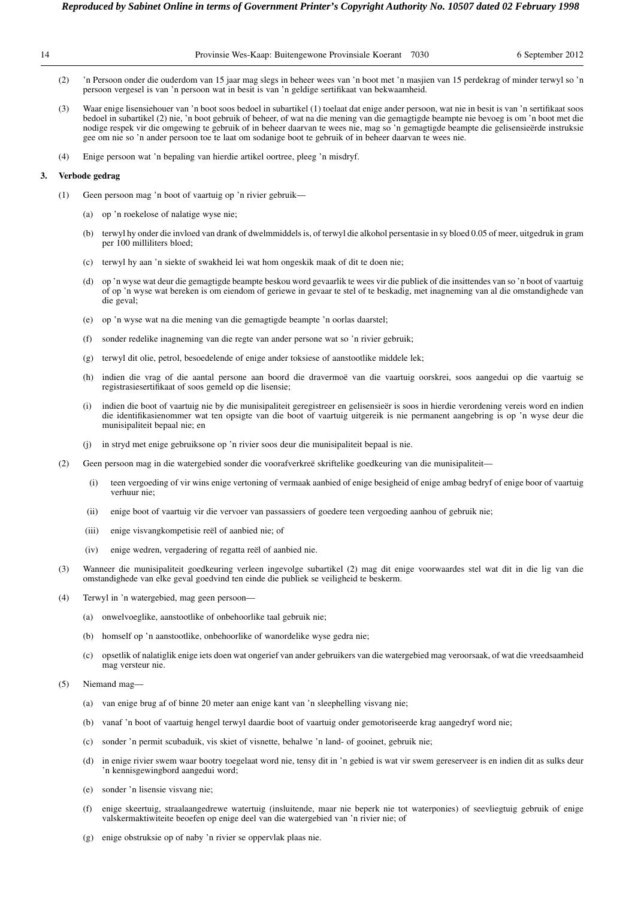| Provinsie Wes-Kaap: Buitengewone Provinsiale Koerant 7030 | 6 September 2012 |
|-----------------------------------------------------------|------------------|
|                                                           |                  |

- (2) 'n Persoon onder die ouderdom van 15 jaar mag slegs in beheer wees van 'n boot met 'n masjien van 15 perdekrag of minder terwyl so 'n persoon vergesel is van 'n persoon wat in besit is van 'n geldige sertifikaat van bekwaamheid.
- (3) Waar enige lisensiehouer van 'n boot soos bedoel in subartikel (1) toelaat dat enige ander persoon, wat nie in besit is van 'n sertifikaat soos bedoel in subartikel (2) nie, 'n boot gebruik of beheer, of wat na die mening van die gemagtigde beampte nie bevoeg is om 'n boot met die nodige respek vir die omgewing te gebruik of in beheer daarvan te wees nie, mag so 'n gemagtigde beampte die gelisensieërde instruksie gee om nie so 'n ander persoon toe te laat om sodanige boot te gebruik of in beheer daarvan te wees nie.
- (4) Enige persoon wat 'n bepaling van hierdie artikel oortree, pleeg 'n misdryf.

#### **3. Verbode gedrag**

- (1) Geen persoon mag 'n boot of vaartuig op 'n rivier gebruik—
	- (a) op 'n roekelose of nalatige wyse nie;
	- (b) terwyl hy onder die invloed van drank of dwelmmiddels is, of terwyl die alkohol persentasie in sy bloed 0.05 of meer, uitgedruk in gram per 100 milliliters bloed;
	- (c) terwyl hy aan 'n siekte of swakheid lei wat hom ongeskik maak of dit te doen nie;
	- (d) op 'n wyse wat deur die gemagtigde beampte beskou word gevaarlik te wees vir die publiek of die insittendes van so 'n boot of vaartuig of op 'n wyse wat bereken is om eiendom of geriewe in gevaar te stel of te beskadig, met inagneming van al die omstandighede van die geval;
	- (e) op 'n wyse wat na die mening van die gemagtigde beampte 'n oorlas daarstel;
	- (f) sonder redelike inagneming van die regte van ander persone wat so 'n rivier gebruik;
	- (g) terwyl dit olie, petrol, besoedelende of enige ander toksiese of aanstootlike middele lek;
	- (h) indien die vrag of die aantal persone aan boord die dravermoë van die vaartuig oorskrei, soos aangedui op die vaartuig se registrasiesertifikaat of soos gemeld op die lisensie;
	- (i) indien die boot of vaartuig nie by die munisipaliteit geregistreer en gelisensieër is soos in hierdie verordening vereis word en indien die identifikasienommer wat ten opsigte van die boot of vaartuig uitgereik is nie permanent aangebring is op 'n wyse deur die munisipaliteit bepaal nie; en
	- (j) in stryd met enige gebruiksone op 'n rivier soos deur die munisipaliteit bepaal is nie.
- (2) Geen persoon mag in die watergebied sonder die voorafverkreë skriftelike goedkeuring van die munisipaliteit—
	- (i) teen vergoeding of vir wins enige vertoning of vermaak aanbied of enige besigheid of enige ambag bedryf of enige boor of vaartuig verhuur nie;
	- (ii) enige boot of vaartuig vir die vervoer van passassiers of goedere teen vergoeding aanhou of gebruik nie;
	- (iii) enige visvangkompetisie reël of aanbied nie; of
	- (iv) enige wedren, vergadering of regatta reël of aanbied nie.
- (3) Wanneer die munisipaliteit goedkeuring verleen ingevolge subartikel (2) mag dit enige voorwaardes stel wat dit in die lig van die omstandighede van elke geval goedvind ten einde die publiek se veiligheid te beskerm.
- (4) Terwyl in 'n watergebied, mag geen persoon—
	- (a) onwelvoeglike, aanstootlike of onbehoorlike taal gebruik nie;
	- (b) homself op 'n aanstootlike, onbehoorlike of wanordelike wyse gedra nie;
	- (c) opsetlik of nalatiglik enige iets doen wat ongerief van ander gebruikers van die watergebied mag veroorsaak, of wat die vreedsaamheid mag versteur nie.
- (5) Niemand mag—
	- (a) van enige brug af of binne 20 meter aan enige kant van 'n sleephelling visvang nie;
	- (b) vanaf 'n boot of vaartuig hengel terwyl daardie boot of vaartuig onder gemotoriseerde krag aangedryf word nie;
	- (c) sonder 'n permit scubaduik, vis skiet of visnette, behalwe 'n land- of gooinet, gebruik nie;
	- (d) in enige rivier swem waar bootry toegelaat word nie, tensy dit in 'n gebied is wat vir swem gereserveer is en indien dit as sulks deur 'n kennisgewingbord aangedui word;
	- (e) sonder 'n lisensie visvang nie;
	- (f) enige skeertuig, straalaangedrewe watertuig (insluitende, maar nie beperk nie tot waterponies) of seevliegtuig gebruik of enige valskermaktiwiteite beoefen op enige deel van die watergebied van 'n rivier nie; of
	- (g) enige obstruksie op of naby 'n rivier se oppervlak plaas nie.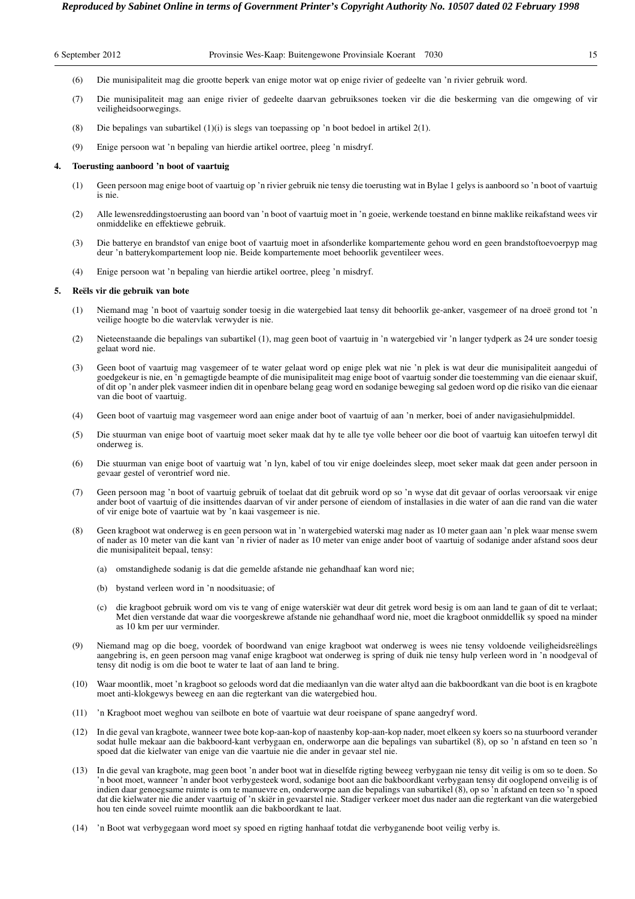- (6) Die munisipaliteit mag die grootte beperk van enige motor wat op enige rivier of gedeelte van 'n rivier gebruik word.
- (7) Die munisipaliteit mag aan enige rivier of gedeelte daarvan gebruiksones toeken vir die die beskerming van die omgewing of vir veiligheidsoorwegings.
- (8) Die bepalings van subartikel (1)(i) is slegs van toepassing op 'n boot bedoel in artikel 2(1).
- (9) Enige persoon wat 'n bepaling van hierdie artikel oortree, pleeg 'n misdryf.

#### **4. Toerusting aanboord 'n boot of vaartuig**

- (1) Geen persoon mag enige boot of vaartuig op 'n rivier gebruik nie tensy die toerusting wat in Bylae 1 gelys is aanboord so 'n boot of vaartuig is nie.
- (2) Alle lewensreddingstoerusting aan boord van 'n boot of vaartuig moet in 'n goeie, werkende toestand en binne maklike reikafstand wees vir onmiddelike en effektiewe gebruik.
- (3) Die batterye en brandstof van enige boot of vaartuig moet in afsonderlike kompartemente gehou word en geen brandstoftoevoerpyp mag deur 'n batterykompartement loop nie. Beide kompartemente moet behoorlik geventileer wees.
- (4) Enige persoon wat 'n bepaling van hierdie artikel oortree, pleeg 'n misdryf.

#### **5. Reëls vir die gebruik van bote**

- (1) Niemand mag 'n boot of vaartuig sonder toesig in die watergebied laat tensy dit behoorlik ge-anker, vasgemeer of na droeë grond tot 'n veilige hoogte bo die watervlak verwyder is nie.
- (2) Nieteenstaande die bepalings van subartikel (1), mag geen boot of vaartuig in 'n watergebied vir 'n langer tydperk as 24 ure sonder toesig gelaat word nie.
- (3) Geen boot of vaartuig mag vasgemeer of te water gelaat word op enige plek wat nie 'n plek is wat deur die munisipaliteit aangedui of goedgekeur is nie, en 'n gemagtigde beampte of die munisipaliteit mag enige boot of vaartuig sonder die toestemming van die eienaar skuif, of dit op 'n ander plek vasmeer indien dit in openbare belang geag word en sodanige beweging sal gedoen word op die risiko van die eienaar van die boot of vaartuig.
- (4) Geen boot of vaartuig mag vasgemeer word aan enige ander boot of vaartuig of aan 'n merker, boei of ander navigasiehulpmiddel.
- (5) Die stuurman van enige boot of vaartuig moet seker maak dat hy te alle tye volle beheer oor die boot of vaartuig kan uitoefen terwyl dit onderweg is.
- (6) Die stuurman van enige boot of vaartuig wat 'n lyn, kabel of tou vir enige doeleindes sleep, moet seker maak dat geen ander persoon in gevaar gestel of verontrief word nie.
- (7) Geen persoon mag 'n boot of vaartuig gebruik of toelaat dat dit gebruik word op so 'n wyse dat dit gevaar of oorlas veroorsaak vir enige ander boot of vaartuig of die insittendes daarvan of vir ander persone of eiendom of installasies in die water of aan die rand van die water of vir enige bote of vaartuie wat by 'n kaai vasgemeer is nie.
- (8) Geen kragboot wat onderweg is en geen persoon wat in 'n watergebied waterski mag nader as 10 meter gaan aan 'n plek waar mense swem of nader as 10 meter van die kant van 'n rivier of nader as 10 meter van enige ander boot of vaartuig of sodanige ander afstand soos deur die munisipaliteit bepaal, tensy:
	- (a) omstandighede sodanig is dat die gemelde afstande nie gehandhaaf kan word nie;
	- (b) bystand verleen word in 'n noodsituasie; of
	- (c) die kragboot gebruik word om vis te vang of enige waterskiër wat deur dit getrek word besig is om aan land te gaan of dit te verlaat; Met dien verstande dat waar die voorgeskrewe afstande nie gehandhaaf word nie, moet die kragboot onmiddellik sy spoed na minder as 10 km per uur verminder.
- (9) Niemand mag op die boeg, voordek of boordwand van enige kragboot wat onderweg is wees nie tensy voldoende veiligheidsreëlings aangebring is, en geen persoon mag vanaf enige kragboot wat onderweg is spring of duik nie tensy hulp verleen word in 'n noodgeval of tensy dit nodig is om die boot te water te laat of aan land te bring.
- (10) Waar moontlik, moet 'n kragboot so geloods word dat die mediaanlyn van die water altyd aan die bakboordkant van die boot is en kragbote moet anti-klokgewys beweeg en aan die regterkant van die watergebied hou.
- (11) 'n Kragboot moet weghou van seilbote en bote of vaartuie wat deur roeispane of spane aangedryf word.
- (12) In die geval van kragbote, wanneer twee bote kop-aan-kop of naastenby kop-aan-kop nader, moet elkeen sy koers so na stuurboord verander sodat hulle mekaar aan die bakboord-kant verbygaan en, onderworpe aan die bepalings van subartikel (8), op so 'n afstand en teen so 'n spoed dat die kielwater van enige van die vaartuie nie die ander in gevaar stel nie.
- (13) In die geval van kragbote, mag geen boot 'n ander boot wat in dieselfde rigting beweeg verbygaan nie tensy dit veilig is om so te doen. So 'n boot moet, wanneer 'n ander boot verbygesteek word, sodanige boot aan die bakboordkant verbygaan tensy dit ooglopend onveilig is of indien daar genoegsame ruimte is om te manuevre en, onderworpe aan die bepalings van subartikel (8), op so 'n afstand en teen so 'n spoed dat die kielwater nie die ander vaartuig of 'n skiër in gevaarstel nie. Stadiger verkeer moet dus nader aan die regterkant van die watergebied hou ten einde soveel ruimte moontlik aan die bakboordkant te laat.
- (14) 'n Boot wat verbygegaan word moet sy spoed en rigting hanhaaf totdat die verbyganende boot veilig verby is.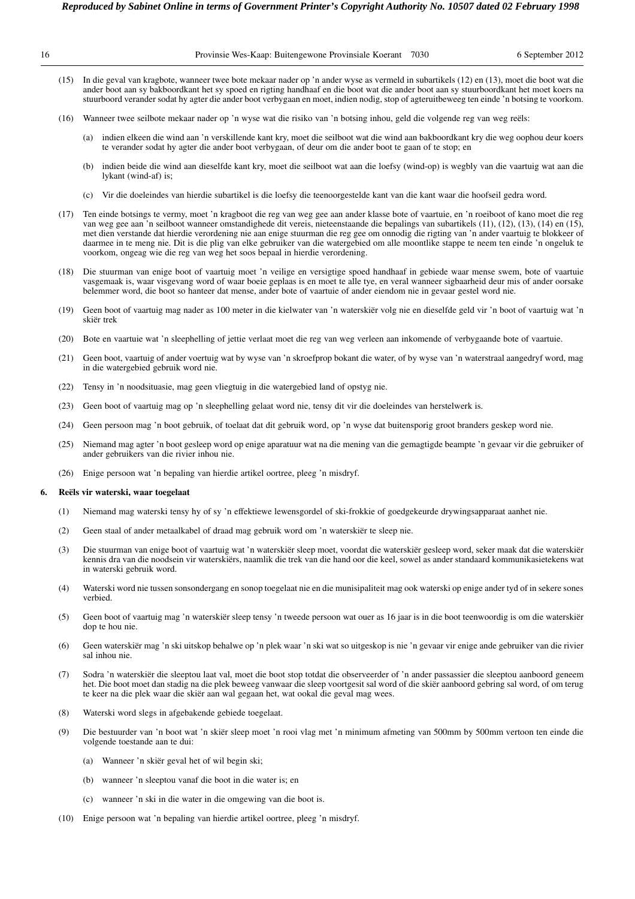|    |      | Reproduced by Sabinet Online in terms of Government Printer's Copyright Authority No. 10507 dated 02 February 1998                                                                                                                                                                                                                                                                                                               |
|----|------|----------------------------------------------------------------------------------------------------------------------------------------------------------------------------------------------------------------------------------------------------------------------------------------------------------------------------------------------------------------------------------------------------------------------------------|
| 16 |      | Provinsie Wes-Kaap: Buitengewone Provinsiale Koerant<br>6 September 2012<br>7030                                                                                                                                                                                                                                                                                                                                                 |
|    | (15) | In die geval van kragbote, wanneer twee bote mekaar nader op 'n ander wyse as vermeld in subartikels (12) en (13), moet die boot wat die<br>ander boot aan sy bakboordkant het sy spoed en rigting handhaaf en die boot wat die ander boot aan sy stuurboordkant het moet koers na<br>stuurboord verander sodat hy agter die ander boot verbygaan en moet, indien nodig, stop of agteruitbeweeg ten einde 'n botsing te voorkom. |
|    | (16) | Wanneer twee seilbote mekaar nader op 'n wyse wat die risiko van 'n botsing inhou, geld die volgende reg van weg reëls:                                                                                                                                                                                                                                                                                                          |
|    |      | indien elkeen die wind aan 'n verskillende kant kry, moet die seilboot wat die wind aan bakboordkant kry die weg oophou deur koers<br>(a)<br>te verander sodat hy agter die ander boot verbygaan, of deur om die ander boot te gaan of te stop; en                                                                                                                                                                               |

- (b) indien beide die wind aan dieselfde kant kry, moet die seilboot wat aan die loefsy (wind-op) is wegbly van die vaartuig wat aan die lykant (wind-af) is;
- (c) Vir die doeleindes van hierdie subartikel is die loefsy die teenoorgestelde kant van die kant waar die hoofseil gedra word.
- (17) Ten einde botsings te vermy, moet 'n kragboot die reg van weg gee aan ander klasse bote of vaartuie, en 'n roeiboot of kano moet die reg van weg gee aan 'n seilboot wanneer omstandighede dit vereis, nieteenstaande die bepalings van subartikels (11), (12), (13), (14) en (15), met dien verstande dat hierdie verordening nie aan enige stuurman die reg gee om onnodig die rigting van 'n ander vaartuig te blokkeer of daarmee in te meng nie. Dit is die plig van elke gebruiker van die watergebied om alle moontlike stappe te neem ten einde 'n ongeluk te voorkom, ongeag wie die reg van weg het soos bepaal in hierdie verordening.
- (18) Die stuurman van enige boot of vaartuig moet 'n veilige en versigtige spoed handhaaf in gebiede waar mense swem, bote of vaartuie vasgemaak is, waar visgevang word of waar boeie geplaas is en moet te alle tye, en veral wanneer sigbaarheid deur mis of ander oorsake belemmer word, die boot so hanteer dat mense, ander bote of vaartuie of ander eiendom nie in gevaar gestel word nie.
- (19) Geen boot of vaartuig mag nader as 100 meter in die kielwater van 'n waterskiër volg nie en dieselfde geld vir 'n boot of vaartuig wat 'n skiër trek
- (20) Bote en vaartuie wat 'n sleephelling of jettie verlaat moet die reg van weg verleen aan inkomende of verbygaande bote of vaartuie.
- (21) Geen boot, vaartuig of ander voertuig wat by wyse van 'n skroefprop bokant die water, of by wyse van 'n waterstraal aangedryf word, mag in die watergebied gebruik word nie.
- (22) Tensy in 'n noodsituasie, mag geen vliegtuig in die watergebied land of opstyg nie.
- (23) Geen boot of vaartuig mag op 'n sleephelling gelaat word nie, tensy dit vir die doeleindes van herstelwerk is.
- (24) Geen persoon mag 'n boot gebruik, of toelaat dat dit gebruik word, op 'n wyse dat buitensporig groot branders geskep word nie.
- (25) Niemand mag agter 'n boot gesleep word op enige aparatuur wat na die mening van die gemagtigde beampte 'n gevaar vir die gebruiker of ander gebruikers van die rivier inhou nie.
- (26) Enige persoon wat 'n bepaling van hierdie artikel oortree, pleeg 'n misdryf.

#### **6. Reëls vir waterski, waar toegelaat**

- (1) Niemand mag waterski tensy hy of sy 'n effektiewe lewensgordel of ski-frokkie of goedgekeurde drywingsapparaat aanhet nie.
- (2) Geen staal of ander metaalkabel of draad mag gebruik word om 'n waterskiër te sleep nie.
- (3) Die stuurman van enige boot of vaartuig wat 'n waterskiër sleep moet, voordat die waterskiër gesleep word, seker maak dat die waterskiër kennis dra van die noodsein vir waterskiërs, naamlik die trek van die hand oor die keel, sowel as ander standaard kommunikasietekens wat in waterski gebruik word.
- (4) Waterski word nie tussen sonsondergang en sonop toegelaat nie en die munisipaliteit mag ook waterski op enige ander tyd of in sekere sones verbied.
- (5) Geen boot of vaartuig mag 'n waterskiër sleep tensy 'n tweede persoon wat ouer as 16 jaar is in die boot teenwoordig is om die waterskiër dop te hou nie.
- (6) Geen waterskiër mag 'n ski uitskop behalwe op 'n plek waar 'n ski wat so uitgeskop is nie 'n gevaar vir enige ande gebruiker van die rivier sal inhou nie.
- (7) Sodra 'n waterskiër die sleeptou laat val, moet die boot stop totdat die observeerder of 'n ander passassier die sleeptou aanboord geneem het. Die boot moet dan stadig na die plek beweeg vanwaar die sleep voortgesit sal word of die skiër aanboord gebring sal word, of om terug te keer na die plek waar die skiër aan wal gegaan het, wat ookal die geval mag wees.
- (8) Waterski word slegs in afgebakende gebiede toegelaat.
- (9) Die bestuurder van 'n boot wat 'n skiër sleep moet 'n rooi vlag met 'n minimum afmeting van 500mm by 500mm vertoon ten einde die volgende toestande aan te dui:
	- (a) Wanneer 'n skiër geval het of wil begin ski;
	- (b) wanneer 'n sleeptou vanaf die boot in die water is; en
	- (c) wanneer 'n ski in die water in die omgewing van die boot is.
- (10) Enige persoon wat 'n bepaling van hierdie artikel oortree, pleeg 'n misdryf.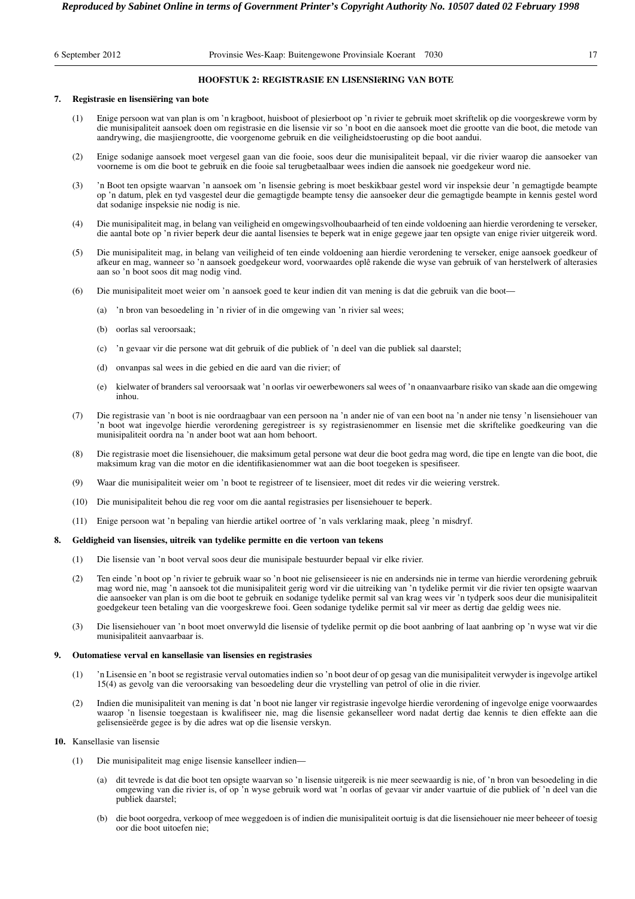# **HOOFSTUK 2: REGISTRASIE EN LISENSIëRING VAN BOTE**

# **7. Registrasie en lisensiëring van bote**

- (1) Enige persoon wat van plan is om 'n kragboot, huisboot of plesierboot op 'n rivier te gebruik moet skriftelik op die voorgeskrewe vorm by die munisipaliteit aansoek doen om registrasie en die lisensie vir so 'n boot en die aansoek moet die grootte van die boot, die metode van aandrywing, die masjiengrootte, die voorgenome gebruik en die veiligheidstoerusting op die boot aandui.
- (2) Enige sodanige aansoek moet vergesel gaan van die fooie, soos deur die munisipaliteit bepaal, vir die rivier waarop die aansoeker van voorneme is om die boot te gebruik en die fooie sal terugbetaalbaar wees indien die aansoek nie goedgekeur word nie.
- (3) 'n Boot ten opsigte waarvan 'n aansoek om 'n lisensie gebring is moet beskikbaar gestel word vir inspeksie deur 'n gemagtigde beampte op 'n datum, plek en tyd vasgestel deur die gemagtigde beampte tensy die aansoeker deur die gemagtigde beampte in kennis gestel word dat sodanige inspeksie nie nodig is nie.
- (4) Die munisipaliteit mag, in belang van veiligheid en omgewingsvolhoubaarheid of ten einde voldoening aan hierdie verordening te verseker, die aantal bote op 'n rivier beperk deur die aantal lisensies te beperk wat in enige gegewe jaar ten opsigte van enige rivier uitgereik word.
- (5) Die munisipaliteit mag, in belang van veiligheid of ten einde voldoening aan hierdie verordening te verseker, enige aansoek goedkeur of afkeur en mag, wanneer so 'n aansoek goedgekeur word, voorwaardes oplê rakende die wyse van gebruik of van herstelwerk of alterasies aan so 'n boot soos dit mag nodig vind.
- (6) Die munisipaliteit moet weier om 'n aansoek goed te keur indien dit van mening is dat die gebruik van die boot—
	- (a) 'n bron van besoedeling in 'n rivier of in die omgewing van 'n rivier sal wees;
	- (b) oorlas sal veroorsaak;
	- (c) 'n gevaar vir die persone wat dit gebruik of die publiek of 'n deel van die publiek sal daarstel;
	- (d) onvanpas sal wees in die gebied en die aard van die rivier; of
	- (e) kielwater of branders sal veroorsaak wat 'n oorlas vir oewerbewoners sal wees of 'n onaanvaarbare risiko van skade aan die omgewing inhou.
- (7) Die registrasie van 'n boot is nie oordraagbaar van een persoon na 'n ander nie of van een boot na 'n ander nie tensy 'n lisensiehouer van 'n boot wat ingevolge hierdie verordening geregistreer is sy registrasienommer en lisensie met die skriftelike goedkeuring van die munisipaliteit oordra na 'n ander boot wat aan hom behoort.
- (8) Die registrasie moet die lisensiehouer, die maksimum getal persone wat deur die boot gedra mag word, die tipe en lengte van die boot, die maksimum krag van die motor en die identifikasienommer wat aan die boot toegeken is spesifiseer.
- (9) Waar die munisipaliteit weier om 'n boot te registreer of te lisensieer, moet dit redes vir die weiering verstrek.
- (10) Die munisipaliteit behou die reg voor om die aantal registrasies per lisensiehouer te beperk.
- (11) Enige persoon wat 'n bepaling van hierdie artikel oortree of 'n vals verklaring maak, pleeg 'n misdryf.

# **8. Geldigheid van lisensies, uitreik van tydelike permitte en die vertoon van tekens**

- (1) Die lisensie van 'n boot verval soos deur die munisipale bestuurder bepaal vir elke rivier.
- (2) Ten einde 'n boot op 'n rivier te gebruik waar so 'n boot nie gelisensieeer is nie en andersinds nie in terme van hierdie verordening gebruik mag word nie, mag 'n aansoek tot die munisipaliteit gerig word vir die uitreiking van 'n tydelike permit vir die rivier ten opsigte waarvan die aansoeker van plan is om die boot te gebruik en sodanige tydelike permit sal van krag wees vir 'n tydperk soos deur die munisipaliteit goedgekeur teen betaling van die voorgeskrewe fooi. Geen sodanige tydelike permit sal vir meer as dertig dae geldig wees nie.
- (3) Die lisensiehouer van 'n boot moet onverwyld die lisensie of tydelike permit op die boot aanbring of laat aanbring op 'n wyse wat vir die munisipaliteit aanvaarbaar is.

### **9. Outomatiese verval en kansellasie van lisensies en registrasies**

- (1) 'n Lisensie en 'n boot se registrasie verval outomaties indien so 'n boot deur of op gesag van die munisipaliteit verwyder is ingevolge artikel 15(4) as gevolg van die veroorsaking van besoedeling deur die vrystelling van petrol of olie in die rivier.
- (2) Indien die munisipaliteit van mening is dat 'n boot nie langer vir registrasie ingevolge hierdie verordening of ingevolge enige voorwaardes waarop 'n lisensie toegestaan is kwalifiseer nie, mag die lisensie gekanselleer word nadat dertig dae kennis te dien effekte aan die gelisensieërde gegee is by die adres wat op die lisensie verskyn.

# **10.** Kansellasie van lisensie

- (1) Die munisipaliteit mag enige lisensie kanselleer indien—
	- (a) dit tevrede is dat die boot ten opsigte waarvan so 'n lisensie uitgereik is nie meer seewaardig is nie, of 'n bron van besoedeling in die omgewing van die rivier is, of op 'n wyse gebruik word wat 'n oorlas of gevaar vir ander vaartuie of die publiek of 'n deel van die publiek daarstel;
	- (b) die boot oorgedra, verkoop of mee weggedoen is of indien die munisipaliteit oortuig is dat die lisensiehouer nie meer beheeer of toesig oor die boot uitoefen nie;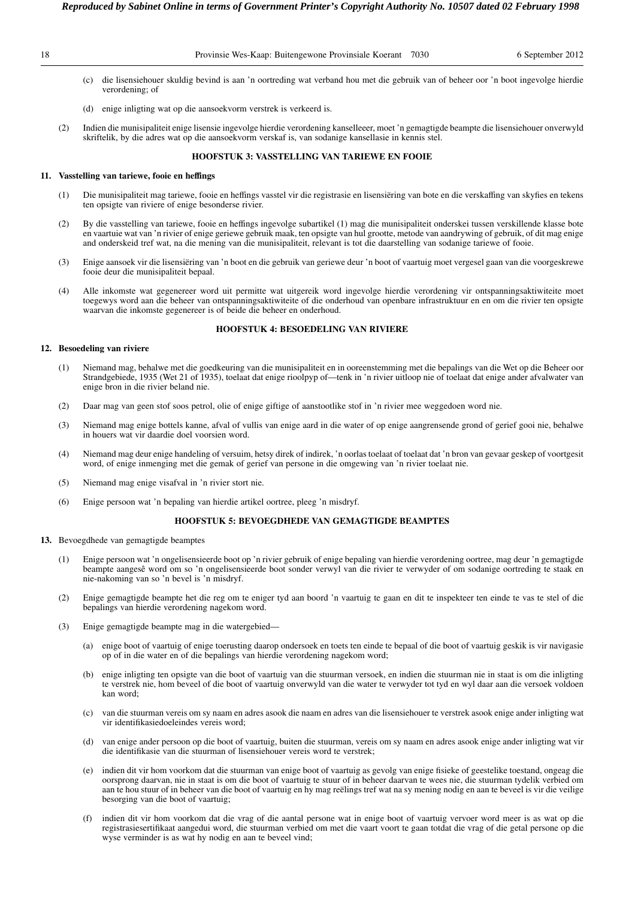- <sup>18</sup> Provinsie Wes-Kaap: Buitengewone Provinsiale Koerant 7030 6 September 2012 *Reproduced by Sabinet Online in terms of Government Printer's Copyright Authority No. 10507 dated 02 February 1998* 
	- (c) die lisensiehouer skuldig bevind is aan 'n oortreding wat verband hou met die gebruik van of beheer oor 'n boot ingevolge hierdie verordening; of
	- (d) enige inligting wat op die aansoekvorm verstrek is verkeerd is.
	- (2) Indien die munisipaliteit enige lisensie ingevolge hierdie verordening kanselleeer, moet 'n gemagtigde beampte die lisensiehouer onverwyld skriftelik, by die adres wat op die aansoekvorm verskaf is, van sodanige kansellasie in kennis stel.

# **HOOFSTUK 3: VASSTELLING VAN TARIEWE EN FOOIE**

# **11. Vasstelling van tariewe, fooie en heffings**

- (1) Die munisipaliteit mag tariewe, fooie en heffings vasstel vir die registrasie en lisensiëring van bote en die verskaffing van skyfies en tekens ten opsigte van riviere of enige besonderse rivier.
- (2) By die vasstelling van tariewe, fooie en heffings ingevolge subartikel (1) mag die munisipaliteit onderskei tussen verskillende klasse bote en vaartuie wat van 'n rivier of enige geriewe gebruik maak, ten opsigte van hul grootte, metode van aandrywing of gebruik, of dit mag enige and onderskeid tref wat, na die mening van die munisipaliteit, relevant is tot die daarstelling van sodanige tariewe of fooie.
- (3) Enige aansoek vir die lisensiëring van 'n boot en die gebruik van geriewe deur 'n boot of vaartuig moet vergesel gaan van die voorgeskrewe fooie deur die munisipaliteit bepaal.
- (4) Alle inkomste wat gegenereer word uit permitte wat uitgereik word ingevolge hierdie verordening vir ontspanningsaktiwiteite moet toegewys word aan die beheer van ontspanningsaktiwiteite of die onderhoud van openbare infrastruktuur en en om die rivier ten opsigte waarvan die inkomste gegenereer is of beide die beheer en onderhoud.

#### **HOOFSTUK 4: BESOEDELING VAN RIVIERE**

# **12. Besoedeling van riviere**

- (1) Niemand mag, behalwe met die goedkeuring van die munisipaliteit en in ooreenstemming met die bepalings van die Wet op die Beheer oor Strandgebiede, 1935 (Wet 21 of 1935), toelaat dat enige rioolpyp of—tenk in 'n rivier uitloop nie of toelaat dat enige ander afvalwater van enige bron in die rivier beland nie.
- (2) Daar mag van geen stof soos petrol, olie of enige giftige of aanstootlike stof in 'n rivier mee weggedoen word nie.
- (3) Niemand mag enige bottels kanne, afval of vullis van enige aard in die water of op enige aangrensende grond of gerief gooi nie, behalwe in houers wat vir daardie doel voorsien word.
- (4) Niemand mag deur enige handeling of versuim, hetsy direk of indirek, 'n oorlas toelaat of toelaat dat 'n bron van gevaar geskep of voortgesit word, of enige inmenging met die gemak of gerief van persone in die omgewing van 'n rivier toelaat nie.
- (5) Niemand mag enige visafval in 'n rivier stort nie.
- (6) Enige persoon wat 'n bepaling van hierdie artikel oortree, pleeg 'n misdryf.

# **HOOFSTUK 5: BEVOEGDHEDE VAN GEMAGTIGDE BEAMPTES**

# **13.** Bevoegdhede van gemagtigde beamptes

- (1) Enige persoon wat 'n ongelisensieerde boot op 'n rivier gebruik of enige bepaling van hierdie verordening oortree, mag deur 'n gemagtigde beampte aangesê word om so 'n ongelisensieerde boot sonder verwyl van die rivier te verwyder of om sodanige oortreding te staak en nie-nakoming van so 'n bevel is 'n misdryf.
- (2) Enige gemagtigde beampte het die reg om te eniger tyd aan boord 'n vaartuig te gaan en dit te inspekteer ten einde te vas te stel of die bepalings van hierdie verordening nagekom word.
- (3) Enige gemagtigde beampte mag in die watergebied—
	- (a) enige boot of vaartuig of enige toerusting daarop ondersoek en toets ten einde te bepaal of die boot of vaartuig geskik is vir navigasie op of in die water en of die bepalings van hierdie verordening nagekom word;
	- (b) enige inligting ten opsigte van die boot of vaartuig van die stuurman versoek, en indien die stuurman nie in staat is om die inligting te verstrek nie, hom beveel of die boot of vaartuig onverwyld van die water te verwyder tot tyd en wyl daar aan die versoek voldoen kan word;
	- (c) van die stuurman vereis om sy naam en adres asook die naam en adres van die lisensiehouer te verstrek asook enige ander inligting wat vir identifikasiedoeleindes vereis word;
	- (d) van enige ander persoon op die boot of vaartuig, buiten die stuurman, vereis om sy naam en adres asook enige ander inligting wat vir die identifikasie van die stuurman of lisensiehouer vereis word te verstrek;
	- (e) indien dit vir hom voorkom dat die stuurman van enige boot of vaartuig as gevolg van enige fisieke of geestelike toestand, ongeag die oorsprong daarvan, nie in staat is om die boot of vaartuig te stuur of in beheer daarvan te wees nie, die stuurman tydelik verbied om aan te hou stuur of in beheer van die boot of vaartuig en hy mag reëlings tref wat na sy mening nodig en aan te beveel is vir die veilige besorging van die boot of vaartuig;
	- (f) indien dit vir hom voorkom dat die vrag of die aantal persone wat in enige boot of vaartuig vervoer word meer is as wat op die registrasiesertifikaat aangedui word, die stuurman verbied om met die vaart voort te gaan totdat die vrag of die getal persone op die wyse verminder is as wat hy nodig en aan te beveel vind;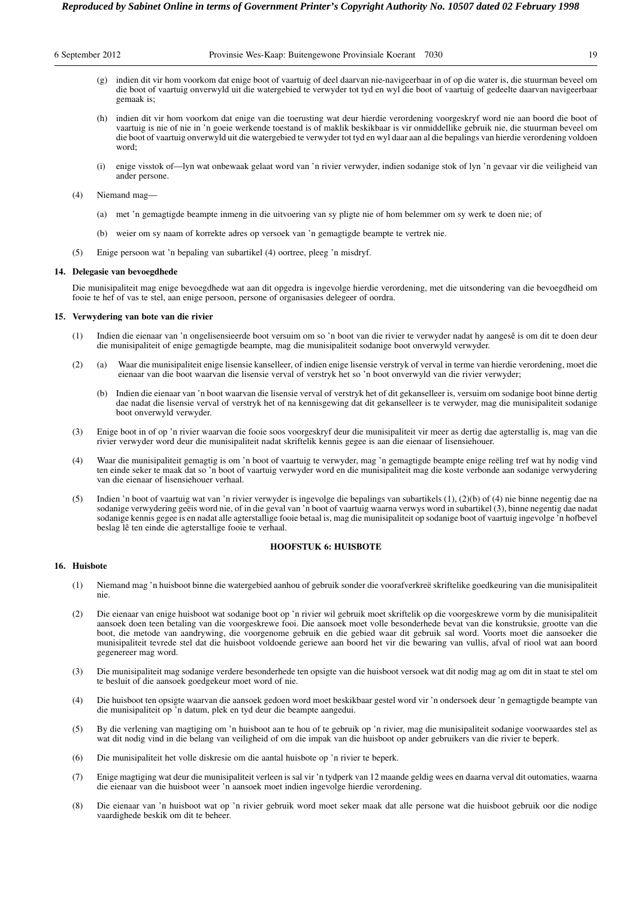|  | 6 September 2012 |  |  |
|--|------------------|--|--|
|--|------------------|--|--|

- (g) indien dit vir hom voorkom dat enige boot of vaartuig of deel daarvan nie-navigeerbaar in of op die water is, die stuurman beveel om die boot of vaartuig onverwyld uit die watergebied te verwyder tot tyd en wyl die boot of vaartuig of gedeelte daarvan navigeerbaar gemaak is;
- (h) indien dit vir hom voorkom dat enige van die toerusting wat deur hierdie verordening voorgeskryf word nie aan boord die boot of vaartuig is nie of nie in 'n goeie werkende toestand is of maklik beskikbaar is vir onmiddellike gebruik nie, die stuurman beveel om die boot of vaartuig onverwyld uit die watergebied te verwyder tot tyd en wyl daar aan al die bepalings van hierdie verordening voldoen word;
- (i) enige visstok of—lyn wat onbewaak gelaat word van 'n rivier verwyder, indien sodanige stok of lyn 'n gevaar vir die veiligheid van ander persone.
- (4) Niemand mag—
	- (a) met 'n gemagtigde beampte inmeng in die uitvoering van sy pligte nie of hom belemmer om sy werk te doen nie; of
	- (b) weier om sy naam of korrekte adres op versoek van 'n gemagtigde beampte te vertrek nie.
- (5) Enige persoon wat 'n bepaling van subartikel (4) oortree, pleeg 'n misdryf.

#### **14. Delegasie van bevoegdhede**

Die munisipaliteit mag enige bevoegdhede wat aan dit opgedra is ingevolge hierdie verordening, met die uitsondering van die bevoegdheid om fooie te hef of vas te stel, aan enige persoon, persone of organisasies delegeer of oordra.

#### **15. Verwydering van bote van die rivier**

- (1) Indien die eienaar van 'n ongelisensieerde boot versuim om so 'n boot van die rivier te verwyder nadat hy aangesê is om dit te doen deur die munisipaliteit of enige gemagtigde beampte, mag die munisipaliteit sodanige boot onverwyld verwyder.
- (2) (a) Waar die munisipaliteit enige lisensie kanselleer, of indien enige lisensie verstryk of verval in terme van hierdie verordening, moet die eienaar van die boot waarvan die lisensie verval of verstryk het so 'n boot onverwyld van die rivier verwyder;
	- (b) Indien die eienaar van 'n boot waarvan die lisensie verval of verstryk het of dit gekanselleer is, versuim om sodanige boot binne dertig dae nadat die lisensie verval of verstryk het of na kennisgewing dat dit gekanselleer is te verwyder, mag die munisipaliteit sodanige boot onverwyld verwyder.
- (3) Enige boot in of op 'n rivier waarvan die fooie soos voorgeskryf deur die munisipaliteit vir meer as dertig dae agterstallig is, mag van die rivier verwyder word deur die munisipaliteit nadat skriftelik kennis gegee is aan die eienaar of lisensiehouer.
- (4) Waar die munisipaliteit gemagtig is om 'n boot of vaartuig te verwyder, mag 'n gemagtigde beampte enige reëling tref wat hy nodig vind ten einde seker te maak dat so 'n boot of vaartuig verwyder word en die munisipaliteit mag die koste verbonde aan sodanige verwydering van die eienaar of lisensiehouer verhaal.
- (5) Indien 'n boot of vaartuig wat van 'n rivier verwyder is ingevolge die bepalings van subartikels (1), (2)(b) of (4) nie binne negentig dae na sodanige verwydering geëis word nie, of in die geval van 'n boot of vaartuig waarna verwys word in subartikel (3), binne negentig dae nadat sodanige kennis gegee is en nadat alle agterstallige fooie betaal is, mag die munisipaliteit op sodanige boot of vaartuig ingevolge 'n hofbevel beslag lê ten einde die agterstallige fooie te verhaal.

# **HOOFSTUK 6: HUISBOTE**

# **16. Huisbote**

- (1) Niemand mag 'n huisboot binne die watergebied aanhou of gebruik sonder die voorafverkreë skriftelike goedkeuring van die munisipaliteit nie.
- (2) Die eienaar van enige huisboot wat sodanige boot op 'n rivier wil gebruik moet skriftelik op die voorgeskrewe vorm by die munisipaliteit aansoek doen teen betaling van die voorgeskrewe fooi. Die aansoek moet volle besonderhede bevat van die konstruksie, grootte van die boot, die metode van aandrywing, die voorgenome gebruik en die gebied waar dit gebruik sal word. Voorts moet die aansoeker die munisipaliteit tevrede stel dat die huisboot voldoende geriewe aan boord het vir die bewaring van vullis, afval of riool wat aan boord gegenereer mag word.
- (3) Die munisipaliteit mag sodanige verdere besonderhede ten opsigte van die huisboot versoek wat dit nodig mag ag om dit in staat te stel om te besluit of die aansoek goedgekeur moet word of nie.
- (4) Die huisboot ten opsigte waarvan die aansoek gedoen word moet beskikbaar gestel word vir 'n ondersoek deur 'n gemagtigde beampte van die munisipaliteit op 'n datum, plek en tyd deur die beampte aangedui.
- (5) By die verlening van magtiging om 'n huisboot aan te hou of te gebruik op 'n rivier, mag die munisipaliteit sodanige voorwaardes stel as wat dit nodig vind in die belang van veiligheid of om die impak van die huisboot op ander gebruikers van die rivier te beperk.
- (6) Die munisipaliteit het volle diskresie om die aantal huisbote op 'n rivier te beperk.
- (7) Enige magtiging wat deur die munisipaliteit verleen is sal vir 'n tydperk van 12 maande geldig wees en daarna verval dit outomaties, waarna die eienaar van die huisboot weer 'n aansoek moet indien ingevolge hierdie verordening.
- (8) Die eienaar van 'n huisboot wat op 'n rivier gebruik word moet seker maak dat alle persone wat die huisboot gebruik oor die nodige vaardighede beskik om dit te beheer.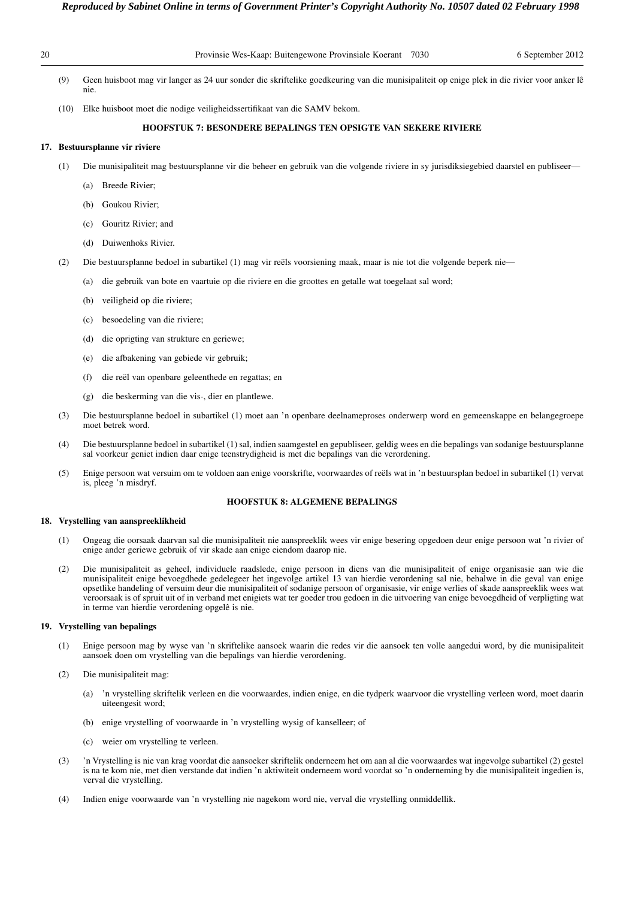| 20 |      | Provinsie Wes-Kaap: Buitengewone Provinsiale Koerant 7030<br>6 September 2012                                                                      |
|----|------|----------------------------------------------------------------------------------------------------------------------------------------------------|
|    | (9)  | Geen huisboot mag vir langer as 24 uur sonder die skriftelike goedkeuring van die munisipaliteit op enige plek in die rivier voor anker lê<br>nie. |
|    | (10) | Elke huisboot moet die nodige veiligheidssertifikaat van die SAMV bekom.                                                                           |
|    |      | <b>HOOFSTUK 7: BESONDERE BEPALINGS TEN OPSIGTE VAN SEKERE RIVIERE</b>                                                                              |
|    |      | 17. Bestuursplanne vir riviere                                                                                                                     |
|    | (1)  | Die munisipaliteit mag bestuursplanne vir die beheer en gebruik van die volgende riviere in sy jurisdiksiegebied daarstel en publiseer—            |

- (a) Breede Rivier;
- (b) Goukou Rivier;
- (c) Gouritz Rivier; and
- (d) Duiwenhoks Rivier.
- (2) Die bestuursplanne bedoel in subartikel (1) mag vir reëls voorsiening maak, maar is nie tot die volgende beperk nie—
	- (a) die gebruik van bote en vaartuie op die riviere en die groottes en getalle wat toegelaat sal word;
	- (b) veiligheid op die riviere;
	- (c) besoedeling van die riviere;
	- (d) die oprigting van strukture en geriewe;
	- (e) die afbakening van gebiede vir gebruik;
	- (f) die reël van openbare geleenthede en regattas; en
	- (g) die beskerming van die vis-, dier en plantlewe.
- (3) Die bestuursplanne bedoel in subartikel (1) moet aan 'n openbare deelnameproses onderwerp word en gemeenskappe en belangegroepe moet betrek word.
- (4) Die bestuursplanne bedoel in subartikel (1) sal, indien saamgestel en gepubliseer, geldig wees en die bepalings van sodanige bestuursplanne sal voorkeur geniet indien daar enige teenstrydigheid is met die bepalings van die verordening.
- (5) Enige persoon wat versuim om te voldoen aan enige voorskrifte, voorwaardes of reëls wat in 'n bestuursplan bedoel in subartikel (1) vervat is, pleeg 'n misdryf.

# **HOOFSTUK 8: ALGEMENE BEPALINGS**

# **18. Vrystelling van aanspreeklikheid**

- (1) Ongeag die oorsaak daarvan sal die munisipaliteit nie aanspreeklik wees vir enige besering opgedoen deur enige persoon wat 'n rivier of enige ander geriewe gebruik of vir skade aan enige eiendom daarop nie.
- (2) Die munisipaliteit as geheel, individuele raadslede, enige persoon in diens van die munisipaliteit of enige organisasie aan wie die munisipaliteit enige bevoegdhede gedelegeer het ingevolge artikel 13 van hierdie verordening sal nie, behalwe in die geval van enige opsetlike handeling of versuim deur die munisipaliteit of sodanige persoon of organisasie, vir enige verlies of skade aanspreeklik wees wat veroorsaak is of spruit uit of in verband met enigiets wat ter goeder trou gedoen in die uitvoering van enige bevoegdheid of verpligting wat in terme van hierdie verordening opgelê is nie.

# **19. Vrystelling van bepalings**

- (1) Enige persoon mag by wyse van 'n skriftelike aansoek waarin die redes vir die aansoek ten volle aangedui word, by die munisipaliteit aansoek doen om vrystelling van die bepalings van hierdie verordening.
- (2) Die munisipaliteit mag:
	- (a) 'n vrystelling skriftelik verleen en die voorwaardes, indien enige, en die tydperk waarvoor die vrystelling verleen word, moet daarin uiteengesit word;
	- (b) enige vrystelling of voorwaarde in 'n vrystelling wysig of kanselleer; of
	- (c) weier om vrystelling te verleen.
- (3) 'n Vrystelling is nie van krag voordat die aansoeker skriftelik onderneem het om aan al die voorwaardes wat ingevolge subartikel (2) gestel is na te kom nie, met dien verstande dat indien 'n aktiwiteit onderneem word voordat so 'n onderneming by die munisipaliteit ingedien is, verval die vrystelling.
- (4) Indien enige voorwaarde van 'n vrystelling nie nagekom word nie, verval die vrystelling onmiddellik.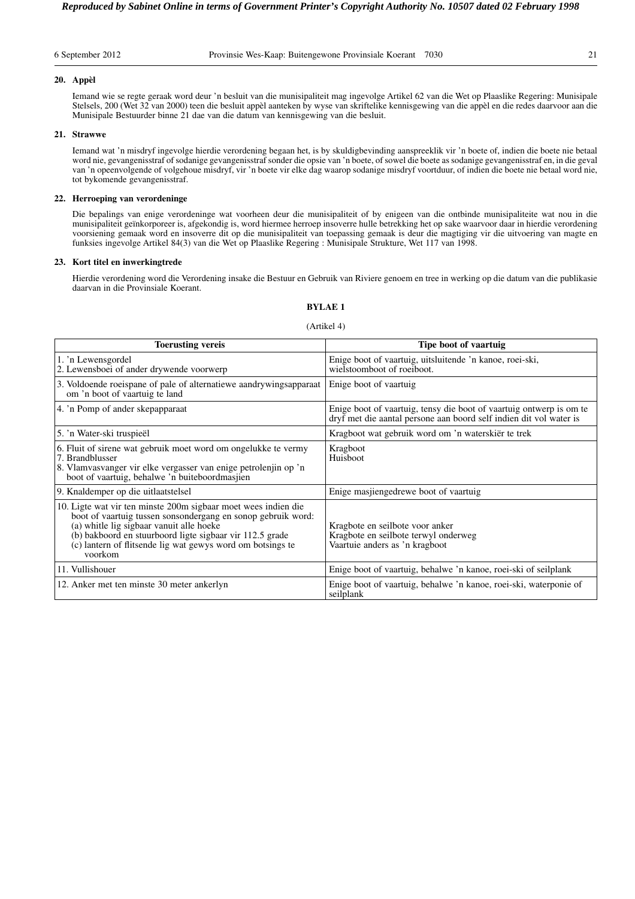|  | 6 September 2012 |  |
|--|------------------|--|
|  |                  |  |

## **20. Appèl**

Iemand wie se regte geraak word deur 'n besluit van die munisipaliteit mag ingevolge Artikel 62 van die Wet op Plaaslike Regering: Munisipale Stelsels, 200 (Wet 32 van 2000) teen die besluit appèl aanteken by wyse van skriftelike kennisgewing van die appèl en die redes daarvoor aan die Munisipale Bestuurder binne 21 dae van die datum van kennisgewing van die besluit.

# **21. Strawwe**

Iemand wat 'n misdryf ingevolge hierdie verordening begaan het, is by skuldigbevinding aanspreeklik vir 'n boete of, indien die boete nie betaal word nie, gevangenisstraf of sodanige gevangenisstraf sonder die opsie van 'n boete, of sowel die boete as sodanige gevangenisstraf en, in die geval van 'n opeenvolgende of volgehoue misdryf, vir 'n boete vir elke dag waarop sodanige misdryf voortduur, of indien die boete nie betaal word nie, tot bykomende gevangenisstraf.

# **22. Herroeping van verordeninge**

Die bepalings van enige verordeninge wat voorheen deur die munisipaliteit of by enigeen van die ontbinde munisipaliteite wat nou in die munisipaliteit geïnkorporeer is, afgekondig is, word hiermee herroep insoverre hulle betrekking het op sake waarvoor daar in hierdie verordening voorsiening gemaak word en insoverre dit op die munisipaliteit van toepassing gemaak is deur die magtiging vir die uitvoering van magte en funksies ingevolge Artikel 84(3) van die Wet op Plaaslike Regering : Munisipale Strukture, Wet 117 van 1998.

# **23. Kort titel en inwerkingtrede**

Hierdie verordening word die Verordening insake die Bestuur en Gebruik van Riviere genoem en tree in werking op die datum van die publikasie daarvan in die Provinsiale Koerant.

# **BYLAE 1**

#### (Artikel 4)

| <b>Toerusting vereis</b>                                                                                                                                                                                                                                                                                        | Tipe boot of vaartuig                                                                                                                     |
|-----------------------------------------------------------------------------------------------------------------------------------------------------------------------------------------------------------------------------------------------------------------------------------------------------------------|-------------------------------------------------------------------------------------------------------------------------------------------|
| 1. 'n Lewensgordel<br>2. Lewensboei of ander drywende voorwerp                                                                                                                                                                                                                                                  | Enige boot of vaartuig, uitsluitende 'n kanoe, roei-ski,<br>wielstoomboot of roeiboot.                                                    |
| 3. Voldoende roeispane of pale of alternatiewe aandrywingsapparaat<br>om 'n boot of vaartuig te land                                                                                                                                                                                                            | Enige boot of vaartuig                                                                                                                    |
| 4. 'n Pomp of ander skepapparaat                                                                                                                                                                                                                                                                                | Enige boot of vaartuig, tensy die boot of vaartuig ontwerp is om te<br>dryf met die aantal persone aan boord self indien dit vol water is |
| 5. 'n Water-ski truspieël                                                                                                                                                                                                                                                                                       | Kragboot wat gebruik word om 'n waterskiër te trek                                                                                        |
| 6. Fluit of sirene wat gebruik moet word om ongelukke te vermy<br>7. Brandblusser<br>8. Vlamvasvanger vir elke vergasser van enige petrolenjin op 'n<br>boot of vaartuig, behalwe 'n buiteboordmasjien                                                                                                          | Kragboot<br>Huisboot                                                                                                                      |
| 9. Knaldemper op die uitlaatstelsel                                                                                                                                                                                                                                                                             | Enige masjiengedrewe boot of vaartuig                                                                                                     |
| 10. Ligte wat vir ten minste 200m sigbaar moet wees indien die<br>boot of vaartuig tussen sonsondergang en sonop gebruik word:<br>(a) whitle lig sigbaar vanuit alle hoeke<br>(b) bakboord en stuurboord ligte sigbaar vir 112.5 grade<br>(c) lantern of flitsende lig wat gewys word om botsings te<br>voorkom | Kragbote en seilbote voor anker<br>Kragbote en seilbote terwyl onderweg<br>Vaartuie anders as 'n kragboot                                 |
| 11. Vullishouer                                                                                                                                                                                                                                                                                                 | Enige boot of vaartuig, behalwe 'n kanoe, roei-ski of seilplank                                                                           |
| 12. Anker met ten minste 30 meter ankerlyn                                                                                                                                                                                                                                                                      | Enige boot of vaartuig, behalwe 'n kanoe, roei-ski, waterponie of<br>seilplank                                                            |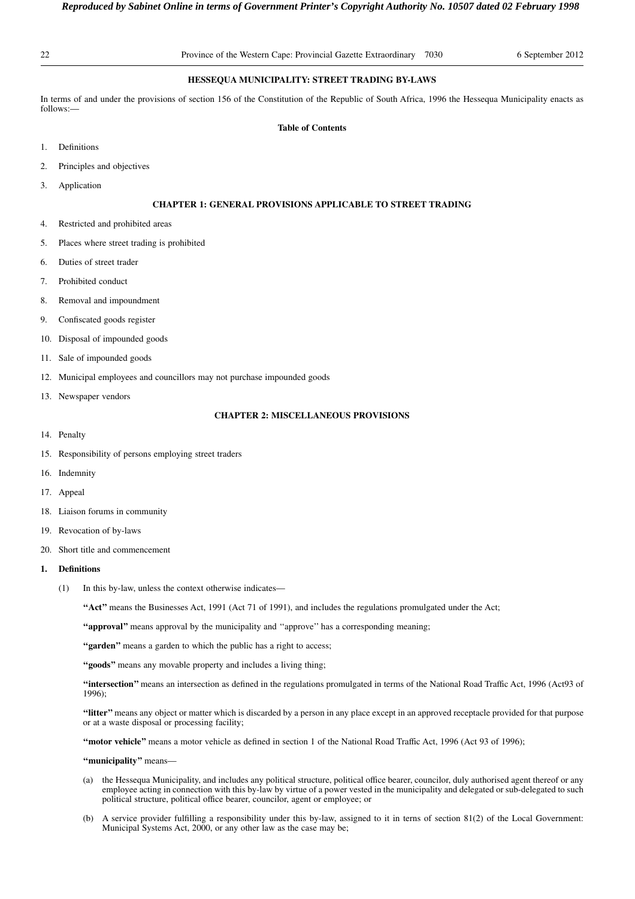# **HESSEQUA MUNICIPALITY: STREET TRADING BY-LAWS**

In terms of and under the provisions of section 156 of the Constitution of the Republic of South Africa, 1996 the Hessequa Municipality enacts as follows:—

# **Table of Contents**

- 1. Definitions
- 2. Principles and objectives
- 3. Application

# **CHAPTER 1: GENERAL PROVISIONS APPLICABLE TO STREET TRADING**

- 4. Restricted and prohibited areas
- 5. Places where street trading is prohibited
- 6. Duties of street trader
- 7. Prohibited conduct
- 8. Removal and impoundment
- 9. Confiscated goods register
- 10. Disposal of impounded goods
- 11. Sale of impounded goods
- 12. Municipal employees and councillors may not purchase impounded goods
- 13. Newspaper vendors

# **CHAPTER 2: MISCELLANEOUS PROVISIONS**

- 14. Penalty
- 15. Responsibility of persons employing street traders
- 16. Indemnity
- 17. Appeal
- 18. Liaison forums in community
- 19. Revocation of by-laws
- 20. Short title and commencement
- **1. Definitions**
	- (1) In this by-law, unless the context otherwise indicates—

**''Act''** means the Businesses Act, 1991 (Act 71 of 1991), and includes the regulations promulgated under the Act;

**''approval''** means approval by the municipality and ''approve'' has a corresponding meaning;

"garden" means a garden to which the public has a right to access;

**''goods''** means any movable property and includes a living thing;

**''intersection''** means an intersection as defined in the regulations promulgated in terms of the National Road Traffic Act, 1996 (Act93 of 1996);

**''litter''** means any object or matter which is discarded by a person in any place except in an approved receptacle provided for that purpose or at a waste disposal or processing facility;

**''motor vehicle''** means a motor vehicle as defined in section 1 of the National Road Traffic Act, 1996 (Act 93 of 1996);

**''municipality''** means—

- (a) the Hessequa Municipality, and includes any political structure, political office bearer, councilor, duly authorised agent thereof or any employee acting in connection with this by-law by virtue of a power vested in the municipality and delegated or sub-delegated to such political structure, political office bearer, councilor, agent or employee; or
- (b) A service provider fulfilling a responsibility under this by-law, assigned to it in terns of section 81(2) of the Local Government: Municipal Systems Act, 2000, or any other law as the case may be;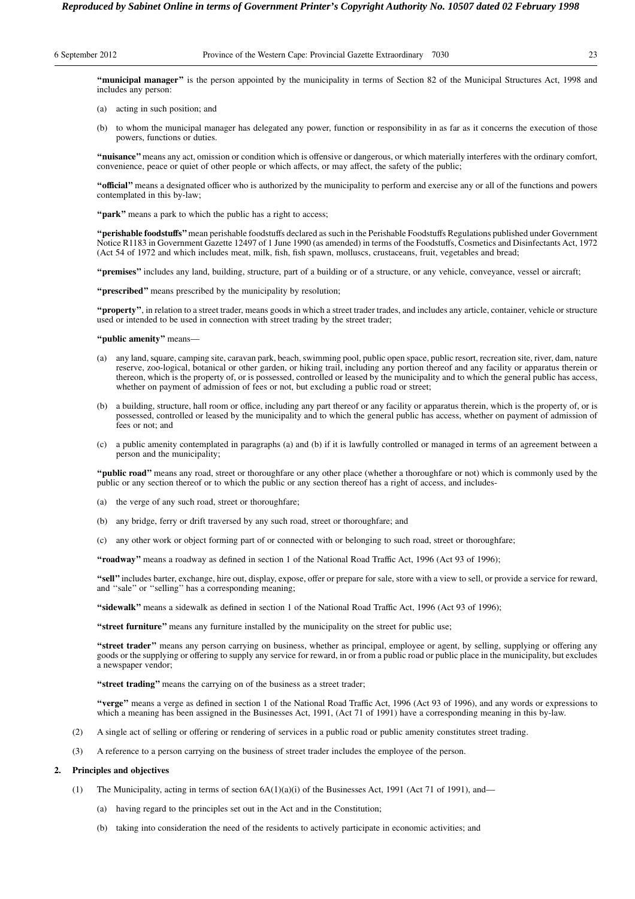**''municipal manager''** is the person appointed by the municipality in terms of Section 82 of the Municipal Structures Act, 1998 and includes any person:

- (a) acting in such position; and
- (b) to whom the municipal manager has delegated any power, function or responsibility in as far as it concerns the execution of those powers, functions or duties.

**''nuisance''**means any act, omission or condition which is offensive or dangerous, or which materially interferes with the ordinary comfort, convenience, peace or quiet of other people or which affects, or may affect, the safety of the public;

**''official''** means a designated officer who is authorized by the municipality to perform and exercise any or all of the functions and powers contemplated in this by-law;

"**park**" means a park to which the public has a right to access;

**''perishable foodstuffs''**mean perishable foodstuffs declared as such in the Perishable Foodstuffs Regulations published under Government Notice R1183 in Government Gazette 12497 of 1 June 1990 (as amended) in terms of the Foodstuffs, Cosmetics and Disinfectants Act, 1972 (Act 54 of 1972 and which includes meat, milk, fish, fish spawn, molluscs, crustaceans, fruit, vegetables and bread;

**''premises''** includes any land, building, structure, part of a building or of a structure, or any vehicle, conveyance, vessel or aircraft;

**''prescribed''** means prescribed by the municipality by resolution;

**''property''**, in relation to a street trader, means goods in which a street trader trades, and includes any article, container, vehicle or structure used or intended to be used in connection with street trading by the street trader;

**''public amenity''** means—

- (a) any land, square, camping site, caravan park, beach, swimming pool, public open space, public resort, recreation site, river, dam, nature reserve, zoo-logical, botanical or other garden, or hiking trail, including any portion thereof and any facility or apparatus therein or thereon, which is the property of, or is possessed, controlled or leased by the municipality and to which the general public has access, whether on payment of admission of fees or not, but excluding a public road or street;
- (b) a building, structure, hall room or office, including any part thereof or any facility or apparatus therein, which is the property of, or is possessed, controlled or leased by the municipality and to which the general public has access, whether on payment of admission of fees or not; and
- (c) a public amenity contemplated in paragraphs (a) and (b) if it is lawfully controlled or managed in terms of an agreement between a person and the municipality;

**''public road''** means any road, street or thoroughfare or any other place (whether a thoroughfare or not) which is commonly used by the public or any section thereof or to which the public or any section thereof has a right of access, and includes-

- (a) the verge of any such road, street or thoroughfare;
- (b) any bridge, ferry or drift traversed by any such road, street or thoroughfare; and
- (c) any other work or object forming part of or connected with or belonging to such road, street or thoroughfare;

**''roadway''** means a roadway as defined in section 1 of the National Road Traffic Act, 1996 (Act 93 of 1996);

**''sell''**includes barter, exchange, hire out, display, expose, offer or prepare for sale, store with a view to sell, or provide a service for reward, and ''sale'' or ''selling'' has a corresponding meaning;

**''sidewalk''** means a sidewalk as defined in section 1 of the National Road Traffic Act, 1996 (Act 93 of 1996);

**''street furniture''** means any furniture installed by the municipality on the street for public use;

**''street trader''** means any person carrying on business, whether as principal, employee or agent, by selling, supplying or offering any goods or the supplying or offering to supply any service for reward, in or from a public road or public place in the municipality, but excludes a newspaper vendor;

**''street trading''** means the carrying on of the business as a street trader;

**''verge''** means a verge as defined in section 1 of the National Road Traffic Act, 1996 (Act 93 of 1996), and any words or expressions to which a meaning has been assigned in the Businesses Act, 1991, (Act 71 of 1991) have a corresponding meaning in this by-law.

- (2) A single act of selling or offering or rendering of services in a public road or public amenity constitutes street trading.
- (3) A reference to a person carrying on the business of street trader includes the employee of the person.

# **2. Principles and objectives**

- (1) The Municipality, acting in terms of section 6A(1)(a)(i) of the Businesses Act, 1991 (Act 71 of 1991), and—
	- (a) having regard to the principles set out in the Act and in the Constitution;
	- (b) taking into consideration the need of the residents to actively participate in economic activities; and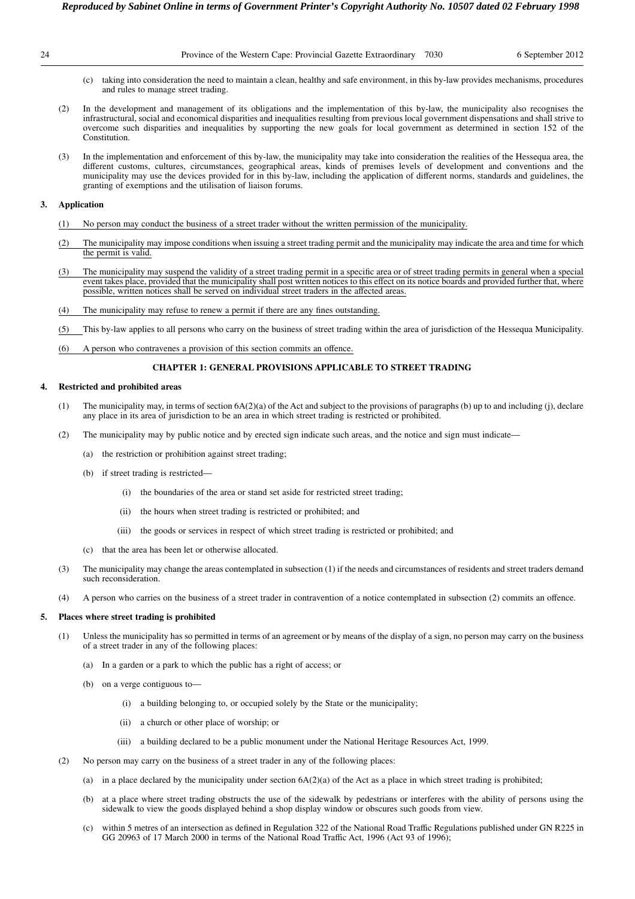| ۰. |  |
|----|--|
|    |  |

- (c) taking into consideration the need to maintain a clean, healthy and safe environment, in this by-law provides mechanisms, procedures and rules to manage street trading.
- (2) In the development and management of its obligations and the implementation of this by-law, the municipality also recognises the infrastructural, social and economical disparities and inequalities resulting from previous local government dispensations and shall strive to overcome such disparities and inequalities by supporting the new goals for local government as determined in section 152 of the Constitution.
- (3) In the implementation and enforcement of this by-law, the municipality may take into consideration the realities of the Hessequa area, the different customs, cultures, circumstances, geographical areas, kinds of premises levels of development and conventions and the municipality may use the devices provided for in this by-law, including the application of different norms, standards and guidelines, the granting of exemptions and the utilisation of liaison forums.

# **3. Application**

- (1) No person may conduct the business of a street trader without the written permission of the municipality.
- (2) The municipality may impose conditions when issuing a street trading permit and the municipality may indicate the area and time for which the permit is valid.
- (3) The municipality may suspend the validity of a street trading permit in a specific area or of street trading permits in general when a special event takes place, provided that the municipality shall post written notices to this effect on its notice boards and provided further that, where possible, written notices shall be served on individual street traders in the affected areas.
- (4) The municipality may refuse to renew a permit if there are any fines outstanding.

(5) This by-law applies to all persons who carry on the business of street trading within the area of jurisdiction of the Hessequa Municipality.

(6) A person who contravenes a provision of this section commits an offence.

#### **CHAPTER 1: GENERAL PROVISIONS APPLICABLE TO STREET TRADING**

#### **4. Restricted and prohibited areas**

- (1) The municipality may, in terms of section 6A(2)(a) of the Act and subject to the provisions of paragraphs (b) up to and including (j), declare any place in its area of jurisdiction to be an area in which street trading is restricted or prohibited.
- (2) The municipality may by public notice and by erected sign indicate such areas, and the notice and sign must indicate—
	- (a) the restriction or prohibition against street trading;
	- (b) if street trading is restricted—
		- (i) the boundaries of the area or stand set aside for restricted street trading;
		- (ii) the hours when street trading is restricted or prohibited; and
		- (iii) the goods or services in respect of which street trading is restricted or prohibited; and
	- (c) that the area has been let or otherwise allocated.
- (3) The municipality may change the areas contemplated in subsection (1) if the needs and circumstances of residents and street traders demand such reconsideration.
- (4) A person who carries on the business of a street trader in contravention of a notice contemplated in subsection (2) commits an offence.

# **5. Places where street trading is prohibited**

- (1) Unless the municipality has so permitted in terms of an agreement or by means of the display of a sign, no person may carry on the business of a street trader in any of the following places:
	- (a) In a garden or a park to which the public has a right of access; or
	- (b) on a verge contiguous to—
		- (i) a building belonging to, or occupied solely by the State or the municipality;
		- (ii) a church or other place of worship; or
		- (iii) a building declared to be a public monument under the National Heritage Resources Act, 1999.
- (2) No person may carry on the business of a street trader in any of the following places:
	- (a) in a place declared by the municipality under section  $6A(2)(a)$  of the Act as a place in which street trading is prohibited;
	- at a place where street trading obstructs the use of the sidewalk by pedestrians or interferes with the ability of persons using the sidewalk to view the goods displayed behind a shop display window or obscures such goods from view.
	- (c) within 5 metres of an intersection as defined in Regulation 322 of the National Road Traffic Regulations published under GN R225 in GG 20963 of 17 March 2000 in terms of the National Road Traffic Act, 1996 (Act 93 of 1996);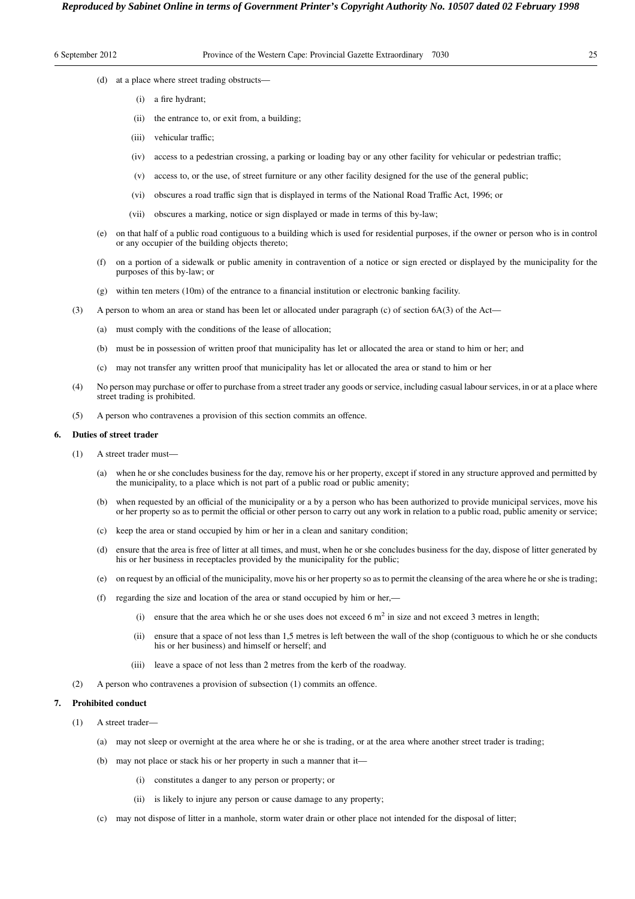- (d) at a place where street trading obstructs—
	- (i) a fire hydrant;
	- (ii) the entrance to, or exit from, a building;
	- (iii) vehicular traffic;
	- (iv) access to a pedestrian crossing, a parking or loading bay or any other facility for vehicular or pedestrian traffic;
	- (v) access to, or the use, of street furniture or any other facility designed for the use of the general public;
	- (vi) obscures a road traffic sign that is displayed in terms of the National Road Traffic Act, 1996; or
	- (vii) obscures a marking, notice or sign displayed or made in terms of this by-law;
- (e) on that half of a public road contiguous to a building which is used for residential purposes, if the owner or person who is in control or any occupier of the building objects thereto;
- (f) on a portion of a sidewalk or public amenity in contravention of a notice or sign erected or displayed by the municipality for the purposes of this by-law; or
- (g) within ten meters (10m) of the entrance to a financial institution or electronic banking facility.
- (3) A person to whom an area or stand has been let or allocated under paragraph (c) of section 6A(3) of the Act—
	- (a) must comply with the conditions of the lease of allocation;
	- (b) must be in possession of written proof that municipality has let or allocated the area or stand to him or her; and
	- (c) may not transfer any written proof that municipality has let or allocated the area or stand to him or her
- (4) No person may purchase or offer to purchase from a street trader any goods or service, including casual labour services, in or at a place where street trading is prohibited.
- (5) A person who contravenes a provision of this section commits an offence.

# **6. Duties of street trader**

- (1) A street trader must—
	- (a) when he or she concludes business for the day, remove his or her property, except if stored in any structure approved and permitted by the municipality, to a place which is not part of a public road or public amenity;
	- (b) when requested by an official of the municipality or a by a person who has been authorized to provide municipal services, move his or her property so as to permit the official or other person to carry out any work in relation to a public road, public amenity or service;
	- (c) keep the area or stand occupied by him or her in a clean and sanitary condition;
	- (d) ensure that the area is free of litter at all times, and must, when he or she concludes business for the day, dispose of litter generated by his or her business in receptacles provided by the municipality for the public;
	- (e) on request by an official of the municipality, move his or her property so as to permit the cleansing of the area where he or she is trading;
	- (f) regarding the size and location of the area or stand occupied by him or her,—
		- (i) ensure that the area which he or she uses does not exceed 6  $m<sup>2</sup>$  in size and not exceed 3 metres in length;
		- (ii) ensure that a space of not less than 1,5 metres is left between the wall of the shop (contiguous to which he or she conducts his or her business) and himself or herself; and
		- (iii) leave a space of not less than 2 metres from the kerb of the roadway.
- (2) A person who contravenes a provision of subsection (1) commits an offence.

# **7. Prohibited conduct**

- (1) A street trader—
	- (a) may not sleep or overnight at the area where he or she is trading, or at the area where another street trader is trading;
	- (b) may not place or stack his or her property in such a manner that it—
		- (i) constitutes a danger to any person or property; or
		- (ii) is likely to injure any person or cause damage to any property;
	- (c) may not dispose of litter in a manhole, storm water drain or other place not intended for the disposal of litter;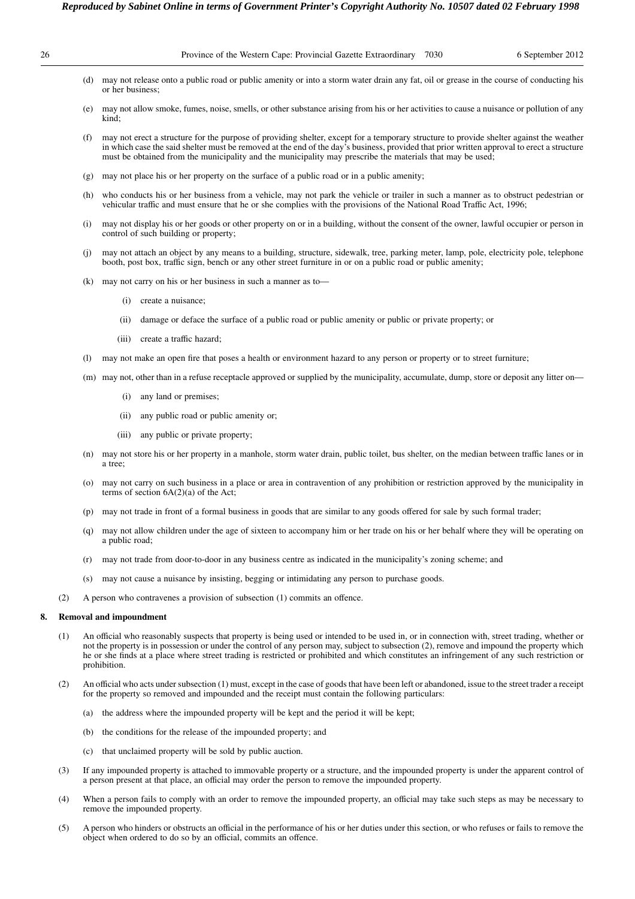| 26                                                                                                                                                                                                                                                                                                                                                                                                                                                                |     |                                                                                                                                                                    | 6 September 2012<br>Province of the Western Cape: Provincial Gazette Extraordinary 7030                                                                                                                                                                                                                                                                                                            |  |  |  |  |
|-------------------------------------------------------------------------------------------------------------------------------------------------------------------------------------------------------------------------------------------------------------------------------------------------------------------------------------------------------------------------------------------------------------------------------------------------------------------|-----|--------------------------------------------------------------------------------------------------------------------------------------------------------------------|----------------------------------------------------------------------------------------------------------------------------------------------------------------------------------------------------------------------------------------------------------------------------------------------------------------------------------------------------------------------------------------------------|--|--|--|--|
|                                                                                                                                                                                                                                                                                                                                                                                                                                                                   |     | may not release onto a public road or public amenity or into a storm water drain any fat, oil or grease in the course of conducting his<br>(d)<br>or her business; |                                                                                                                                                                                                                                                                                                                                                                                                    |  |  |  |  |
|                                                                                                                                                                                                                                                                                                                                                                                                                                                                   |     | (e)                                                                                                                                                                | may not allow smoke, fumes, noise, smells, or other substance arising from his or her activities to cause a nuisance or pollution of any<br>kind:                                                                                                                                                                                                                                                  |  |  |  |  |
|                                                                                                                                                                                                                                                                                                                                                                                                                                                                   |     | (f)                                                                                                                                                                | may not erect a structure for the purpose of providing shelter, except for a temporary structure to provide shelter against the weather<br>in which case the said shelter must be removed at the end of the day's business, provided that prior written approval to erect a structure<br>must be obtained from the municipality and the municipality may prescribe the materials that may be used; |  |  |  |  |
|                                                                                                                                                                                                                                                                                                                                                                                                                                                                   |     | (g)                                                                                                                                                                | may not place his or her property on the surface of a public road or in a public amenity;                                                                                                                                                                                                                                                                                                          |  |  |  |  |
|                                                                                                                                                                                                                                                                                                                                                                                                                                                                   |     | (h)                                                                                                                                                                | who conducts his or her business from a vehicle, may not park the vehicle or trailer in such a manner as to obstruct pedestrian or<br>vehicular traffic and must ensure that he or she complies with the provisions of the National Road Traffic Act, 1996;                                                                                                                                        |  |  |  |  |
|                                                                                                                                                                                                                                                                                                                                                                                                                                                                   |     | (i)                                                                                                                                                                | may not display his or her goods or other property on or in a building, without the consent of the owner, lawful occupier or person in<br>control of such building or property;                                                                                                                                                                                                                    |  |  |  |  |
|                                                                                                                                                                                                                                                                                                                                                                                                                                                                   |     | (i)                                                                                                                                                                | may not attach an object by any means to a building, structure, sidewalk, tree, parking meter, lamp, pole, electricity pole, telephone<br>booth, post box, traffic sign, bench or any other street furniture in or on a public road or public amenity;                                                                                                                                             |  |  |  |  |
|                                                                                                                                                                                                                                                                                                                                                                                                                                                                   |     | (k)                                                                                                                                                                | may not carry on his or her business in such a manner as to-                                                                                                                                                                                                                                                                                                                                       |  |  |  |  |
|                                                                                                                                                                                                                                                                                                                                                                                                                                                                   |     |                                                                                                                                                                    | create a nuisance;<br>(i)                                                                                                                                                                                                                                                                                                                                                                          |  |  |  |  |
|                                                                                                                                                                                                                                                                                                                                                                                                                                                                   |     |                                                                                                                                                                    | damage or deface the surface of a public road or public amenity or public or private property; or<br>(ii)                                                                                                                                                                                                                                                                                          |  |  |  |  |
|                                                                                                                                                                                                                                                                                                                                                                                                                                                                   |     |                                                                                                                                                                    | create a traffic hazard;<br>(iii)                                                                                                                                                                                                                                                                                                                                                                  |  |  |  |  |
|                                                                                                                                                                                                                                                                                                                                                                                                                                                                   |     | (1)                                                                                                                                                                | may not make an open fire that poses a health or environment hazard to any person or property or to street furniture;                                                                                                                                                                                                                                                                              |  |  |  |  |
|                                                                                                                                                                                                                                                                                                                                                                                                                                                                   |     |                                                                                                                                                                    | (m) may not, other than in a refuse receptacle approved or supplied by the municipality, accumulate, dump, store or deposit any litter on—                                                                                                                                                                                                                                                         |  |  |  |  |
|                                                                                                                                                                                                                                                                                                                                                                                                                                                                   |     |                                                                                                                                                                    | any land or premises;<br>(i)                                                                                                                                                                                                                                                                                                                                                                       |  |  |  |  |
|                                                                                                                                                                                                                                                                                                                                                                                                                                                                   |     |                                                                                                                                                                    | (ii)<br>any public road or public amenity or;                                                                                                                                                                                                                                                                                                                                                      |  |  |  |  |
|                                                                                                                                                                                                                                                                                                                                                                                                                                                                   |     |                                                                                                                                                                    | (iii)<br>any public or private property;                                                                                                                                                                                                                                                                                                                                                           |  |  |  |  |
|                                                                                                                                                                                                                                                                                                                                                                                                                                                                   |     | (n)                                                                                                                                                                | may not store his or her property in a manhole, storm water drain, public toilet, bus shelter, on the median between traffic lanes or in<br>a tree;                                                                                                                                                                                                                                                |  |  |  |  |
|                                                                                                                                                                                                                                                                                                                                                                                                                                                                   |     | (0)                                                                                                                                                                | may not carry on such business in a place or area in contravention of any prohibition or restriction approved by the municipality in<br>terms of section $6A(2)(a)$ of the Act;                                                                                                                                                                                                                    |  |  |  |  |
|                                                                                                                                                                                                                                                                                                                                                                                                                                                                   |     | (p)                                                                                                                                                                | may not trade in front of a formal business in goods that are similar to any goods offered for sale by such formal trader;                                                                                                                                                                                                                                                                         |  |  |  |  |
|                                                                                                                                                                                                                                                                                                                                                                                                                                                                   |     | (q)                                                                                                                                                                | may not allow children under the age of sixteen to accompany him or her trade on his or her behalf where they will be operating on<br>a public road:                                                                                                                                                                                                                                               |  |  |  |  |
|                                                                                                                                                                                                                                                                                                                                                                                                                                                                   |     | (r)                                                                                                                                                                | may not trade from door-to-door in any business centre as indicated in the municipality's zoning scheme; and                                                                                                                                                                                                                                                                                       |  |  |  |  |
|                                                                                                                                                                                                                                                                                                                                                                                                                                                                   |     | (s)                                                                                                                                                                | may not cause a nuisance by insisting, begging or intimidating any person to purchase goods.                                                                                                                                                                                                                                                                                                       |  |  |  |  |
|                                                                                                                                                                                                                                                                                                                                                                                                                                                                   | (2) |                                                                                                                                                                    | A person who contravenes a provision of subsection (1) commits an offence.                                                                                                                                                                                                                                                                                                                         |  |  |  |  |
| 8.                                                                                                                                                                                                                                                                                                                                                                                                                                                                |     |                                                                                                                                                                    | <b>Removal and impoundment</b>                                                                                                                                                                                                                                                                                                                                                                     |  |  |  |  |
| An official who reasonably suspects that property is being used or intended to be used in, or in connection with, street trading, whether or<br>(1)<br>not the property is in possession or under the control of any person may, subject to subsection (2), remove and impound the property which<br>he or she finds at a place where street trading is restricted or prohibited and which constitutes an infringement of any such restriction or<br>prohibition. |     |                                                                                                                                                                    |                                                                                                                                                                                                                                                                                                                                                                                                    |  |  |  |  |
|                                                                                                                                                                                                                                                                                                                                                                                                                                                                   | (2) |                                                                                                                                                                    | An official who acts under subsection (1) must, except in the case of goods that have been left or abandoned, issue to the street trader a receipt<br>for the property so removed and impounded and the receipt must contain the following particulars:                                                                                                                                            |  |  |  |  |
|                                                                                                                                                                                                                                                                                                                                                                                                                                                                   |     | (a)                                                                                                                                                                | the address where the impounded property will be kept and the period it will be kept;                                                                                                                                                                                                                                                                                                              |  |  |  |  |
|                                                                                                                                                                                                                                                                                                                                                                                                                                                                   |     | (b)                                                                                                                                                                | the conditions for the release of the impounded property; and                                                                                                                                                                                                                                                                                                                                      |  |  |  |  |
|                                                                                                                                                                                                                                                                                                                                                                                                                                                                   |     | (c)                                                                                                                                                                | that unclaimed property will be sold by public auction.                                                                                                                                                                                                                                                                                                                                            |  |  |  |  |
|                                                                                                                                                                                                                                                                                                                                                                                                                                                                   | (3) |                                                                                                                                                                    | If any impounded property is attached to immovable property or a structure, and the impounded property is under the apparent control of<br>a person present at that place, an official may order the person to remove the impounded property.                                                                                                                                                      |  |  |  |  |
|                                                                                                                                                                                                                                                                                                                                                                                                                                                                   | (4) |                                                                                                                                                                    | When a person fails to comply with an order to remove the impounded property, an official may take such steps as may be necessary to<br>remove the impounded property.                                                                                                                                                                                                                             |  |  |  |  |
|                                                                                                                                                                                                                                                                                                                                                                                                                                                                   |     |                                                                                                                                                                    |                                                                                                                                                                                                                                                                                                                                                                                                    |  |  |  |  |

(5) A person who hinders or obstructs an official in the performance of his or her duties under this section, or who refuses or fails to remove the object when ordered to do so by an official, commits an offence.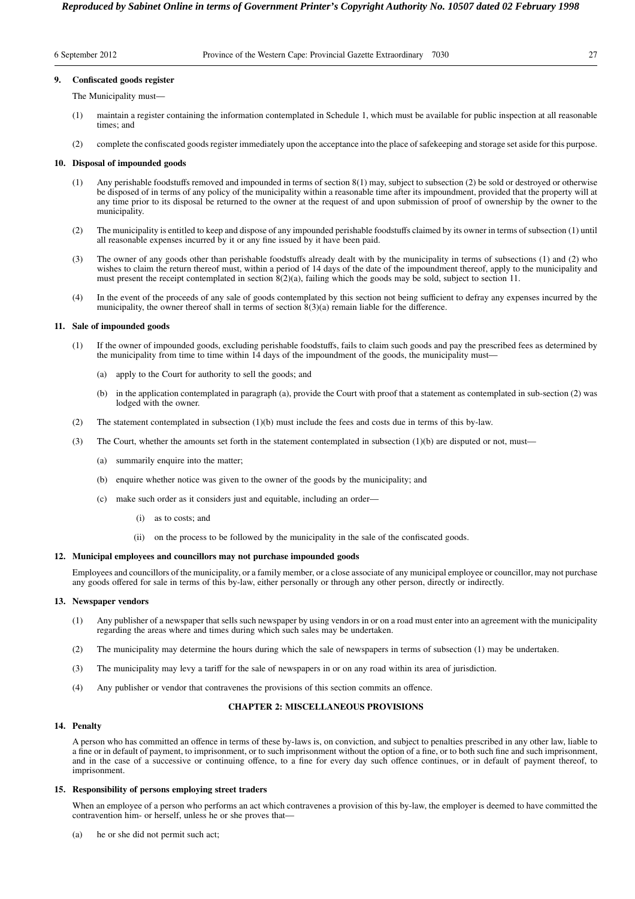| 6 September 2012 |  |
|------------------|--|
|------------------|--|

# **9. Confiscated goods register**

The Municipality must—

- (1) maintain a register containing the information contemplated in Schedule 1, which must be available for public inspection at all reasonable times; and
- (2) complete the confiscated goods register immediately upon the acceptance into the place of safekeeping and storage set aside for this purpose.

#### **10. Disposal of impounded goods**

- (1) Any perishable foodstuffs removed and impounded in terms of section 8(1) may, subject to subsection (2) be sold or destroyed or otherwise be disposed of in terms of any policy of the municipality within a reasonable time after its impoundment, provided that the property will at any time prior to its disposal be returned to the owner at the request of and upon submission of proof of ownership by the owner to the municipality.
- (2) The municipality is entitled to keep and dispose of any impounded perishable foodstuffs claimed by its owner in terms of subsection (1) until all reasonable expenses incurred by it or any fine issued by it have been paid.
- (3) The owner of any goods other than perishable foodstuffs already dealt with by the municipality in terms of subsections (1) and (2) who wishes to claim the return thereof must, within a period of 14 days of the date of the impoundment thereof, apply to the municipality and must present the receipt contemplated in section 8(2)(a), failing which the goods may be sold, subject to section 11.
- (4) In the event of the proceeds of any sale of goods contemplated by this section not being sufficient to defray any expenses incurred by the municipality, the owner thereof shall in terms of section 8(3)(a) remain liable for the difference.

#### **11. Sale of impounded goods**

- (1) If the owner of impounded goods, excluding perishable foodstuffs, fails to claim such goods and pay the prescribed fees as determined by the municipality from time to time within 14 days of the impoundment of the goods, the municipality must—
	- (a) apply to the Court for authority to sell the goods; and
	- (b) in the application contemplated in paragraph (a), provide the Court with proof that a statement as contemplated in sub-section (2) was lodged with the owner.
- (2) The statement contemplated in subsection (1)(b) must include the fees and costs due in terms of this by-law.
- (3) The Court, whether the amounts set forth in the statement contemplated in subsection (1)(b) are disputed or not, must—
	- (a) summarily enquire into the matter;
	- (b) enquire whether notice was given to the owner of the goods by the municipality; and
	- (c) make such order as it considers just and equitable, including an order—
		- (i) as to costs; and
		- (ii) on the process to be followed by the municipality in the sale of the confiscated goods.

## **12. Municipal employees and councillors may not purchase impounded goods**

Employees and councillors of the municipality, or a family member, or a close associate of any municipal employee or councillor, may not purchase any goods offered for sale in terms of this by-law, either personally or through any other person, directly or indirectly.

# **13. Newspaper vendors**

- (1) Any publisher of a newspaper that sells such newspaper by using vendors in or on a road must enter into an agreement with the municipality regarding the areas where and times during which such sales may be undertaken.
- (2) The municipality may determine the hours during which the sale of newspapers in terms of subsection (1) may be undertaken.
- (3) The municipality may levy a tariff for the sale of newspapers in or on any road within its area of jurisdiction.
- (4) Any publisher or vendor that contravenes the provisions of this section commits an offence.

# **CHAPTER 2: MISCELLANEOUS PROVISIONS**

#### **14. Penalty**

A person who has committed an offence in terms of these by-laws is, on conviction, and subject to penalties prescribed in any other law, liable to a fine or in default of payment, to imprisonment, or to such imprisonment without the option of a fine, or to both such fine and such imprisonment, and in the case of a successive or continuing offence, to a fine for every day such offence continues, or in default of payment thereof, to imprisonment.

# **15. Responsibility of persons employing street traders**

When an employee of a person who performs an act which contravenes a provision of this by-law, the employer is deemed to have committed the contravention him- or herself, unless he or she proves that-

(a) he or she did not permit such act;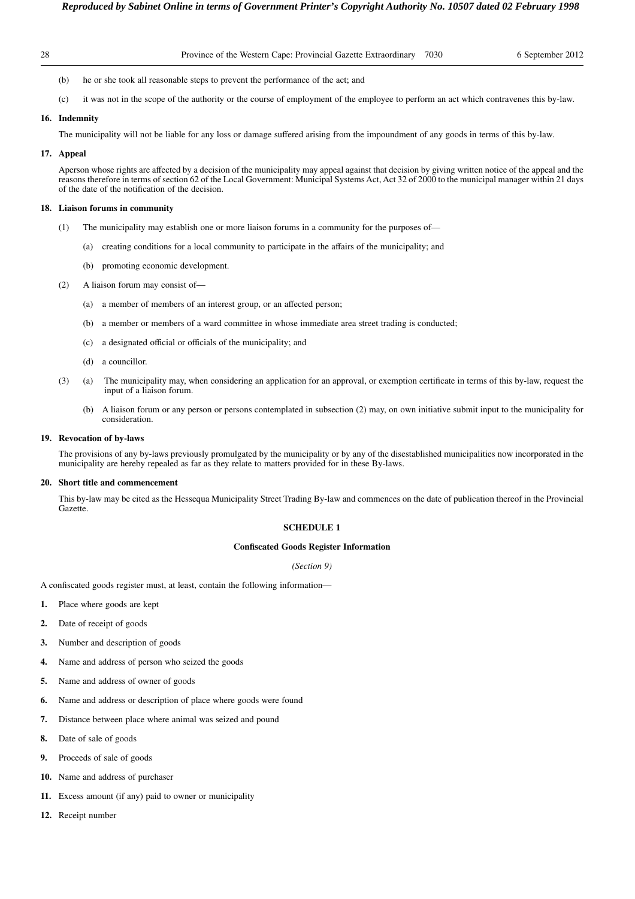- - (b) he or she took all reasonable steps to prevent the performance of the act; and
	- (c) it was not in the scope of the authority or the course of employment of the employee to perform an act which contravenes this by-law.

# **16. Indemnity**

The municipality will not be liable for any loss or damage suffered arising from the impoundment of any goods in terms of this by-law.

#### **17. Appeal**

Aperson whose rights are affected by a decision of the municipality may appeal against that decision by giving written notice of the appeal and the reasons therefore in terms of section 62 of the Local Government: Municipal Systems Act, Act 32 of 2000 to the municipal manager within 21 days of the date of the notification of the decision.

#### **18. Liaison forums in community**

- (1) The municipality may establish one or more liaison forums in a community for the purposes of—
	- (a) creating conditions for a local community to participate in the affairs of the municipality; and
	- (b) promoting economic development.
- (2) A liaison forum may consist of—
	- (a) a member of members of an interest group, or an affected person;
	- (b) a member or members of a ward committee in whose immediate area street trading is conducted;
	- (c) a designated official or officials of the municipality; and
	- (d) a councillor.
- (3) (a) The municipality may, when considering an application for an approval, or exemption certificate in terms of this by-law, request the input of a liaison forum.
	- (b) A liaison forum or any person or persons contemplated in subsection (2) may, on own initiative submit input to the municipality for consideration.

# **19. Revocation of by-laws**

The provisions of any by-laws previously promulgated by the municipality or by any of the disestablished municipalities now incorporated in the municipality are hereby repealed as far as they relate to matters provided for in these By-laws.

#### **20. Short title and commencement**

This by-law may be cited as the Hessequa Municipality Street Trading By-law and commences on the date of publication thereof in the Provincial Gazette.

# **SCHEDULE 1**

# **Confiscated Goods Register Information**

#### *(Section 9)*

A confiscated goods register must, at least, contain the following information—

- **1.** Place where goods are kept
- **2.** Date of receipt of goods
- **3.** Number and description of goods
- **4.** Name and address of person who seized the goods
- **5.** Name and address of owner of goods
- **6.** Name and address or description of place where goods were found
- **7.** Distance between place where animal was seized and pound
- **8.** Date of sale of goods
- **9.** Proceeds of sale of goods
- **10.** Name and address of purchaser
- **11.** Excess amount (if any) paid to owner or municipality
- **12.** Receipt number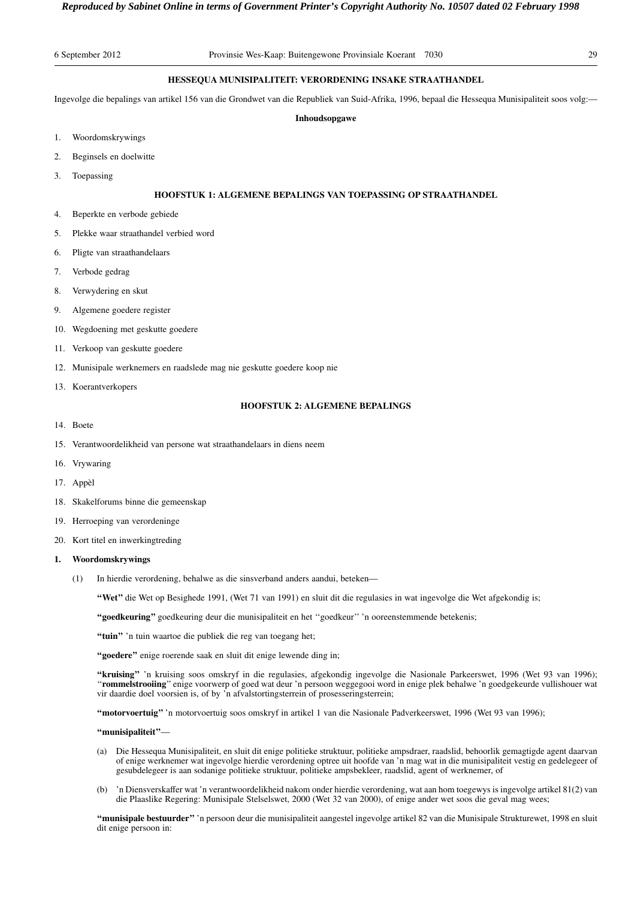# **HESSEQUA MUNISIPALITEIT: VERORDENING INSAKE STRAATHANDEL**

Ingevolge die bepalings van artikel 156 van die Grondwet van die Republiek van Suid-Afrika, 1996, bepaal die Hessequa Munisipaliteit soos volg:—

#### **Inhoudsopgawe**

- 1. Woordomskrywings
- 2. Beginsels en doelwitte
- 3. Toepassing

# **HOOFSTUK 1: ALGEMENE BEPALINGS VAN TOEPASSING OP STRAATHANDEL**

- 4. Beperkte en verbode gebiede
- 5. Plekke waar straathandel verbied word
- 6. Pligte van straathandelaars
- 7. Verbode gedrag
- 8. Verwydering en skut
- 9. Algemene goedere register
- 10. Wegdoening met geskutte goedere
- 11. Verkoop van geskutte goedere
- 12. Munisipale werknemers en raadslede mag nie geskutte goedere koop nie
- 13. Koerantverkopers

# **HOOFSTUK 2: ALGEMENE BEPALINGS**

- 14. Boete
- 15. Verantwoordelikheid van persone wat straathandelaars in diens neem
- 16. Vrywaring
- 17. Appèl
- 18. Skakelforums binne die gemeenskap
- 19. Herroeping van verordeninge
- 20. Kort titel en inwerkingtreding

# **1. Woordomskrywings**

(1) In hierdie verordening, behalwe as die sinsverband anders aandui, beteken—

**''Wet''** die Wet op Besighede 1991, (Wet 71 van 1991) en sluit dit die regulasies in wat ingevolge die Wet afgekondig is;

**''goedkeuring''** goedkeuring deur die munisipaliteit en het ''goedkeur'' 'n ooreenstemmende betekenis;

"tuin" 'n tuin waartoe die publiek die reg van toegang het;

"goedere" enige roerende saak en sluit dit enige lewende ding in;

**''kruising''** 'n kruising soos omskryf in die regulasies, afgekondig ingevolge die Nasionale Parkeerswet, 1996 (Wet 93 van 1996); ''**rommelstrooiing**'' enige voorwerp of goed wat deur 'n persoon weggegooi word in enige plek behalwe 'n goedgekeurde vullishouer wat vir daardie doel voorsien is, of by 'n afvalstortingsterrein of prosesseringsterrein;

**''motorvoertuig''** 'n motorvoertuig soos omskryf in artikel 1 van die Nasionale Padverkeerswet, 1996 (Wet 93 van 1996);

### **''munisipaliteit''**—

- (a) Die Hessequa Munisipaliteit, en sluit dit enige politieke struktuur, politieke ampsdraer, raadslid, behoorlik gemagtigde agent daarvan of enige werknemer wat ingevolge hierdie verordening optree uit hoofde van 'n mag wat in die munisipaliteit vestig en gedelegeer of gesubdelegeer is aan sodanige politieke struktuur, politieke ampsbekleer, raadslid, agent of werknemer, of
- (b) 'n Diensverskaffer wat 'n verantwoordelikheid nakom onder hierdie verordening, wat aan hom toegewys is ingevolge artikel 81(2) van die Plaaslike Regering: Munisipale Stelselswet, 2000 (Wet 32 van 2000), of enige ander wet soos die geval mag wees;

**''munisipale bestuurder''** 'n persoon deur die munisipaliteit aangestel ingevolge artikel 82 van die Munisipale Strukturewet, 1998 en sluit dit enige persoon in: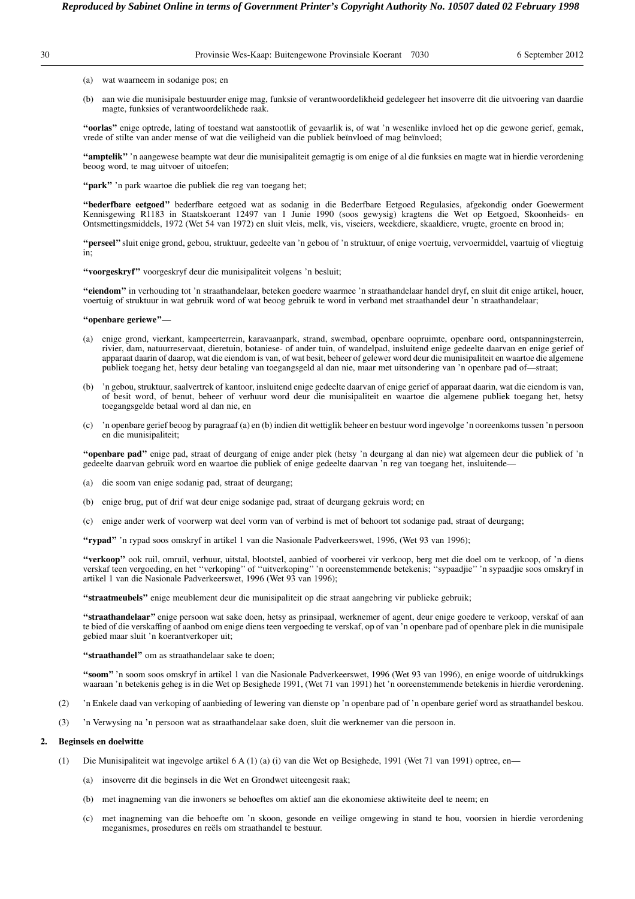(a) wat waarneem in sodanige pos; en

(b) aan wie die munisipale bestuurder enige mag, funksie of verantwoordelikheid gedelegeer het insoverre dit die uitvoering van daardie magte, funksies of verantwoordelikhede raak.

**''oorlas''** enige optrede, lating of toestand wat aanstootlik of gevaarlik is, of wat 'n wesenlike invloed het op die gewone gerief, gemak, vrede of stilte van ander mense of wat die veiligheid van die publiek beïnvloed of mag beïnvloed;

**''amptelik''** 'n aangewese beampte wat deur die munisipaliteit gemagtig is om enige of al die funksies en magte wat in hierdie verordening beoog word, te mag uitvoer of uitoefen;

**''park''** 'n park waartoe die publiek die reg van toegang het;

**''bederfbare eetgoed''** bederfbare eetgoed wat as sodanig in die Bederfbare Eetgoed Regulasies, afgekondig onder Goewerment Kennisgewing R1183 in Staatskoerant 12497 van 1 Junie 1990 (soos gewysig) kragtens die Wet op Eetgoed, Skoonheids- en Ontsmettingsmiddels, 1972 (Wet 54 van 1972) en sluit vleis, melk, vis, viseiers, weekdiere, skaaldiere, vrugte, groente en brood in;

**''perseel''**sluit enige grond, gebou, struktuur, gedeelte van 'n gebou of 'n struktuur, of enige voertuig, vervoermiddel, vaartuig of vliegtuig in;

**''voorgeskryf''** voorgeskryf deur die munisipaliteit volgens 'n besluit;

**''eiendom''** in verhouding tot 'n straathandelaar, beteken goedere waarmee 'n straathandelaar handel dryf, en sluit dit enige artikel, houer, voertuig of struktuur in wat gebruik word of wat beoog gebruik te word in verband met straathandel deur 'n straathandelaar;

**''openbare geriewe''**—

- (a) enige grond, vierkant, kampeerterrein, karavaanpark, strand, swembad, openbare oopruimte, openbare oord, ontspanningsterrein, rivier, dam, natuurreservaat, dieretuin, botaniese- of ander tuin, of wandelpad, insluitend enige gedeelte daarvan en enige gerief of apparaat daarin of daarop, wat die eiendom is van, of wat besit, beheer of gelewer word deur die munisipaliteit en waartoe die algemene publiek toegang het, hetsy deur betaling van toegangsgeld al dan nie, maar met uitsondering van 'n openbare pad of—straat;
- (b) 'n gebou, struktuur, saalvertrek of kantoor, insluitend enige gedeelte daarvan of enige gerief of apparaat daarin, wat die eiendom is van, of besit word, of benut, beheer of verhuur word deur die munisipaliteit en waartoe die algemene publiek toegang het, hetsy toegangsgelde betaal word al dan nie, en
- (c) 'n openbare gerief beoog by paragraaf (a) en (b) indien dit wettiglik beheer en bestuur word ingevolge 'n ooreenkoms tussen 'n persoon en die munisipaliteit;

**''openbare pad''** enige pad, straat of deurgang of enige ander plek (hetsy 'n deurgang al dan nie) wat algemeen deur die publiek of 'n gedeelte daarvan gebruik word en waartoe die publiek of enige gedeelte daarvan 'n reg van toegang het, insluitende—

- (a) die soom van enige sodanig pad, straat of deurgang;
- (b) enige brug, put of drif wat deur enige sodanige pad, straat of deurgang gekruis word; en
- (c) enige ander werk of voorwerp wat deel vorm van of verbind is met of behoort tot sodanige pad, straat of deurgang;

**''rypad''** 'n rypad soos omskryf in artikel 1 van die Nasionale Padverkeerswet, 1996, (Wet 93 van 1996);

**''verkoop''** ook ruil, omruil, verhuur, uitstal, blootstel, aanbied of voorberei vir verkoop, berg met die doel om te verkoop, of 'n diens verskaf teen vergoeding, en het ''verkoping'' of ''uitverkoping'' 'n ooreenstemmende betekenis; ''sypaadjie'' 'n sypaadjie soos omskryf in artikel 1 van die Nasionale Padverkeerswet, 1996 (Wet 93 van 1996);

**''straatmeubels''** enige meublement deur die munisipaliteit op die straat aangebring vir publieke gebruik;

**''straathandelaar''** enige persoon wat sake doen, hetsy as prinsipaal, werknemer of agent, deur enige goedere te verkoop, verskaf of aan te bied of die verskaffing of aanbod om enige diens teen vergoeding te verskaf, op of van 'n openbare pad of openbare plek in die munisipale gebied maar sluit 'n koerantverkoper uit;

**''straathandel''** om as straathandelaar sake te doen;

**''soom''** 'n soom soos omskryf in artikel 1 van die Nasionale Padverkeerswet, 1996 (Wet 93 van 1996), en enige woorde of uitdrukkings waaraan 'n betekenis geheg is in die Wet op Besighede 1991, (Wet 71 van 1991) het 'n ooreenstemmende betekenis in hierdie verordening.

- (2) 'n Enkele daad van verkoping of aanbieding of lewering van dienste op 'n openbare pad of 'n openbare gerief word as straathandel beskou.
- (3) 'n Verwysing na 'n persoon wat as straathandelaar sake doen, sluit die werknemer van die persoon in.

## **2. Beginsels en doelwitte**

- (1) Die Munisipaliteit wat ingevolge artikel 6 A (1) (a) (i) van die Wet op Besighede, 1991 (Wet 71 van 1991) optree, en—
	- (a) insoverre dit die beginsels in die Wet en Grondwet uiteengesit raak;
	- (b) met inagneming van die inwoners se behoeftes om aktief aan die ekonomiese aktiwiteite deel te neem; en
	- (c) met inagneming van die behoefte om 'n skoon, gesonde en veilige omgewing in stand te hou, voorsien in hierdie verordening meganismes, prosedures en reëls om straathandel te bestuur.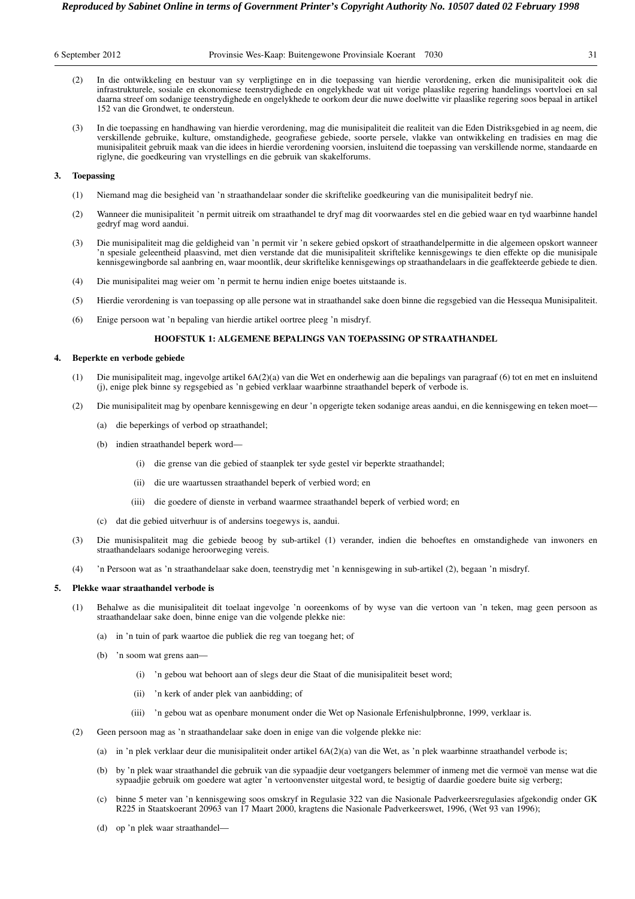| 6 September 2012 |
|------------------|
|------------------|

- (2) In die ontwikkeling en bestuur van sy verpligtinge en in die toepassing van hierdie verordening, erken die munisipaliteit ook die infrastrukturele, sosiale en ekonomiese teenstrydighede en ongelykhede wat uit vorige plaaslike regering handelings voortvloei en sal daarna streef om sodanige teenstrydighede en ongelykhede te oorkom deur die nuwe doelwitte vir plaaslike regering soos bepaal in artikel 152 van die Grondwet, te ondersteun.
- (3) In die toepassing en handhawing van hierdie verordening, mag die munisipaliteit die realiteit van die Eden Distriksgebied in ag neem, die verskillende gebruike, kulture, omstandighede, geografiese gebiede, soorte persele, vlakke van ontwikkeling en tradisies en mag die munisipaliteit gebruik maak van die idees in hierdie verordening voorsien, insluitend die toepassing van verskillende norme, standaarde en riglyne, die goedkeuring van vrystellings en die gebruik van skakelforums.

# **3. Toepassing**

- (1) Niemand mag die besigheid van 'n straathandelaar sonder die skriftelike goedkeuring van die munisipaliteit bedryf nie.
- (2) Wanneer die munisipaliteit 'n permit uitreik om straathandel te dryf mag dit voorwaardes stel en die gebied waar en tyd waarbinne handel gedryf mag word aandui.
- (3) Die munisipaliteit mag die geldigheid van 'n permit vir 'n sekere gebied opskort of straathandelpermitte in die algemeen opskort wanneer 'n spesiale geleentheid plaasvind, met dien verstande dat die munisipaliteit skriftelike kennisgewings te dien effekte op die munisipale kennisgewingborde sal aanbring en, waar moontlik, deur skriftelike kennisgewings op straathandelaars in die geaffekteerde gebiede te dien.
- (4) Die munisipalitei mag weier om 'n permit te hernu indien enige boetes uitstaande is.
- (5) Hierdie verordening is van toepassing op alle persone wat in straathandel sake doen binne die regsgebied van die Hessequa Munisipaliteit.
- (6) Enige persoon wat 'n bepaling van hierdie artikel oortree pleeg 'n misdryf.

# **HOOFSTUK 1: ALGEMENE BEPALINGS VAN TOEPASSING OP STRAATHANDEL**

#### **4. Beperkte en verbode gebiede**

- (1) Die munisipaliteit mag, ingevolge artikel 6A(2)(a) van die Wet en onderhewig aan die bepalings van paragraaf (6) tot en met en insluitend (j), enige plek binne sy regsgebied as 'n gebied verklaar waarbinne straathandel beperk of verbode is.
- (2) Die munisipaliteit mag by openbare kennisgewing en deur 'n opgerigte teken sodanige areas aandui, en die kennisgewing en teken moet—
	- (a) die beperkings of verbod op straathandel;
	- (b) indien straathandel beperk word—
		- (i) die grense van die gebied of staanplek ter syde gestel vir beperkte straathandel;
		- (ii) die ure waartussen straathandel beperk of verbied word; en
		- (iii) die goedere of dienste in verband waarmee straathandel beperk of verbied word; en
	- (c) dat die gebied uitverhuur is of andersins toegewys is, aandui.
- (3) Die munisispaliteit mag die gebiede beoog by sub-artikel (1) verander, indien die behoeftes en omstandighede van inwoners en straathandelaars sodanige heroorweging vereis.
- (4) 'n Persoon wat as 'n straathandelaar sake doen, teenstrydig met 'n kennisgewing in sub-artikel (2), begaan 'n misdryf.

# **5. Plekke waar straathandel verbode is**

- (1) Behalwe as die munisipaliteit dit toelaat ingevolge 'n ooreenkoms of by wyse van die vertoon van 'n teken, mag geen persoon as straathandelaar sake doen, binne enige van die volgende plekke nie:
	- (a) in 'n tuin of park waartoe die publiek die reg van toegang het; of
	- (b) 'n soom wat grens aan—
		- (i) 'n gebou wat behoort aan of slegs deur die Staat of die munisipaliteit beset word;
		- (ii) 'n kerk of ander plek van aanbidding; of
		- (iii) 'n gebou wat as openbare monument onder die Wet op Nasionale Erfenishulpbronne, 1999, verklaar is.
- (2) Geen persoon mag as 'n straathandelaar sake doen in enige van die volgende plekke nie:
	- (a) in 'n plek verklaar deur die munisipaliteit onder artikel 6A(2)(a) van die Wet, as 'n plek waarbinne straathandel verbode is;
	- (b) by 'n plek waar straathandel die gebruik van die sypaadjie deur voetgangers belemmer of inmeng met die vermoë van mense wat die sypaadjie gebruik om goedere wat agter 'n vertoonvenster uitgestal word, te besigtig of daardie goedere buite sig verberg;
	- (c) binne 5 meter van 'n kennisgewing soos omskryf in Regulasie 322 van die Nasionale Padverkeersregulasies afgekondig onder GK R225 in Staatskoerant 20963 van 17 Maart 2000, kragtens die Nasionale Padverkeerswet, 1996, (Wet 93 van 1996);
	- (d) op 'n plek waar straathandel—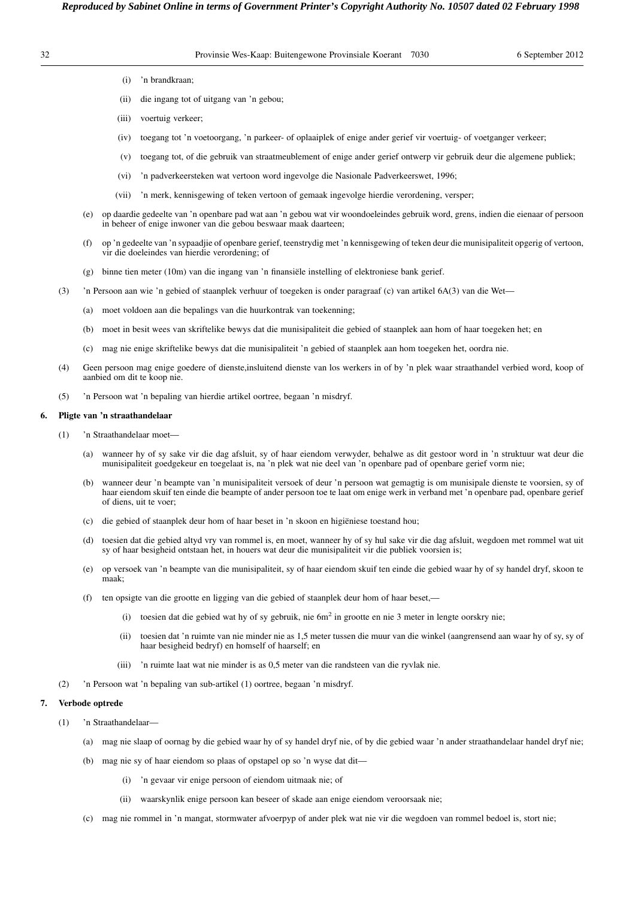|    | Reproduced by Sabinet Online in terms of Government Printer's Copyright Authority No. 10507 dated 02 February 1998 |      |                  |
|----|--------------------------------------------------------------------------------------------------------------------|------|------------------|
| 32 | Provinsie Wes-Kaap: Buitengewone Provinsiale Koerant                                                               | 7030 | 6 September 2012 |

- (i) 'n brandkraan;
- (ii) die ingang tot of uitgang van 'n gebou;
- (iii) voertuig verkeer;
- (iv) toegang tot 'n voetoorgang, 'n parkeer- of oplaaiplek of enige ander gerief vir voertuig- of voetganger verkeer;
- (v) toegang tot, of die gebruik van straatmeublement of enige ander gerief ontwerp vir gebruik deur die algemene publiek;
- (vi) 'n padverkeersteken wat vertoon word ingevolge die Nasionale Padverkeerswet, 1996;
- (vii) 'n merk, kennisgewing of teken vertoon of gemaak ingevolge hierdie verordening, versper;
- (e) op daardie gedeelte van 'n openbare pad wat aan 'n gebou wat vir woondoeleindes gebruik word, grens, indien die eienaar of persoon in beheer of enige inwoner van die gebou beswaar maak daarteen;
- (f) op 'n gedeelte van 'n sypaadjie of openbare gerief, teenstrydig met 'n kennisgewing of teken deur die munisipaliteit opgerig of vertoon, vir die doeleindes van hierdie verordening; of
- (g) binne tien meter (10m) van die ingang van 'n finansiële instelling of elektroniese bank gerief.
- (3) 'n Persoon aan wie 'n gebied of staanplek verhuur of toegeken is onder paragraaf (c) van artikel 6A(3) van die Wet—
	- (a) moet voldoen aan die bepalings van die huurkontrak van toekenning;
	- (b) moet in besit wees van skriftelike bewys dat die munisipaliteit die gebied of staanplek aan hom of haar toegeken het; en
	- (c) mag nie enige skriftelike bewys dat die munisipaliteit 'n gebied of staanplek aan hom toegeken het, oordra nie.
- (4) Geen persoon mag enige goedere of dienste,insluitend dienste van los werkers in of by 'n plek waar straathandel verbied word, koop of aanbied om dit te koop nie.
- (5) 'n Persoon wat 'n bepaling van hierdie artikel oortree, begaan 'n misdryf.

# **6. Pligte van 'n straathandelaar**

- (1) 'n Straathandelaar moet—
	- (a) wanneer hy of sy sake vir die dag afsluit, sy of haar eiendom verwyder, behalwe as dit gestoor word in 'n struktuur wat deur die munisipaliteit goedgekeur en toegelaat is, na 'n plek wat nie deel van 'n openbare pad of openbare gerief vorm nie;
	- (b) wanneer deur 'n beampte van 'n munisipaliteit versoek of deur 'n persoon wat gemagtig is om munisipale dienste te voorsien, sy of haar eiendom skuif ten einde die beampte of ander persoon toe te laat om enige werk in verband met 'n openbare pad, openbare gerief of diens, uit te voer;
	- (c) die gebied of staanplek deur hom of haar beset in 'n skoon en higiëniese toestand hou;
	- (d) toesien dat die gebied altyd vry van rommel is, en moet, wanneer hy of sy hul sake vir die dag afsluit, wegdoen met rommel wat uit sy of haar besigheid ontstaan het, in houers wat deur die munisipaliteit vir die publiek voorsien is;
	- (e) op versoek van 'n beampte van die munisipaliteit, sy of haar eiendom skuif ten einde die gebied waar hy of sy handel dryf, skoon te maak;
	- (f) ten opsigte van die grootte en ligging van die gebied of staanplek deur hom of haar beset,—
		- (i) toesien dat die gebied wat hy of sy gebruik, nie  $6m<sup>2</sup>$  in grootte en nie 3 meter in lengte oorskry nie;
		- (ii) toesien dat 'n ruimte van nie minder nie as 1,5 meter tussen die muur van die winkel (aangrensend aan waar hy of sy, sy of haar besigheid bedryf) en homself of haarself; en
		- (iii) 'n ruimte laat wat nie minder is as 0,5 meter van die randsteen van die ryvlak nie.
- (2) 'n Persoon wat 'n bepaling van sub-artikel (1) oortree, begaan 'n misdryf.

#### **7. Verbode optrede**

- (1) 'n Straathandelaar—
	- (a) mag nie slaap of oornag by die gebied waar hy of sy handel dryf nie, of by die gebied waar 'n ander straathandelaar handel dryf nie;
	- (b) mag nie sy of haar eiendom so plaas of opstapel op so 'n wyse dat dit—
		- (i) 'n gevaar vir enige persoon of eiendom uitmaak nie; of
		- (ii) waarskynlik enige persoon kan beseer of skade aan enige eiendom veroorsaak nie;
	- (c) mag nie rommel in 'n mangat, stormwater afvoerpyp of ander plek wat nie vir die wegdoen van rommel bedoel is, stort nie;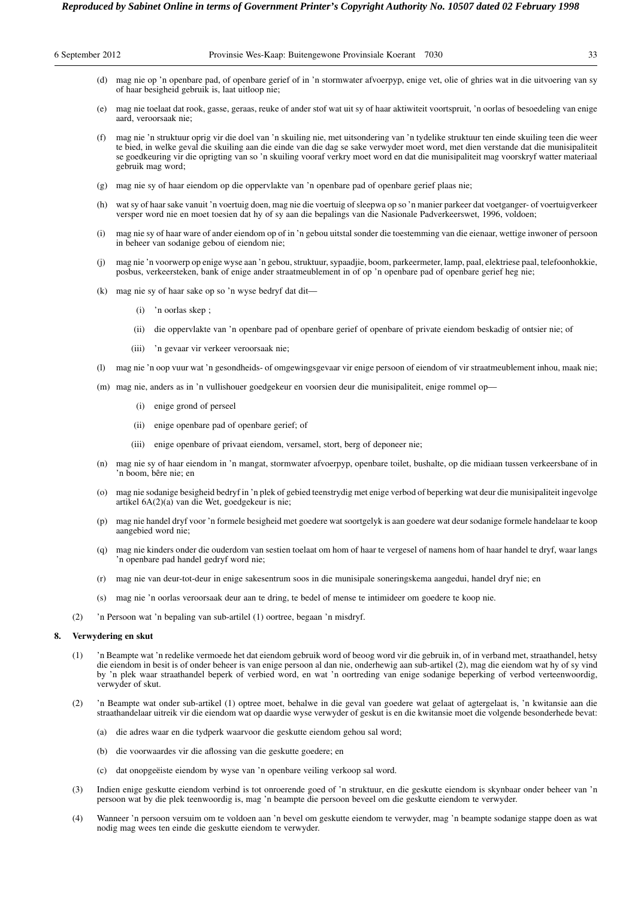| 6 September 2012 |                                                                                                                                                                                                                                                                                                                                                                                                                                                  | Provinsie Wes-Kaap: Buitengewone Provinsiale Koerant 7030                                                                                                                                                                                                                                                                                                                                                                                     | 33 |  |  |
|------------------|--------------------------------------------------------------------------------------------------------------------------------------------------------------------------------------------------------------------------------------------------------------------------------------------------------------------------------------------------------------------------------------------------------------------------------------------------|-----------------------------------------------------------------------------------------------------------------------------------------------------------------------------------------------------------------------------------------------------------------------------------------------------------------------------------------------------------------------------------------------------------------------------------------------|----|--|--|
| (d)              |                                                                                                                                                                                                                                                                                                                                                                                                                                                  | mag nie op 'n openbare pad, of openbare gerief of in 'n stormwater afvoerpyp, enige vet, olie of ghries wat in die uitvoering van sy<br>of haar besigheid gebruik is, laat uitloop nie;                                                                                                                                                                                                                                                       |    |  |  |
|                  |                                                                                                                                                                                                                                                                                                                                                                                                                                                  | (e) mag nie toelaat dat rook, gasse, geraas, reuke of ander stof wat uit sy of haar aktiwiteit voortspruit, 'n oorlas of besoedeling van enige<br>aard, veroorsaak nie;                                                                                                                                                                                                                                                                       |    |  |  |
| (f)              |                                                                                                                                                                                                                                                                                                                                                                                                                                                  | mag nie 'n struktuur oprig vir die doel van 'n skuiling nie, met uitsondering van 'n tydelike struktuur ten einde skuiling teen die weer<br>te bied, in welke geval die skuiling aan die einde van die dag se sake verwyder moet word, met dien verstande dat die munisipaliteit<br>se goedkeuring vir die oprigting van so 'n skuiling vooraf verkry moet word en dat die munisipaliteit mag voorskryf watter materiaal<br>gebruik mag word; |    |  |  |
| (g)              |                                                                                                                                                                                                                                                                                                                                                                                                                                                  | mag nie sy of haar eiendom op die oppervlakte van 'n openbare pad of openbare gerief plaas nie;                                                                                                                                                                                                                                                                                                                                               |    |  |  |
| (h)              |                                                                                                                                                                                                                                                                                                                                                                                                                                                  | wat sy of haar sake vanuit 'n voertuig doen, mag nie die voertuig of sleepwa op so 'n manier parkeer dat voetganger- of voertuigverkeer<br>versper word nie en moet toesien dat hy of sy aan die bepalings van die Nasionale Padverkeerswet, 1996, voldoen;                                                                                                                                                                                   |    |  |  |
| (i)              |                                                                                                                                                                                                                                                                                                                                                                                                                                                  | mag nie sy of haar ware of ander eiendom op of in 'n gebou uitstal sonder die toestemming van die eienaar, wettige inwoner of persoon<br>in beheer van sodanige gebou of eiendom nie;                                                                                                                                                                                                                                                         |    |  |  |
| (i)              |                                                                                                                                                                                                                                                                                                                                                                                                                                                  | mag nie 'n voorwerp op enige wyse aan 'n gebou, struktuur, sypaadjie, boom, parkeermeter, lamp, paal, elektriese paal, telefoonhokkie,<br>posbus, verkeersteken, bank of enige ander straatmeublement in of op 'n openbare pad of openbare gerief heg nie;                                                                                                                                                                                    |    |  |  |
| (k)              |                                                                                                                                                                                                                                                                                                                                                                                                                                                  | mag nie sy of haar sake op so 'n wyse bedryf dat dit—                                                                                                                                                                                                                                                                                                                                                                                         |    |  |  |
|                  | (i)                                                                                                                                                                                                                                                                                                                                                                                                                                              | 'n oorlas skep;                                                                                                                                                                                                                                                                                                                                                                                                                               |    |  |  |
|                  | (ii)                                                                                                                                                                                                                                                                                                                                                                                                                                             | die oppervlakte van 'n openbare pad of openbare gerief of openbare of private eiendom beskadig of ontsier nie; of                                                                                                                                                                                                                                                                                                                             |    |  |  |
|                  | (iii)                                                                                                                                                                                                                                                                                                                                                                                                                                            | 'n gevaar vir verkeer veroorsaak nie;                                                                                                                                                                                                                                                                                                                                                                                                         |    |  |  |
| (1)              |                                                                                                                                                                                                                                                                                                                                                                                                                                                  | mag nie 'n oop vuur wat 'n gesondheids- of omgewingsgevaar vir enige persoon of eiendom of vir straatmeublement inhou, maak nie;                                                                                                                                                                                                                                                                                                              |    |  |  |
|                  |                                                                                                                                                                                                                                                                                                                                                                                                                                                  | (m) mag nie, anders as in 'n vullishouer goedgekeur en voorsien deur die munisipaliteit, enige rommel op-                                                                                                                                                                                                                                                                                                                                     |    |  |  |
|                  | (i)                                                                                                                                                                                                                                                                                                                                                                                                                                              | enige grond of perseel                                                                                                                                                                                                                                                                                                                                                                                                                        |    |  |  |
|                  | (ii)                                                                                                                                                                                                                                                                                                                                                                                                                                             | enige openbare pad of openbare gerief; of                                                                                                                                                                                                                                                                                                                                                                                                     |    |  |  |
|                  | (iii)                                                                                                                                                                                                                                                                                                                                                                                                                                            | enige openbare of privaat eiendom, versamel, stort, berg of deponeer nie;                                                                                                                                                                                                                                                                                                                                                                     |    |  |  |
| (n)              |                                                                                                                                                                                                                                                                                                                                                                                                                                                  | mag nie sy of haar eiendom in 'n mangat, stormwater afvoerpyp, openbare toilet, bushalte, op die midiaan tussen verkeersbane of in<br>'n boom, bêre nie; en                                                                                                                                                                                                                                                                                   |    |  |  |
| (0)              |                                                                                                                                                                                                                                                                                                                                                                                                                                                  | mag nie sodanige besigheid bedryf in 'n plek of gebied teenstrydig met enige verbod of beperking wat deur die munisipaliteit ingevolge<br>artikel 6A(2)(a) van die Wet, goedgekeur is nie;                                                                                                                                                                                                                                                    |    |  |  |
| (p)              |                                                                                                                                                                                                                                                                                                                                                                                                                                                  | mag nie handel dryf voor 'n formele besigheid met goedere wat soortgelyk is aan goedere wat deur sodanige formele handelaar te koop<br>aangebied word nie;                                                                                                                                                                                                                                                                                    |    |  |  |
| (q)              |                                                                                                                                                                                                                                                                                                                                                                                                                                                  | mag nie kinders onder die ouderdom van sestien toelaat om hom of haar te vergesel of namens hom of haar handel te dryf, waar langs<br>'n openbare pad handel gedryf word nie;                                                                                                                                                                                                                                                                 |    |  |  |
| (r)              |                                                                                                                                                                                                                                                                                                                                                                                                                                                  | mag nie van deur-tot-deur in enige sakesentrum soos in die munisipale soneringskema aangedui, handel dryf nie; en                                                                                                                                                                                                                                                                                                                             |    |  |  |
| (s)              |                                                                                                                                                                                                                                                                                                                                                                                                                                                  | mag nie 'n oorlas veroorsaak deur aan te dring, te bedel of mense te intimideer om goedere te koop nie.                                                                                                                                                                                                                                                                                                                                       |    |  |  |
| (2)              |                                                                                                                                                                                                                                                                                                                                                                                                                                                  | 'n Persoon wat 'n bepaling van sub-artilel (1) oortree, begaan 'n misdryf.                                                                                                                                                                                                                                                                                                                                                                    |    |  |  |
| 8.               | Verwydering en skut                                                                                                                                                                                                                                                                                                                                                                                                                              |                                                                                                                                                                                                                                                                                                                                                                                                                                               |    |  |  |
| (1)              | 'n Beampte wat 'n redelike vermoede het dat eiendom gebruik word of beoog word vir die gebruik in, of in verband met, straathandel, hetsy<br>die eiendom in besit is of onder beheer is van enige persoon al dan nie, onderhewig aan sub-artikel (2), mag die eiendom wat hy of sy vind<br>by 'n plek waar straathandel beperk of verbied word, en wat 'n oortreding van enige sodanige beperking of verbod verteenwoordig,<br>verwyder of skut. |                                                                                                                                                                                                                                                                                                                                                                                                                                               |    |  |  |
| (2)              |                                                                                                                                                                                                                                                                                                                                                                                                                                                  | 'n Beampte wat onder sub-artikel (1) optree moet, behalwe in die geval van goedere wat gelaat of agtergelaat is, 'n kwitansie aan die<br>straathandelaar uitreik vir die eiendom wat op daardie wyse verwyder of geskut is en die kwitansie moet die volgende besonderhede bevat:                                                                                                                                                             |    |  |  |
| (a)              |                                                                                                                                                                                                                                                                                                                                                                                                                                                  | die adres waar en die tydperk waarvoor die geskutte eiendom gehou sal word;                                                                                                                                                                                                                                                                                                                                                                   |    |  |  |
| (b)              |                                                                                                                                                                                                                                                                                                                                                                                                                                                  | die voorwaardes vir die aflossing van die geskutte goedere; en                                                                                                                                                                                                                                                                                                                                                                                |    |  |  |
| (c)              |                                                                                                                                                                                                                                                                                                                                                                                                                                                  | dat onopgeëiste eiendom by wyse van 'n openbare veiling verkoop sal word.                                                                                                                                                                                                                                                                                                                                                                     |    |  |  |
| (3)              |                                                                                                                                                                                                                                                                                                                                                                                                                                                  | Indien enige geskutte eiendom verbind is tot onroerende goed of 'n struktuur, en die geskutte eiendom is skynbaar onder beheer van 'n<br>persoon wat by die plek teenwoordig is, mag 'n beampte die persoon beveel om die geskutte eiendom te verwyder.                                                                                                                                                                                       |    |  |  |

(4) Wanneer 'n persoon versuim om te voldoen aan 'n bevel om geskutte eiendom te verwyder, mag 'n beampte sodanige stappe doen as wat nodig mag wees ten einde die geskutte eiendom te verwyder.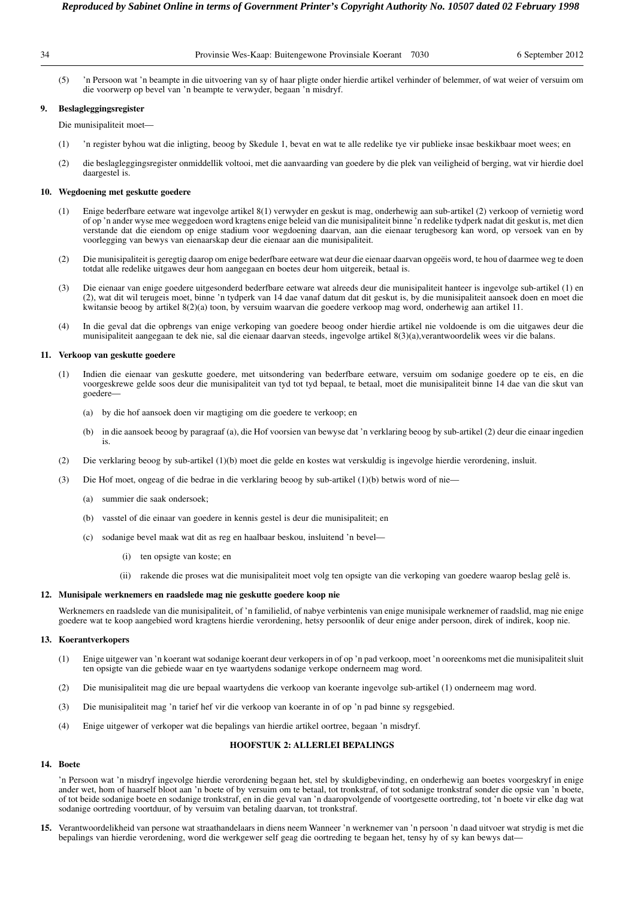|  | Provinsie Wes-Kaap: Buitengewone Provinsiale Koerant 7030 |  |  |
|--|-----------------------------------------------------------|--|--|
|  |                                                           |  |  |
|  |                                                           |  |  |

(5) 'n Persoon wat 'n beampte in die uitvoering van sy of haar pligte onder hierdie artikel verhinder of belemmer, of wat weier of versuim om die voorwerp op bevel van 'n beampte te verwyder, begaan 'n misdryf.

# **9. Beslagleggingsregister**

Die munisipaliteit moet—

- (1) 'n register byhou wat die inligting, beoog by Skedule 1, bevat en wat te alle redelike tye vir publieke insae beskikbaar moet wees; en
- (2) die beslagleggingsregister onmiddellik voltooi, met die aanvaarding van goedere by die plek van veiligheid of berging, wat vir hierdie doel daargestel is.

# **10. Wegdoening met geskutte goedere**

- (1) Enige bederfbare eetware wat ingevolge artikel 8(1) verwyder en geskut is mag, onderhewig aan sub-artikel (2) verkoop of vernietig word of op 'n ander wyse mee weggedoen word kragtens enige beleid van die munisipaliteit binne 'n redelike tydperk nadat dit geskut is, met dien verstande dat die eiendom op enige stadium voor wegdoening daarvan, aan die eienaar terugbesorg kan word, op versoek van en by voorlegging van bewys van eienaarskap deur die eienaar aan die munisipaliteit.
- (2) Die munisipaliteit is geregtig daarop om enige bederfbare eetware wat deur die eienaar daarvan opgeëis word, te hou of daarmee weg te doen totdat alle redelike uitgawes deur hom aangegaan en boetes deur hom uitgereik, betaal is.
- (3) Die eienaar van enige goedere uitgesonderd bederfbare eetware wat alreeds deur die munisipaliteit hanteer is ingevolge sub-artikel (1) en (2), wat dit wil terugeis moet, binne 'n tydperk van 14 dae vanaf datum dat dit geskut is, by die munisipaliteit aansoek doen en moet die kwitansie beoog by artikel 8(2)(a) toon, by versuim waarvan die goedere verkoop mag word, onderhewig aan artikel 11.
- (4) In die geval dat die opbrengs van enige verkoping van goedere beoog onder hierdie artikel nie voldoende is om die uitgawes deur die munisipaliteit aangegaan te dek nie, sal die eienaar daarvan steeds, ingevolge artikel 8(3)(a),verantwoordelik wees vir die balans.

# **11. Verkoop van geskutte goedere**

- (1) Indien die eienaar van geskutte goedere, met uitsondering van bederfbare eetware, versuim om sodanige goedere op te eis, en die voorgeskrewe gelde soos deur die munisipaliteit van tyd tot tyd bepaal, te betaal, moet die munisipaliteit binne 14 dae van die skut van goedere—
	- (a) by die hof aansoek doen vir magtiging om die goedere te verkoop; en
	- (b) in die aansoek beoog by paragraaf (a), die Hof voorsien van bewyse dat 'n verklaring beoog by sub-artikel (2) deur die einaar ingedien is.
- (2) Die verklaring beoog by sub-artikel (1)(b) moet die gelde en kostes wat verskuldig is ingevolge hierdie verordening, insluit.
- (3) Die Hof moet, ongeag of die bedrae in die verklaring beoog by sub-artikel (1)(b) betwis word of nie—
	- (a) summier die saak ondersoek;
	- (b) vasstel of die einaar van goedere in kennis gestel is deur die munisipaliteit; en
	- (c) sodanige bevel maak wat dit as reg en haalbaar beskou, insluitend 'n bevel—
		- (i) ten opsigte van koste; en
		- (ii) rakende die proses wat die munisipaliteit moet volg ten opsigte van die verkoping van goedere waarop beslag gelê is.

#### **12. Munisipale werknemers en raadslede mag nie geskutte goedere koop nie**

Werknemers en raadslede van die munisipaliteit, of 'n familielid, of nabye verbintenis van enige munisipale werknemer of raadslid, mag nie enige goedere wat te koop aangebied word kragtens hierdie verordening, hetsy persoonlik of deur enige ander persoon, direk of indirek, koop nie.

#### **13. Koerantverkopers**

- (1) Enige uitgewer van 'n koerant wat sodanige koerant deur verkopers in of op 'n pad verkoop, moet 'n ooreenkoms met die munisipaliteit sluit ten opsigte van die gebiede waar en tye waartydens sodanige verkope onderneem mag word.
- (2) Die munisipaliteit mag die ure bepaal waartydens die verkoop van koerante ingevolge sub-artikel (1) onderneem mag word.
- (3) Die munisipaliteit mag 'n tarief hef vir die verkoop van koerante in of op 'n pad binne sy regsgebied.
- (4) Enige uitgewer of verkoper wat die bepalings van hierdie artikel oortree, begaan 'n misdryf.

# **HOOFSTUK 2: ALLERLEI BEPALINGS**

# **14. Boete**

'n Persoon wat 'n misdryf ingevolge hierdie verordening begaan het, stel by skuldigbevinding, en onderhewig aan boetes voorgeskryf in enige ander wet, hom of haarself bloot aan 'n boete of by versuim om te betaal, tot tronkstraf, of tot sodanige tronkstraf sonder die opsie van 'n boete, of tot beide sodanige boete en sodanige tronkstraf, en in die geval van 'n daaropvolgende of voortgesette oortreding, tot 'n boete vir elke dag wat sodanige oortreding voortduur, of by versuim van betaling daarvan, tot tronkstraf.

**15.** Verantwoordelikheid van persone wat straathandelaars in diens neem Wanneer 'n werknemer van 'n persoon 'n daad uitvoer wat strydig is met die bepalings van hierdie verordening, word die werkgewer self geag die oortreding te begaan het, tensy hy of sy kan bewys dat—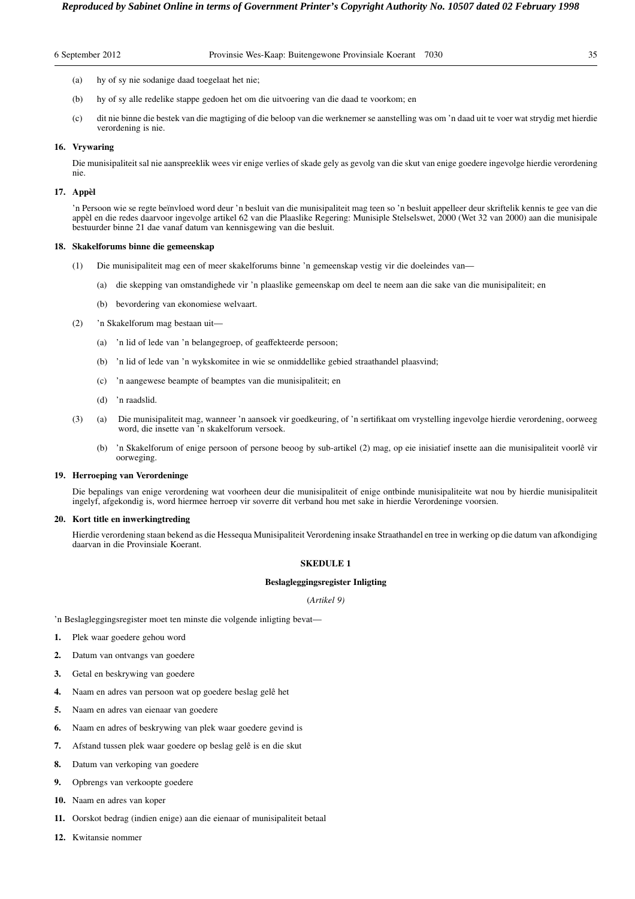| 6 September 2012 |  |
|------------------|--|
|------------------|--|

- (a) hy of sy nie sodanige daad toegelaat het nie;
- (b) hy of sy alle redelike stappe gedoen het om die uitvoering van die daad te voorkom; en
- (c) dit nie binne die bestek van die magtiging of die beloop van die werknemer se aanstelling was om 'n daad uit te voer wat strydig met hierdie verordening is nie.

# **16. Vrywaring**

Die munisipaliteit sal nie aanspreeklik wees vir enige verlies of skade gely as gevolg van die skut van enige goedere ingevolge hierdie verordening nie.

# **17. Appèl**

'n Persoon wie se regte beïnvloed word deur 'n besluit van die munisipaliteit mag teen so 'n besluit appelleer deur skriftelik kennis te gee van die appèl en die redes daarvoor ingevolge artikel 62 van die Plaaslike Regering: Munisiple Stelselswet, 2000 (Wet 32 van 2000) aan die munisipale bestuurder binne 21 dae vanaf datum van kennisgewing van die besluit.

#### **18. Skakelforums binne die gemeenskap**

- (1) Die munisipaliteit mag een of meer skakelforums binne 'n gemeenskap vestig vir die doeleindes van—
	- (a) die skepping van omstandighede vir 'n plaaslike gemeenskap om deel te neem aan die sake van die munisipaliteit; en
	- (b) bevordering van ekonomiese welvaart.
- (2) 'n Skakelforum mag bestaan uit—
	- (a) 'n lid of lede van 'n belangegroep, of geaffekteerde persoon;
	- (b) 'n lid of lede van 'n wykskomitee in wie se onmiddellike gebied straathandel plaasvind;
	- (c) 'n aangewese beampte of beamptes van die munisipaliteit; en
	- (d) 'n raadslid.
- (3) (a) Die munisipaliteit mag, wanneer 'n aansoek vir goedkeuring, of 'n sertifikaat om vrystelling ingevolge hierdie verordening, oorweeg word, die insette van 'n skakelforum versoek.
	- (b) 'n Skakelforum of enige persoon of persone beoog by sub-artikel (2) mag, op eie inisiatief insette aan die munisipaliteit voorlê vir oorweging.

# **19. Herroeping van Verordeninge**

Die bepalings van enige verordening wat voorheen deur die munisipaliteit of enige ontbinde munisipaliteite wat nou by hierdie munisipaliteit ingelyf, afgekondig is, word hiermee herroep vir soverre dit verband hou met sake in hierdie Verordeninge voorsien.

# **20. Kort title en inwerkingtreding**

Hierdie verordening staan bekend as die Hessequa Munisipaliteit Verordening insake Straathandel en tree in werking op die datum van afkondiging daarvan in die Provinsiale Koerant.

# **SKEDULE 1**

# **Beslagleggingsregister Inligting**

# (*Artikel 9)*

'n Beslagleggingsregister moet ten minste die volgende inligting bevat—

- **1.** Plek waar goedere gehou word
- **2.** Datum van ontvangs van goedere
- **3.** Getal en beskrywing van goedere
- **4.** Naam en adres van persoon wat op goedere beslag gelê het
- **5.** Naam en adres van eienaar van goedere
- **6.** Naam en adres of beskrywing van plek waar goedere gevind is
- **7.** Afstand tussen plek waar goedere op beslag gelê is en die skut
- **8.** Datum van verkoping van goedere
- **9.** Opbrengs van verkoopte goedere
- **10.** Naam en adres van koper
- **11.** Oorskot bedrag (indien enige) aan die eienaar of munisipaliteit betaal
- **12.** Kwitansie nommer